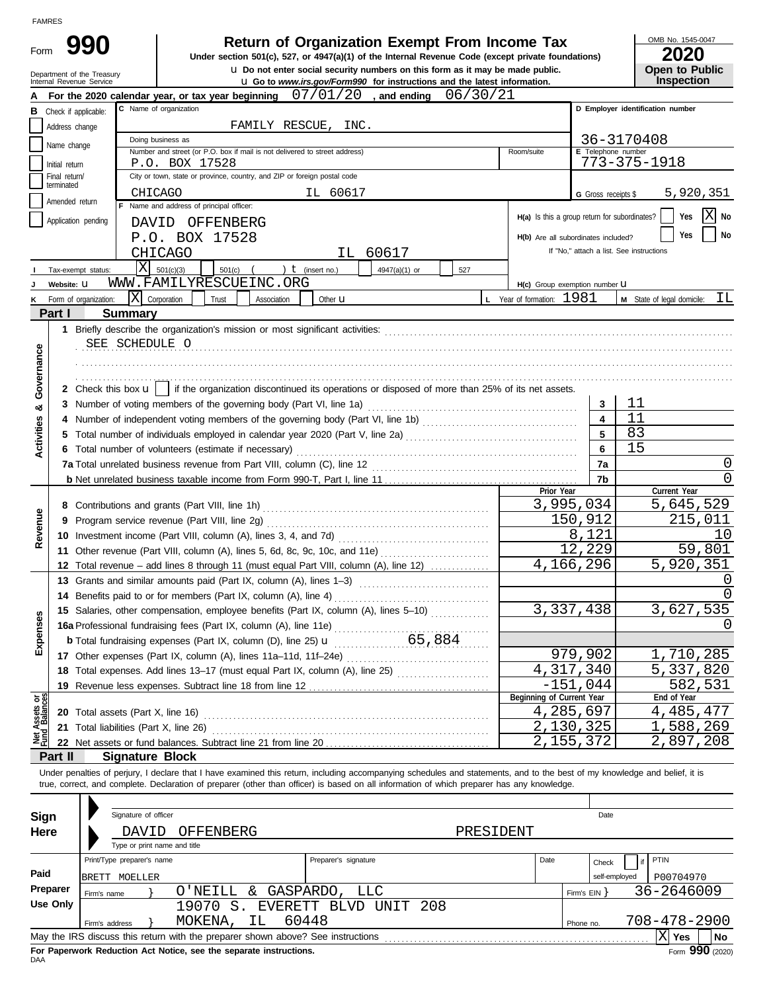| ۱MF |  |
|-----|--|

Form

| 990 |                |
|-----|----------------|
|     | <b>Under</b> s |

# **Return of Organization Exempt From Income Tax**  $\frac{\text{OMB No. 1545-00}}{2020}$

 $\bf{u}$  Do not enter social security numbers on this form as it may be made public. **Under section 501(c), 527, or 4947(a)(1) of the Internal Revenue Code (except private foundations)** OMB No. 1545-0047

|  | .                     |
|--|-----------------------|
|  | <b>Open to Public</b> |
|  | Inspection            |

|                                |                                 | Department of the Treasury<br>Internal Revenue Service | <b>u</b> Do not enter social security numbers on this form as it may be made public.<br><b>u</b> Go to www.irs.gov/Form990 for instructions and the latest information.    |                                                             |                         | <b>Open to Public</b><br><b>Inspection</b> |
|--------------------------------|---------------------------------|--------------------------------------------------------|----------------------------------------------------------------------------------------------------------------------------------------------------------------------------|-------------------------------------------------------------|-------------------------|--------------------------------------------|
|                                |                                 |                                                        | 07/01/20<br>06/30/21<br>For the 2020 calendar year, or tax year beginning<br>, and ending                                                                                  |                                                             |                         |                                            |
| В                              | Check if applicable:            |                                                        | C Name of organization                                                                                                                                                     |                                                             |                         | D Employer identification number           |
|                                | Address change                  |                                                        | FAMILY RESCUE, INC.                                                                                                                                                        |                                                             |                         |                                            |
|                                | Name change                     |                                                        | Doing business as                                                                                                                                                          |                                                             |                         | 36-3170408                                 |
|                                |                                 |                                                        | Number and street (or P.O. box if mail is not delivered to street address)                                                                                                 | Room/suite                                                  | E Telephone number      |                                            |
|                                | Initial return<br>Final return/ |                                                        | P.O. BOX 17528<br>City or town, state or province, country, and ZIP or foreign postal code                                                                                 |                                                             |                         | 773-375-1918                               |
|                                | terminated                      |                                                        |                                                                                                                                                                            |                                                             |                         |                                            |
|                                | Amended return                  |                                                        | <b>CHICAGO</b><br>IL 60617<br>Name and address of principal officer:                                                                                                       |                                                             | G Gross receipts \$     | 5,920,351                                  |
|                                | Application pending             |                                                        | DAVID OFFENBERG                                                                                                                                                            | H(a) Is this a group return for subordinates?               |                         | $ X $ No<br>Yes                            |
|                                |                                 |                                                        | P.O. BOX 17528                                                                                                                                                             | H(b) Are all subordinates included?                         |                         | No<br>Yes                                  |
|                                |                                 |                                                        | <b>CHICAGO</b><br>60617<br>IL -                                                                                                                                            |                                                             |                         | If "No," attach a list. See instructions   |
|                                |                                 |                                                        | X<br>) $t$ (insert no.)<br>501(c)(3)                                                                                                                                       |                                                             |                         |                                            |
|                                | Website: U                      | Tax-exempt status:                                     | $501(c)$ (<br>4947(a)(1) or<br>527<br>WWW.FAMILYRESCUEINC.ORG                                                                                                              |                                                             |                         |                                            |
| κ                              |                                 | Form of organization:                                  | $ \mathbf{X} $ Corporation<br>Trust<br>Association<br>Other <b>u</b>                                                                                                       | H(c) Group exemption number LI<br>L Year of formation: 1981 |                         | ΙL<br>M State of legal domicile:           |
|                                | Part I                          |                                                        | <b>Summary</b>                                                                                                                                                             |                                                             |                         |                                            |
|                                |                                 |                                                        |                                                                                                                                                                            |                                                             |                         |                                            |
|                                |                                 |                                                        | SEE SCHEDULE O                                                                                                                                                             |                                                             |                         |                                            |
|                                |                                 |                                                        |                                                                                                                                                                            |                                                             |                         |                                            |
| Governance                     |                                 |                                                        |                                                                                                                                                                            |                                                             |                         |                                            |
|                                |                                 |                                                        | 2 Check this box $\mathbf{u}$   if the organization discontinued its operations or disposed of more than 25% of its net assets.                                            |                                                             |                         |                                            |
|                                |                                 |                                                        |                                                                                                                                                                            |                                                             | 3                       | 11                                         |
| ಯ                              | 4                               |                                                        | 3 Number of voting members of the governing body (Part VI, line 1a)                                                                                                        |                                                             | $\overline{\mathbf{4}}$ | 11                                         |
| Activities                     |                                 |                                                        |                                                                                                                                                                            |                                                             | 5                       | 83                                         |
|                                |                                 |                                                        | 6 Total number of volunteers (estimate if necessary)                                                                                                                       |                                                             | 6                       | 15                                         |
|                                |                                 |                                                        |                                                                                                                                                                            |                                                             | 7a                      | 0                                          |
|                                |                                 |                                                        |                                                                                                                                                                            |                                                             | 7b                      | 0                                          |
|                                |                                 |                                                        |                                                                                                                                                                            | Prior Year                                                  |                         | Current Year                               |
|                                |                                 |                                                        |                                                                                                                                                                            | 3,995,034                                                   |                         | 5,645,529                                  |
| Revenue                        |                                 |                                                        |                                                                                                                                                                            |                                                             | 150,912                 | 215,011                                    |
|                                |                                 |                                                        |                                                                                                                                                                            |                                                             | 8,121                   | 10                                         |
|                                |                                 |                                                        | 11 Other revenue (Part VIII, column (A), lines 5, 6d, 8c, 9c, 10c, and 11e)                                                                                                |                                                             | 12,229                  | 59,801                                     |
|                                |                                 |                                                        | 12 Total revenue - add lines 8 through 11 (must equal Part VIII, column (A), line 12)                                                                                      | 4,166,296                                                   |                         | 5,920,351                                  |
|                                |                                 |                                                        | 13 Grants and similar amounts paid (Part IX, column (A), lines 1-3)                                                                                                        |                                                             |                         |                                            |
|                                |                                 |                                                        | 14 Benefits paid to or for members (Part IX, column (A), line 4)                                                                                                           |                                                             |                         |                                            |
|                                |                                 |                                                        | 15 Salaries, other compensation, employee benefits (Part IX, column (A), lines 5-10)                                                                                       | 3,337,438                                                   |                         | 3,627,535                                  |
| န္တ                            |                                 |                                                        |                                                                                                                                                                            |                                                             |                         |                                            |
| Expen                          |                                 |                                                        |                                                                                                                                                                            |                                                             |                         |                                            |
|                                |                                 |                                                        |                                                                                                                                                                            |                                                             | 979,902                 | 1,710,285                                  |
|                                |                                 |                                                        | 18 Total expenses. Add lines 13-17 (must equal Part IX, column (A), line 25) [                                                                                             | 4,317,340                                                   |                         | 5,337,820                                  |
|                                | 19                              |                                                        |                                                                                                                                                                            |                                                             | $-151,044$              | 582,531                                    |
| Net Assets or<br>Fund Balances |                                 |                                                        |                                                                                                                                                                            | Beginning of Current Year                                   |                         | End of Year                                |
|                                |                                 |                                                        |                                                                                                                                                                            | 4,285,697                                                   |                         | 4,485,477                                  |
|                                | 21                              |                                                        | Total liabilities (Part X, line 26)                                                                                                                                        | 2,130,325                                                   |                         | 1,588,269                                  |
|                                |                                 |                                                        |                                                                                                                                                                            | 2,155,372                                                   |                         | 2,897,208                                  |
|                                | Part II                         |                                                        | <b>Signature Block</b>                                                                                                                                                     |                                                             |                         |                                            |
|                                |                                 |                                                        | Under penalties of perjury, I declare that I have examined this return, including accompanying schedules and statements, and to the best of my knowledge and belief, it is |                                                             |                         |                                            |
|                                |                                 |                                                        | true, correct, and complete. Declaration of preparer (other than officer) is based on all information of which preparer has any knowledge.                                 |                                                             |                         |                                            |
|                                |                                 |                                                        |                                                                                                                                                                            |                                                             |                         |                                            |
| <b>Sign</b>                    |                                 |                                                        | Signature of officer                                                                                                                                                       |                                                             | Date                    |                                            |
| Here                           |                                 |                                                        | OFFENBERG<br>PRESIDENT<br>DAVID                                                                                                                                            |                                                             |                         |                                            |
|                                |                                 |                                                        | Type or print name and title                                                                                                                                               |                                                             |                         |                                            |
|                                |                                 | Print/Type preparer's name                             | Preparer's signature                                                                                                                                                       | Date                                                        | Check                   | PTIN                                       |
| Paid                           |                                 | BRETT MOELLER                                          |                                                                                                                                                                            |                                                             | self-employed           | P00704970                                  |
|                                | Preparer                        | Firm's name                                            | O'NEILL & GASPARDO,<br><b>LLC</b>                                                                                                                                          |                                                             | Firm's $EIN$ }          | 36-2646009                                 |
|                                | <b>Use Only</b>                 |                                                        | EVERETT BLVD UNIT<br>19070<br>$S$ .<br>-208                                                                                                                                |                                                             |                         |                                            |
|                                |                                 | Firm's address                                         | 60448<br>MOKENA,<br>IL                                                                                                                                                     |                                                             | Phone no.               | 708-478-2900                               |
|                                |                                 |                                                        |                                                                                                                                                                            |                                                             |                         | $ X $ Yes<br>No                            |

|          |                         | Signature of officer                  |                                                                                 |                          |           |              | Date  |                 |  |  |
|----------|-------------------------|---------------------------------------|---------------------------------------------------------------------------------|--------------------------|-----------|--------------|-------|-----------------|--|--|
| Sign     |                         |                                       |                                                                                 |                          |           |              |       |                 |  |  |
| Here     |                         | DAVID<br>Type or print name and title | OFFENBERG                                                                       |                          | PRESIDENT |              |       |                 |  |  |
|          |                         | Print/Type preparer's name            |                                                                                 | Preparer's signature     | Date      |              | Check | PTIN            |  |  |
| Paid     | MOELLER<br><b>BRETT</b> | self-employed                         | P00704970                                                                       |                          |           |              |       |                 |  |  |
| Preparer | Firm's name             |                                       | O'NEILL<br>&.                                                                   | GASPARDO,<br>LLC         |           | Firm's $EIN$ |       | 36-2646009      |  |  |
| Use Only |                         |                                       | 19070<br>S                                                                      | UNIT 208<br>EVERETT BLVD |           |              |       |                 |  |  |
|          | Firm's address          |                                       | 60448<br>MOKENA,<br>IL.                                                         |                          |           | Phone no.    |       | 708-478-2900    |  |  |
|          |                         |                                       | May the IRS discuss this return with the preparer shown above? See instructions |                          |           |              |       | l No<br>Yes     |  |  |
|          |                         |                                       | For Paperwork Reduction Act Notice, see the separate instructions.              |                          |           |              |       | Form 990 (2020) |  |  |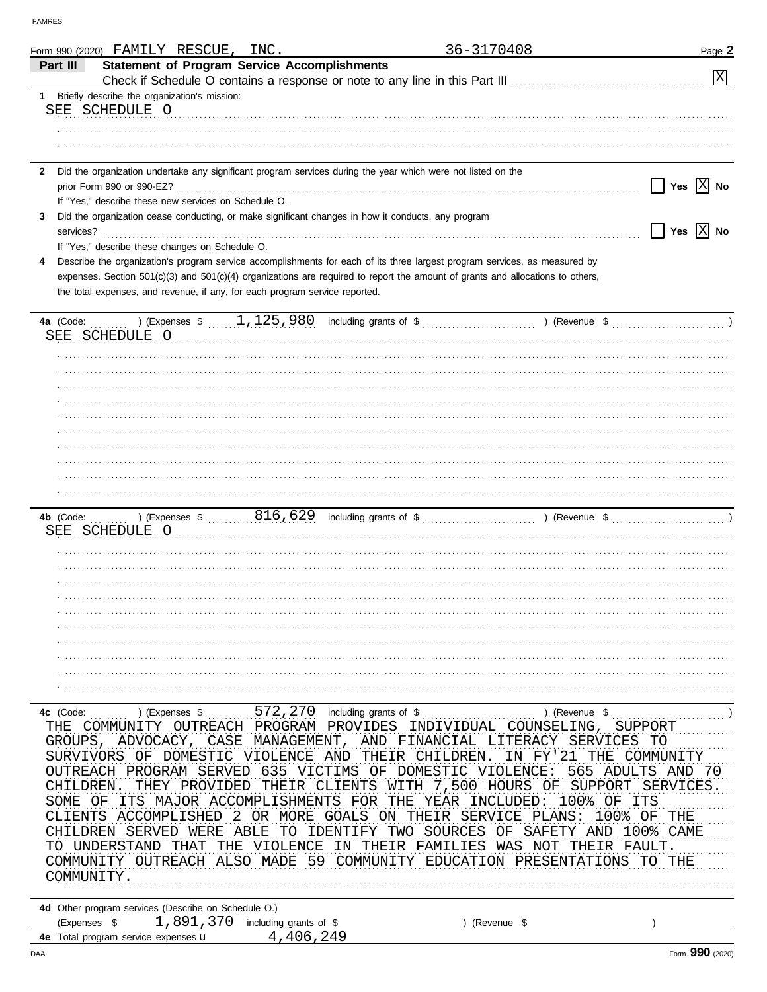| Form 990 (2020) FAMILY RESCUE, INC.                                                                                                                             | 36-3170408                                             | Page 2                      |
|-----------------------------------------------------------------------------------------------------------------------------------------------------------------|--------------------------------------------------------|-----------------------------|
| <b>Statement of Program Service Accomplishments</b><br>Part III                                                                                                 |                                                        |                             |
| Check if Schedule O contains a response or note to any line in this Part III [11] [11] [11] [11] [11] [11] [1                                                   |                                                        | $ \mathrm{x} $              |
| 1 Briefly describe the organization's mission:<br>SEE SCHEDULE O                                                                                                |                                                        |                             |
|                                                                                                                                                                 |                                                        |                             |
|                                                                                                                                                                 |                                                        |                             |
|                                                                                                                                                                 |                                                        |                             |
| Did the organization undertake any significant program services during the year which were not listed on the<br>$\mathbf{2}$                                    |                                                        |                             |
| prior Form 990 or 990-EZ?                                                                                                                                       |                                                        | Yes $ \overline{X} $ No     |
| If "Yes," describe these new services on Schedule O.<br>Did the organization cease conducting, or make significant changes in how it conducts, any program<br>3 |                                                        |                             |
| services?                                                                                                                                                       |                                                        | Yes $\boxed{\text{X}}$ No   |
| If "Yes," describe these changes on Schedule O.                                                                                                                 |                                                        |                             |
| Describe the organization's program service accomplishments for each of its three largest program services, as measured by<br>4                                 |                                                        |                             |
| expenses. Section 501(c)(3) and 501(c)(4) organizations are required to report the amount of grants and allocations to others,                                  |                                                        |                             |
| the total expenses, and revenue, if any, for each program service reported.                                                                                     |                                                        |                             |
|                                                                                                                                                                 |                                                        |                             |
| SEE SCHEDULE O                                                                                                                                                  |                                                        |                             |
|                                                                                                                                                                 |                                                        |                             |
|                                                                                                                                                                 |                                                        |                             |
|                                                                                                                                                                 |                                                        |                             |
|                                                                                                                                                                 |                                                        |                             |
|                                                                                                                                                                 |                                                        |                             |
|                                                                                                                                                                 |                                                        |                             |
|                                                                                                                                                                 |                                                        |                             |
|                                                                                                                                                                 |                                                        |                             |
|                                                                                                                                                                 |                                                        |                             |
|                                                                                                                                                                 |                                                        |                             |
| SEE SCHEDULE O                                                                                                                                                  |                                                        |                             |
|                                                                                                                                                                 |                                                        |                             |
|                                                                                                                                                                 |                                                        |                             |
|                                                                                                                                                                 |                                                        |                             |
|                                                                                                                                                                 |                                                        |                             |
|                                                                                                                                                                 |                                                        |                             |
|                                                                                                                                                                 |                                                        |                             |
|                                                                                                                                                                 |                                                        |                             |
|                                                                                                                                                                 |                                                        |                             |
|                                                                                                                                                                 |                                                        |                             |
|                                                                                                                                                                 |                                                        |                             |
| $572,270$ including grants of \$<br>4c (Code:<br>) (Expenses \$<br>COMMUNITY OUTREACH<br>PROGRAM<br>PROVIDES<br>THE                                             | ) (Revenue \$<br>INDIVIDUAL<br>COUNSELING,             | SUPPORT                     |
| CASE<br>MANAGEMENT,<br>GROUPS,<br>ADVOCACY,                                                                                                                     | AND<br>FINANCIAL LITERACY SERVICES                     | TO                          |
| DOMESTIC VIOLENCE<br>AND<br>SURVIVORS OF                                                                                                                        | THEIR<br>CHILDREN<br>FY'21<br>THE<br>ΤN                | COMMUNITY                   |
| OUTREACH PROGRAM SERVED<br>635<br>VICTIMS                                                                                                                       | ΟF<br>DOMESTIC<br>VIOLENCE:<br>565                     | ADULTS<br>AND<br>70 U       |
| CHILDREN<br>THEY PROVIDED<br>CLIENTS<br>THEIR                                                                                                                   | 7,500<br>HOURS OF<br>SUPPORT<br>WITH                   | SERVICES                    |
| ITS MAJOR ACCOMPLISHMENTS<br>FOR<br>SOME<br>ΟF                                                                                                                  | 100%<br>THE<br>YEAR<br>INCLUDED:                       | OF<br>ITS                   |
| ACCOMPLISHED<br>MORE<br>GOALS<br>CLIENTS<br>OR.<br>CHILDREN<br>SERVED<br>ABLE<br>TO<br>TDENTIFY                                                                 | THEIR<br>SERVICE<br>PLANS:<br>ON.<br>SOURCES<br>AND    | 100% OF<br>THE              |
| WERE<br>UNDERSTAND<br>THAT<br>VIOLENCE<br>THE<br>ΙN<br>'T.O                                                                                                     | SAFETY<br>TWO<br>ΟF<br>THEIR<br>FAMILIES<br>WAS<br>NOT | 100%<br>CAME<br>THEIR FAULT |
| COMMUNITY OUTREACH<br>AL SO<br>MADE.                                                                                                                            | COMMUNITY<br>EDICATION<br>PRESENTATIONS                | TO<br>THE                   |
| COMMUNITY.                                                                                                                                                      |                                                        |                             |
|                                                                                                                                                                 |                                                        |                             |
| 4d Other program services (Describe on Schedule O.)                                                                                                             |                                                        |                             |
| 1,891,370<br>including grants of \$<br>(Expenses \$<br>4 406 249<br>4e Total program service expenses u                                                         | (Revenue \$                                            |                             |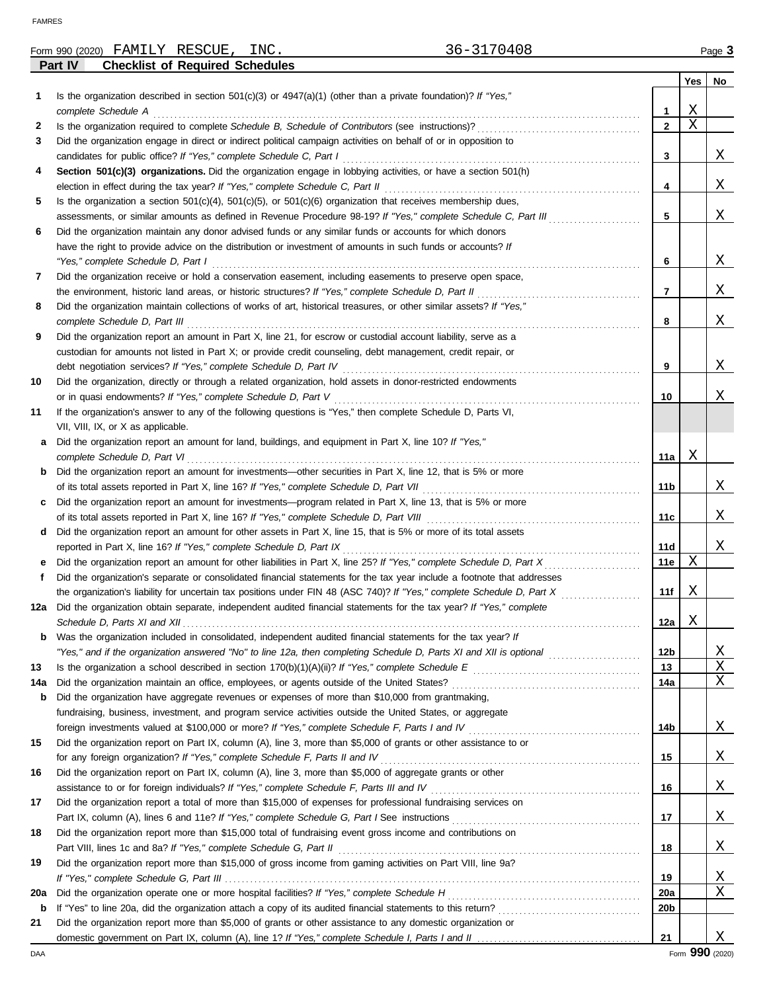|     | 36-3170408<br>Form 990 (2020) FAMILY RESCUE,<br>INC.                                                                                                                                                                   |                 |     | Page 3 |
|-----|------------------------------------------------------------------------------------------------------------------------------------------------------------------------------------------------------------------------|-----------------|-----|--------|
|     | Part IV<br><b>Checklist of Required Schedules</b>                                                                                                                                                                      |                 |     |        |
|     |                                                                                                                                                                                                                        |                 | Yes | No     |
| 1.  | Is the organization described in section $501(c)(3)$ or $4947(a)(1)$ (other than a private foundation)? If "Yes,"<br>complete Schedule A                                                                               | 1               | Χ   |        |
| 2   |                                                                                                                                                                                                                        | $\overline{2}$  | Χ   |        |
| 3   | Did the organization engage in direct or indirect political campaign activities on behalf of or in opposition to                                                                                                       |                 |     |        |
|     | candidates for public office? If "Yes," complete Schedule C, Part I                                                                                                                                                    | 3               |     | Χ      |
| 4   | Section 501(c)(3) organizations. Did the organization engage in lobbying activities, or have a section 501(h)                                                                                                          |                 |     |        |
|     | election in effect during the tax year? If "Yes," complete Schedule C, Part II                                                                                                                                         | 4               |     | Χ      |
| 5   | Is the organization a section $501(c)(4)$ , $501(c)(5)$ , or $501(c)(6)$ organization that receives membership dues,                                                                                                   |                 |     |        |
|     | assessments, or similar amounts as defined in Revenue Procedure 98-19? If "Yes," complete Schedule C, Part III                                                                                                         | 5               |     | Χ      |
| 6   | Did the organization maintain any donor advised funds or any similar funds or accounts for which donors<br>have the right to provide advice on the distribution or investment of amounts in such funds or accounts? If |                 |     |        |
|     | "Yes," complete Schedule D, Part I                                                                                                                                                                                     | 6               |     | Χ      |
| 7   | Did the organization receive or hold a conservation easement, including easements to preserve open space,                                                                                                              |                 |     |        |
|     | the environment, historic land areas, or historic structures? If "Yes," complete Schedule D, Part II                                                                                                                   | 7               |     | Χ      |
| 8   | Did the organization maintain collections of works of art, historical treasures, or other similar assets? If "Yes,"                                                                                                    |                 |     |        |
|     | complete Schedule D, Part III                                                                                                                                                                                          | 8               |     | Χ      |
| 9   | Did the organization report an amount in Part X, line 21, for escrow or custodial account liability, serve as a                                                                                                        |                 |     |        |
|     | custodian for amounts not listed in Part X; or provide credit counseling, debt management, credit repair, or                                                                                                           |                 |     |        |
|     | debt negotiation services? If "Yes," complete Schedule D, Part IV                                                                                                                                                      | 9               |     | Χ      |
| 10  | Did the organization, directly or through a related organization, hold assets in donor-restricted endowments                                                                                                           |                 |     |        |
| 11  | or in quasi endowments? If "Yes," complete Schedule D, Part V<br>If the organization's answer to any of the following questions is "Yes," then complete Schedule D, Parts VI,                                          | 10              |     | Χ      |
|     | VII, VIII, IX, or X as applicable.                                                                                                                                                                                     |                 |     |        |
| а   | Did the organization report an amount for land, buildings, and equipment in Part X, line 10? If "Yes,"                                                                                                                 |                 |     |        |
|     | complete Schedule D, Part VI                                                                                                                                                                                           | 11a             | Χ   |        |
| b   | Did the organization report an amount for investments-other securities in Part X, line 12, that is 5% or more                                                                                                          |                 |     |        |
|     | of its total assets reported in Part X, line 16? If "Yes," complete Schedule D, Part VII                                                                                                                               | 11b             |     | Χ      |
| c   | Did the organization report an amount for investments—program related in Part X, line 13, that is 5% or more                                                                                                           |                 |     |        |
|     | of its total assets reported in Part X, line 16? If "Yes," complete Schedule D, Part VIII                                                                                                                              | 11c             |     | Χ      |
| d   | Did the organization report an amount for other assets in Part X, line 15, that is 5% or more of its total assets                                                                                                      |                 |     |        |
|     | reported in Part X, line 16? If "Yes," complete Schedule D, Part IX<br>Did the organization report an amount for other liabilities in Part X, line 25? If "Yes," complete Schedule D, Part X                           | 11d<br>11e      | Χ   | Χ      |
| е   | Did the organization's separate or consolidated financial statements for the tax year include a footnote that addresses                                                                                                |                 |     |        |
|     | the organization's liability for uncertain tax positions under FIN 48 (ASC 740)? If "Yes," complete Schedule D, Part X                                                                                                 | 11f             | Χ   |        |
|     | Did the organization obtain separate, independent audited financial statements for the tax year? If "Yes," complete                                                                                                    |                 |     |        |
|     |                                                                                                                                                                                                                        | 12a             | Χ   |        |
| b   | Was the organization included in consolidated, independent audited financial statements for the tax year? If                                                                                                           |                 |     |        |
|     | "Yes," and if the organization answered "No" to line 12a, then completing Schedule D, Parts XI and XII is optional                                                                                                     | 12b             |     | Χ      |
| 13  |                                                                                                                                                                                                                        | 13              |     | Χ      |
| 14a | Did the organization maintain an office, employees, or agents outside of the United States?                                                                                                                            | 14a             |     | Χ      |
| b   | Did the organization have aggregate revenues or expenses of more than \$10,000 from grantmaking,<br>fundraising, business, investment, and program service activities outside the United States, or aggregate          |                 |     |        |
|     | foreign investments valued at \$100,000 or more? If "Yes," complete Schedule F, Parts I and IV [[[[[[[[[[[[[[[                                                                                                         | 14b             |     | Χ      |
| 15  | Did the organization report on Part IX, column (A), line 3, more than \$5,000 of grants or other assistance to or                                                                                                      |                 |     |        |
|     | for any foreign organization? If "Yes," complete Schedule F, Parts II and IV                                                                                                                                           | 15              |     | Χ      |
| 16  | Did the organization report on Part IX, column (A), line 3, more than \$5,000 of aggregate grants or other                                                                                                             |                 |     |        |
|     |                                                                                                                                                                                                                        | 16              |     | Χ      |
| 17  | Did the organization report a total of more than \$15,000 of expenses for professional fundraising services on                                                                                                         |                 |     |        |
|     |                                                                                                                                                                                                                        | 17              |     | Χ      |
| 18  | Did the organization report more than \$15,000 total of fundraising event gross income and contributions on                                                                                                            |                 |     |        |
|     | Part VIII, lines 1c and 8a? If "Yes," complete Schedule G, Part II                                                                                                                                                     | 18              |     | Χ      |
| 19  | Did the organization report more than \$15,000 of gross income from gaming activities on Part VIII, line 9a?                                                                                                           | 19              |     | Χ      |
| 20a | Did the organization operate one or more hospital facilities? If "Yes," complete Schedule H                                                                                                                            | <b>20a</b>      |     | Χ      |
| b   |                                                                                                                                                                                                                        | 20 <sub>b</sub> |     |        |
| 21  | Did the organization report more than \$5,000 of grants or other assistance to any domestic organization or                                                                                                            |                 |     |        |
|     |                                                                                                                                                                                                                        | 21              |     | Χ      |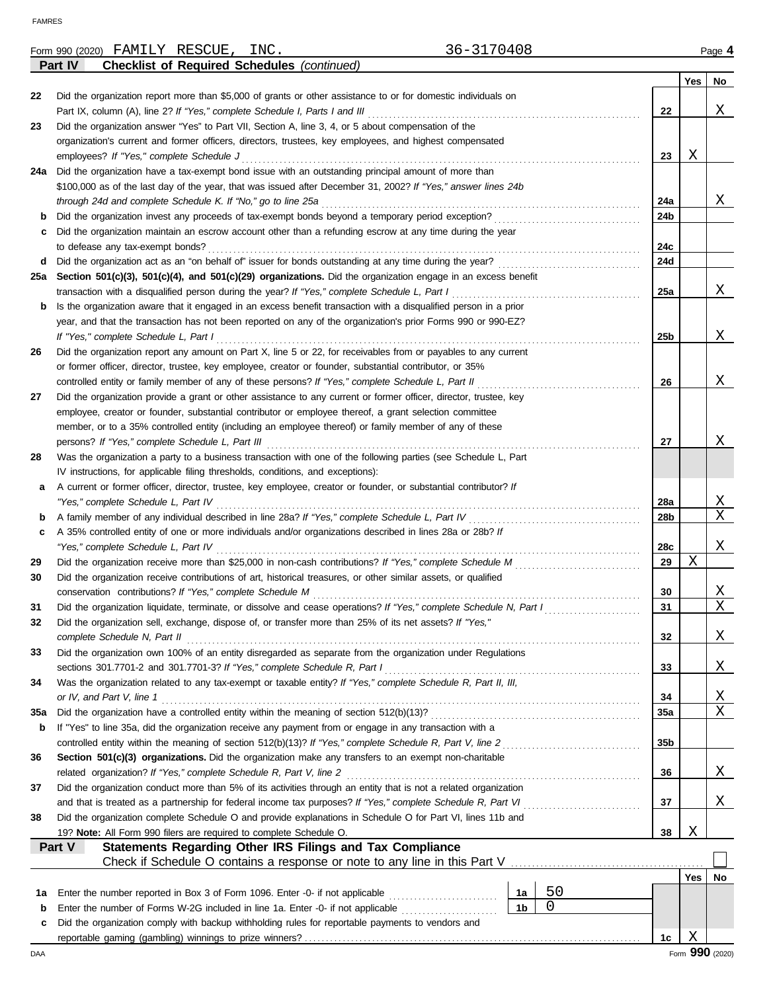|     | 36-3170408<br>Form 990 (2020) FAMILY RESCUE,<br>INC.                                                                                                       |                 |             | Page 4                            |
|-----|------------------------------------------------------------------------------------------------------------------------------------------------------------|-----------------|-------------|-----------------------------------|
|     | Part IV<br><b>Checklist of Required Schedules (continued)</b>                                                                                              |                 |             |                                   |
|     |                                                                                                                                                            |                 | Yes         | No                                |
| 22  | Did the organization report more than \$5,000 of grants or other assistance to or for domestic individuals on                                              |                 |             |                                   |
|     | Part IX, column (A), line 2? If "Yes," complete Schedule I, Parts I and III                                                                                | 22              |             | Χ                                 |
| 23  | Did the organization answer "Yes" to Part VII, Section A, line 3, 4, or 5 about compensation of the                                                        |                 |             |                                   |
|     | organization's current and former officers, directors, trustees, key employees, and highest compensated                                                    |                 |             |                                   |
|     | employees? If "Yes," complete Schedule J                                                                                                                   | 23              | Χ           |                                   |
| 24a | Did the organization have a tax-exempt bond issue with an outstanding principal amount of more than                                                        |                 |             |                                   |
|     | \$100,000 as of the last day of the year, that was issued after December 31, 2002? If "Yes," answer lines 24b                                              |                 |             |                                   |
|     | through 24d and complete Schedule K. If "No," go to line 25a                                                                                               | 24a             |             | Χ                                 |
| b   | Did the organization invest any proceeds of tax-exempt bonds beyond a temporary period exception?                                                          | 24b             |             |                                   |
| с   | Did the organization maintain an escrow account other than a refunding escrow at any time during the year                                                  |                 |             |                                   |
|     | to defease any tax-exempt bonds?                                                                                                                           | 24c             |             |                                   |
| d   | Did the organization act as an "on behalf of" issuer for bonds outstanding at any time during the year?                                                    | 24d             |             |                                   |
| 25а | Section 501(c)(3), 501(c)(4), and 501(c)(29) organizations. Did the organization engage in an excess benefit                                               |                 |             |                                   |
|     | transaction with a disqualified person during the year? If "Yes," complete Schedule L, Part I                                                              | 25a             |             | X                                 |
| b   | Is the organization aware that it engaged in an excess benefit transaction with a disqualified person in a prior                                           |                 |             |                                   |
|     | year, and that the transaction has not been reported on any of the organization's prior Forms 990 or 990-EZ?                                               |                 |             |                                   |
|     | If "Yes," complete Schedule L, Part I                                                                                                                      | 25 <sub>b</sub> |             | X                                 |
| 26  | Did the organization report any amount on Part X, line 5 or 22, for receivables from or payables to any current                                            |                 |             |                                   |
|     | or former officer, director, trustee, key employee, creator or founder, substantial contributor, or 35%                                                    |                 |             |                                   |
|     | controlled entity or family member of any of these persons? If "Yes," complete Schedule L, Part II                                                         | 26              |             | Χ                                 |
| 27  | Did the organization provide a grant or other assistance to any current or former officer, director, trustee, key                                          |                 |             |                                   |
|     | employee, creator or founder, substantial contributor or employee thereof, a grant selection committee                                                     |                 |             |                                   |
|     | member, or to a 35% controlled entity (including an employee thereof) or family member of any of these                                                     |                 |             |                                   |
|     | persons? If "Yes," complete Schedule L, Part III                                                                                                           | 27              |             | Χ                                 |
| 28  | Was the organization a party to a business transaction with one of the following parties (see Schedule L, Part                                             |                 |             |                                   |
|     | IV instructions, for applicable filing thresholds, conditions, and exceptions):                                                                            |                 |             |                                   |
| а   | A current or former officer, director, trustee, key employee, creator or founder, or substantial contributor? If                                           |                 |             |                                   |
|     | "Yes," complete Schedule L, Part IV                                                                                                                        | <b>28a</b>      |             | <u>X</u>                          |
| b   | A family member of any individual described in line 28a? If "Yes," complete Schedule L, Part IV                                                            | 28 <sub>b</sub> |             | $\overline{\text{X}}$             |
| c   | A 35% controlled entity of one or more individuals and/or organizations described in lines 28a or 28b? If                                                  |                 |             |                                   |
|     | "Yes," complete Schedule L, Part IV                                                                                                                        | 28c             |             | X                                 |
| 29  | Did the organization receive more than \$25,000 in non-cash contributions? If "Yes," complete Schedule M                                                   | 29              | $\mathbf X$ |                                   |
| 30  | Did the organization receive contributions of art, historical treasures, or other similar assets, or qualified                                             |                 |             |                                   |
|     | conservation contributions? If "Yes," complete Schedule M                                                                                                  | 30              |             | Χ                                 |
| 31  | Did the organization liquidate, terminate, or dissolve and cease operations? If "Yes," complete Schedule N, Part I                                         | 31              |             | $\overline{\text{X}}$             |
| 32  | Did the organization sell, exchange, dispose of, or transfer more than 25% of its net assets? If "Yes,"                                                    |                 |             |                                   |
|     | complete Schedule N, Part II                                                                                                                               | 32              |             | Χ                                 |
| 33  | Did the organization own 100% of an entity disregarded as separate from the organization under Regulations                                                 |                 |             |                                   |
|     | sections 301.7701-2 and 301.7701-3? If "Yes," complete Schedule R, Part I                                                                                  | 33              |             | Χ                                 |
|     | Was the organization related to any tax-exempt or taxable entity? If "Yes," complete Schedule R, Part II, III,                                             |                 |             |                                   |
| 34  |                                                                                                                                                            |                 |             |                                   |
|     | or IV, and Part V, line 1                                                                                                                                  | 34              |             | <u>X</u><br>$\overline{\text{X}}$ |
| 35a |                                                                                                                                                            | 35a             |             |                                   |
| b   | If "Yes" to line 35a, did the organization receive any payment from or engage in any transaction with a                                                    |                 |             |                                   |
|     | controlled entity within the meaning of section 512(b)(13)? If "Yes," complete Schedule R, Part V, line 2                                                  | 35 <sub>b</sub> |             |                                   |
| 36  | Section 501(c)(3) organizations. Did the organization make any transfers to an exempt non-charitable                                                       |                 |             |                                   |
|     | related organization? If "Yes," complete Schedule R, Part V, line 2                                                                                        | 36              |             | Χ                                 |
| 37  | Did the organization conduct more than 5% of its activities through an entity that is not a related organization                                           |                 |             |                                   |
|     | and that is treated as a partnership for federal income tax purposes? If "Yes," complete Schedule R, Part VI                                               | 37              |             | Χ                                 |
| 38  | Did the organization complete Schedule O and provide explanations in Schedule O for Part VI, lines 11b and                                                 |                 |             |                                   |
|     | 19? Note: All Form 990 filers are required to complete Schedule O.                                                                                         | 38              | Χ           |                                   |
|     | Statements Regarding Other IRS Filings and Tax Compliance<br>Part V                                                                                        |                 |             |                                   |
|     | Check if Schedule O contains a response or note to any line in this Part V [11] Check if Schedule O contains a response or note to any line in this Part V |                 |             |                                   |
|     |                                                                                                                                                            |                 | Yes         | No                                |
| 1a  | 50<br>Enter the number reported in Box 3 of Form 1096. Enter -0- if not applicable<br>1a                                                                   |                 |             |                                   |
| b   | 0<br>1 <sub>b</sub><br>Enter the number of Forms W-2G included in line 1a. Enter -0- if not applicable                                                     |                 |             |                                   |
| c   | Did the organization comply with backup withholding rules for reportable payments to vendors and                                                           |                 |             |                                   |
|     |                                                                                                                                                            | 1c              | Χ           |                                   |
| DAA |                                                                                                                                                            |                 |             | Form 990 (2020)                   |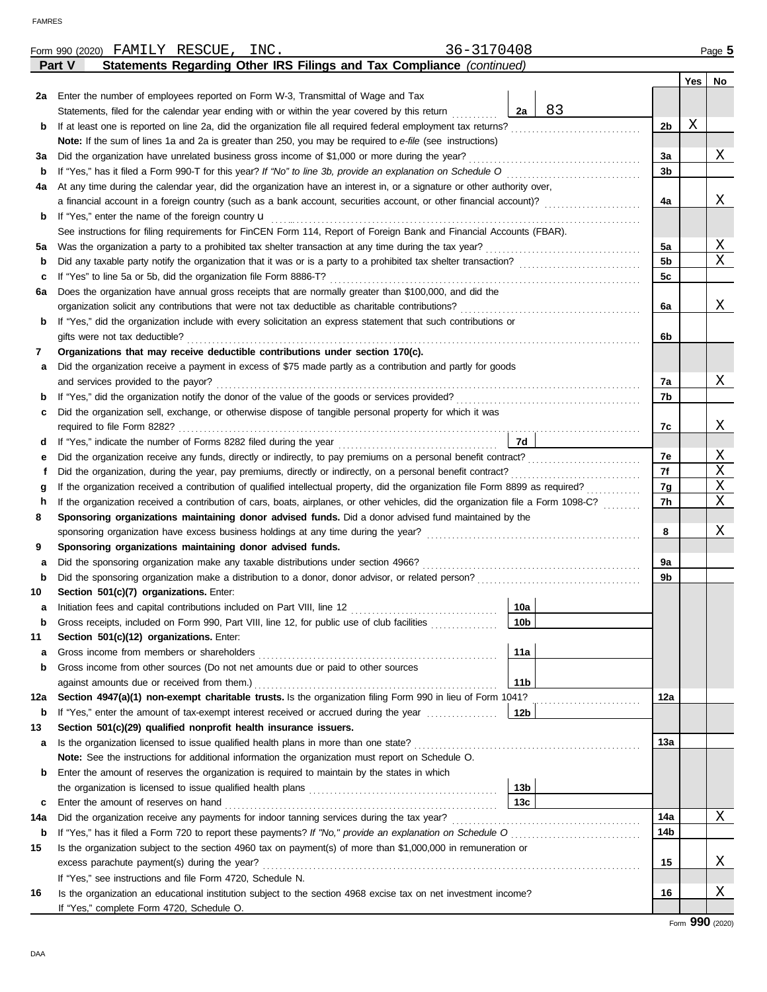|        |        |                                      | Form 990 (2020) FAMILY RESCUE,                                                                                                     |  | INC. |  |  |  |  |  |  | 36-3170408      |    |  |  |                |     | Page 5 |
|--------|--------|--------------------------------------|------------------------------------------------------------------------------------------------------------------------------------|--|------|--|--|--|--|--|--|-----------------|----|--|--|----------------|-----|--------|
|        | Part V |                                      | Statements Regarding Other IRS Filings and Tax Compliance (continued)                                                              |  |      |  |  |  |  |  |  |                 |    |  |  |                |     |        |
|        |        |                                      |                                                                                                                                    |  |      |  |  |  |  |  |  |                 |    |  |  |                | Yes | No     |
| 2a     |        |                                      | Enter the number of employees reported on Form W-3, Transmittal of Wage and Tax                                                    |  |      |  |  |  |  |  |  |                 |    |  |  |                |     |        |
|        |        |                                      | Statements, filed for the calendar year ending with or within the year covered by this return                                      |  |      |  |  |  |  |  |  | 2a              | 83 |  |  |                |     |        |
| b      |        |                                      |                                                                                                                                    |  |      |  |  |  |  |  |  |                 |    |  |  | 2 <sub>b</sub> | Χ   |        |
|        |        |                                      | Note: If the sum of lines 1a and 2a is greater than 250, you may be required to e-file (see instructions)                          |  |      |  |  |  |  |  |  |                 |    |  |  |                |     |        |
| за     |        |                                      | Did the organization have unrelated business gross income of \$1,000 or more during the year?                                      |  |      |  |  |  |  |  |  |                 |    |  |  | 3a             |     | Χ      |
| b      |        |                                      | If "Yes," has it filed a Form 990-T for this year? If "No" to line 3b, provide an explanation on Schedule O                        |  |      |  |  |  |  |  |  |                 |    |  |  | 3b             |     |        |
| 4a     |        |                                      | At any time during the calendar year, did the organization have an interest in, or a signature or other authority over,            |  |      |  |  |  |  |  |  |                 |    |  |  |                |     |        |
|        |        |                                      |                                                                                                                                    |  |      |  |  |  |  |  |  |                 |    |  |  | 4a             |     | Χ      |
| b      |        |                                      | If "Yes," enter the name of the foreign country u                                                                                  |  |      |  |  |  |  |  |  |                 |    |  |  |                |     |        |
|        |        |                                      | See instructions for filing requirements for FinCEN Form 114, Report of Foreign Bank and Financial Accounts (FBAR).                |  |      |  |  |  |  |  |  |                 |    |  |  |                |     |        |
| 5а     |        |                                      |                                                                                                                                    |  |      |  |  |  |  |  |  |                 |    |  |  | 5a             |     | Χ      |
| b      |        |                                      |                                                                                                                                    |  |      |  |  |  |  |  |  |                 |    |  |  | 5b             |     | X      |
| c      |        |                                      | If "Yes" to line 5a or 5b, did the organization file Form 8886-T?                                                                  |  |      |  |  |  |  |  |  |                 |    |  |  | 5c             |     |        |
| 6a     |        |                                      | Does the organization have annual gross receipts that are normally greater than \$100,000, and did the                             |  |      |  |  |  |  |  |  |                 |    |  |  |                |     |        |
|        |        |                                      | organization solicit any contributions that were not tax deductible as charitable contributions?                                   |  |      |  |  |  |  |  |  |                 |    |  |  | 6а             |     | Χ      |
| b      |        |                                      | If "Yes," did the organization include with every solicitation an express statement that such contributions or                     |  |      |  |  |  |  |  |  |                 |    |  |  |                |     |        |
|        |        | gifts were not tax deductible?       |                                                                                                                                    |  |      |  |  |  |  |  |  |                 |    |  |  | 6b             |     |        |
| 7      |        |                                      | Organizations that may receive deductible contributions under section 170(c).                                                      |  |      |  |  |  |  |  |  |                 |    |  |  |                |     |        |
| a      |        |                                      | Did the organization receive a payment in excess of \$75 made partly as a contribution and partly for goods                        |  |      |  |  |  |  |  |  |                 |    |  |  |                |     |        |
|        |        | and services provided to the payor?  |                                                                                                                                    |  |      |  |  |  |  |  |  |                 |    |  |  | 7a             |     | X      |
| b      |        |                                      |                                                                                                                                    |  |      |  |  |  |  |  |  |                 |    |  |  | 7b             |     |        |
| c      |        |                                      | Did the organization sell, exchange, or otherwise dispose of tangible personal property for which it was                           |  |      |  |  |  |  |  |  |                 |    |  |  |                |     | Χ      |
|        |        |                                      |                                                                                                                                    |  |      |  |  |  |  |  |  | 7d              |    |  |  | 7c             |     |        |
| d      |        |                                      |                                                                                                                                    |  |      |  |  |  |  |  |  |                 |    |  |  | 7e             |     | Χ      |
| е<br>f |        |                                      | Did the organization, during the year, pay premiums, directly or indirectly, on a personal benefit contract?                       |  |      |  |  |  |  |  |  |                 |    |  |  | 7f             |     | Χ      |
| g      |        |                                      | If the organization received a contribution of qualified intellectual property, did the organization file Form 8899 as required?   |  |      |  |  |  |  |  |  |                 |    |  |  | 7g             |     | Χ      |
| h      |        |                                      | If the organization received a contribution of cars, boats, airplanes, or other vehicles, did the organization file a Form 1098-C? |  |      |  |  |  |  |  |  |                 |    |  |  | 7h             |     | Χ      |
| 8      |        |                                      | Sponsoring organizations maintaining donor advised funds. Did a donor advised fund maintained by the                               |  |      |  |  |  |  |  |  |                 |    |  |  |                |     |        |
|        |        |                                      |                                                                                                                                    |  |      |  |  |  |  |  |  |                 |    |  |  | 8              |     | Χ      |
| 9      |        |                                      | Sponsoring organizations maintaining donor advised funds.                                                                          |  |      |  |  |  |  |  |  |                 |    |  |  |                |     |        |
| а      |        |                                      | Did the sponsoring organization make any taxable distributions under section 4966?                                                 |  |      |  |  |  |  |  |  |                 |    |  |  | 9a             |     |        |
| b      |        |                                      |                                                                                                                                    |  |      |  |  |  |  |  |  |                 |    |  |  | 9b             |     |        |
| 10     |        |                                      | Section 501(c)(7) organizations. Enter:                                                                                            |  |      |  |  |  |  |  |  |                 |    |  |  |                |     |        |
|        |        |                                      |                                                                                                                                    |  |      |  |  |  |  |  |  | 10a             |    |  |  |                |     |        |
| b      |        |                                      | Gross receipts, included on Form 990, Part VIII, line 12, for public use of club facilities                                        |  |      |  |  |  |  |  |  | 10 <sub>b</sub> |    |  |  |                |     |        |
| 11     |        |                                      | Section 501(c)(12) organizations. Enter:                                                                                           |  |      |  |  |  |  |  |  |                 |    |  |  |                |     |        |
| a      |        |                                      | Gross income from members or shareholders                                                                                          |  |      |  |  |  |  |  |  | 11a             |    |  |  |                |     |        |
| b      |        |                                      | Gross income from other sources (Do not net amounts due or paid to other sources                                                   |  |      |  |  |  |  |  |  |                 |    |  |  |                |     |        |
|        |        |                                      | against amounts due or received from them.)                                                                                        |  |      |  |  |  |  |  |  | 11 <sub>b</sub> |    |  |  |                |     |        |
| 12a    |        |                                      | Section 4947(a)(1) non-exempt charitable trusts. Is the organization filing Form 990 in lieu of Form 1041?                         |  |      |  |  |  |  |  |  |                 |    |  |  | 12a            |     |        |
| b      |        |                                      | If "Yes," enter the amount of tax-exempt interest received or accrued during the year                                              |  |      |  |  |  |  |  |  | 12b             |    |  |  |                |     |        |
| 13     |        |                                      | Section 501(c)(29) qualified nonprofit health insurance issuers.                                                                   |  |      |  |  |  |  |  |  |                 |    |  |  |                |     |        |
| а      |        |                                      | Is the organization licensed to issue qualified health plans in more than one state?                                               |  |      |  |  |  |  |  |  |                 |    |  |  | 13а            |     |        |
|        |        |                                      | Note: See the instructions for additional information the organization must report on Schedule O.                                  |  |      |  |  |  |  |  |  |                 |    |  |  |                |     |        |
| b      |        |                                      | Enter the amount of reserves the organization is required to maintain by the states in which                                       |  |      |  |  |  |  |  |  |                 |    |  |  |                |     |        |
|        |        |                                      |                                                                                                                                    |  |      |  |  |  |  |  |  | 13 <sub>b</sub> |    |  |  |                |     |        |
| c      |        | Enter the amount of reserves on hand |                                                                                                                                    |  |      |  |  |  |  |  |  | 13c             |    |  |  |                |     |        |
| 14a    |        |                                      | Did the organization receive any payments for indoor tanning services during the tax year?                                         |  |      |  |  |  |  |  |  |                 |    |  |  | 14a            |     | X      |
| b      |        |                                      | If "Yes," has it filed a Form 720 to report these payments? If "No," provide an explanation on Schedule O                          |  |      |  |  |  |  |  |  |                 |    |  |  | 14b            |     |        |
| 15     |        |                                      | Is the organization subject to the section 4960 tax on payment(s) of more than \$1,000,000 in remuneration or                      |  |      |  |  |  |  |  |  |                 |    |  |  |                |     |        |
|        |        |                                      | excess parachute payment(s) during the year?                                                                                       |  |      |  |  |  |  |  |  |                 |    |  |  | 15             |     | Χ      |
|        |        |                                      | If "Yes," see instructions and file Form 4720, Schedule N.                                                                         |  |      |  |  |  |  |  |  |                 |    |  |  |                |     |        |
| 16     |        |                                      | Is the organization an educational institution subject to the section 4968 excise tax on net investment income?                    |  |      |  |  |  |  |  |  |                 |    |  |  | 16             |     | Χ      |
|        |        |                                      | If "Yes," complete Form 4720, Schedule O.                                                                                          |  |      |  |  |  |  |  |  |                 |    |  |  |                |     |        |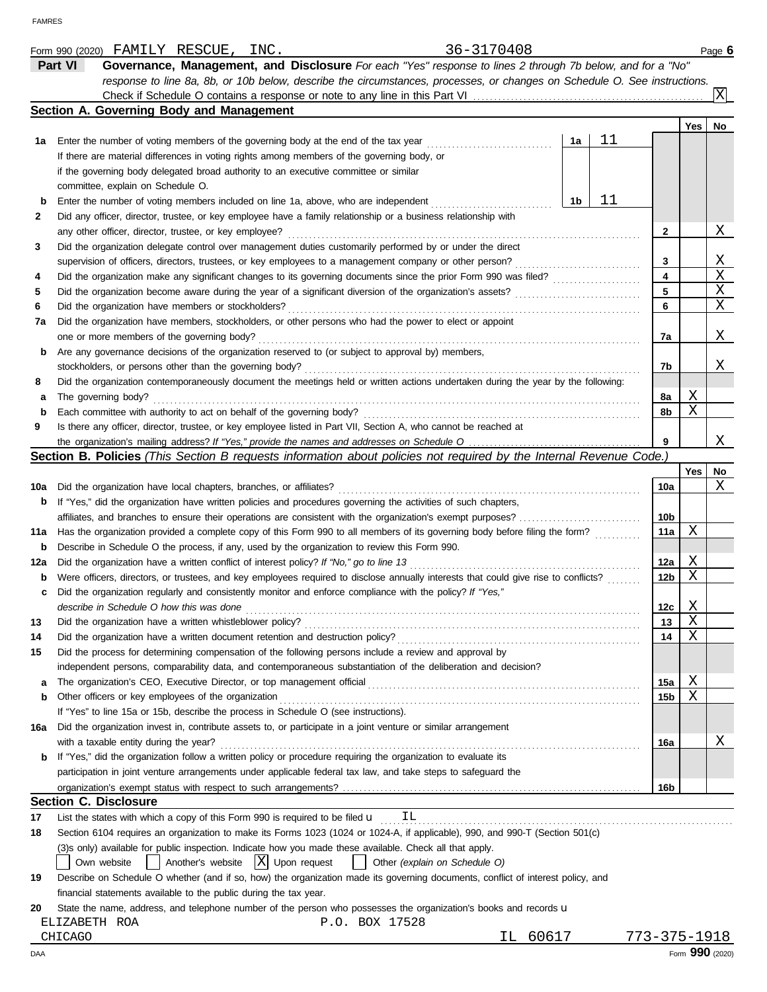|     | 36-3170408<br>Form 990 (2020) FAMILY RESCUE, INC.                                                                                   |    |    |                 |     | Page 6          |
|-----|-------------------------------------------------------------------------------------------------------------------------------------|----|----|-----------------|-----|-----------------|
|     | Governance, Management, and Disclosure For each "Yes" response to lines 2 through 7b below, and for a "No"<br>Part VI               |    |    |                 |     |                 |
|     | response to line 8a, 8b, or 10b below, describe the circumstances, processes, or changes on Schedule O. See instructions.           |    |    |                 |     |                 |
|     |                                                                                                                                     |    |    |                 |     |                 |
|     | Section A. Governing Body and Management                                                                                            |    |    |                 |     |                 |
|     |                                                                                                                                     |    |    |                 | Yes | No              |
| 1а  | Enter the number of voting members of the governing body at the end of the tax year                                                 | 1a | 11 |                 |     |                 |
|     | If there are material differences in voting rights among members of the governing body, or                                          |    |    |                 |     |                 |
|     | if the governing body delegated broad authority to an executive committee or similar                                                |    |    |                 |     |                 |
|     | committee, explain on Schedule O.                                                                                                   |    |    |                 |     |                 |
| b   | Enter the number of voting members included on line 1a, above, who are independent                                                  | 1b | 11 |                 |     |                 |
| 2   | Did any officer, director, trustee, or key employee have a family relationship or a business relationship with                      |    |    |                 |     |                 |
|     | any other officer, director, trustee, or key employee?                                                                              |    |    | $\mathbf{2}$    |     | Χ               |
| 3   | Did the organization delegate control over management duties customarily performed by or under the direct                           |    |    |                 |     |                 |
|     | supervision of officers, directors, trustees, or key employees to a management company or other person?                             |    |    | 3               |     | Χ               |
| 4   | Did the organization make any significant changes to its governing documents since the prior Form 990 was filed?                    |    |    | 4               |     | Χ               |
| 5   |                                                                                                                                     |    |    | 5               |     | Χ               |
| 6   | Did the organization have members or stockholders?                                                                                  |    |    | 6               |     | Χ               |
| 7a  | Did the organization have members, stockholders, or other persons who had the power to elect or appoint                             |    |    |                 |     |                 |
|     | one or more members of the governing body?                                                                                          |    |    | 7a              |     | Χ               |
|     | Are any governance decisions of the organization reserved to (or subject to approval by) members,                                   |    |    |                 |     |                 |
| b   |                                                                                                                                     |    |    | 7b              |     | Χ               |
|     | stockholders, or persons other than the governing body?                                                                             |    |    |                 |     |                 |
| 8   | Did the organization contemporaneously document the meetings held or written actions undertaken during the year by the following:   |    |    |                 | Χ   |                 |
| а   | The governing body?                                                                                                                 |    |    | 8a              | Χ   |                 |
| b   | Each committee with authority to act on behalf of the governing body?                                                               |    |    | 8b              |     |                 |
| 9   | Is there any officer, director, trustee, or key employee listed in Part VII, Section A, who cannot be reached at                    |    |    |                 |     |                 |
|     |                                                                                                                                     |    |    | 9               |     | Χ               |
|     | Section B. Policies (This Section B requests information about policies not required by the Internal Revenue Code.)                 |    |    |                 |     |                 |
|     |                                                                                                                                     |    |    |                 | Yes | No              |
| 10a | Did the organization have local chapters, branches, or affiliates?                                                                  |    |    | 10a             |     | Χ               |
| b   | If "Yes," did the organization have written policies and procedures governing the activities of such chapters,                      |    |    |                 |     |                 |
|     | affiliates, and branches to ensure their operations are consistent with the organization's exempt purposes?                         |    |    | 10b             |     |                 |
| 11a | Has the organization provided a complete copy of this Form 990 to all members of its governing body before filing the form?         |    |    | 11a             | Χ   |                 |
| b   | Describe in Schedule O the process, if any, used by the organization to review this Form 990.                                       |    |    |                 |     |                 |
| 12a | Did the organization have a written conflict of interest policy? If "No," go to line 13                                             |    |    | 12a             | Χ   |                 |
| b   | Were officers, directors, or trustees, and key employees required to disclose annually interests that could give rise to conflicts? |    |    | 12 <sub>b</sub> | Χ   |                 |
| c   | Did the organization regularly and consistently monitor and enforce compliance with the policy? If "Yes,"                           |    |    |                 |     |                 |
|     | describe in Schedule O how this was done                                                                                            |    |    | 12c             | Χ   |                 |
| 13  | Did the organization have a written whistleblower policy?                                                                           |    |    | 13              | Χ   |                 |
| 14  | Did the organization have a written document retention and destruction policy?                                                      |    |    | 14              | Χ   |                 |
| 15  | Did the process for determining compensation of the following persons include a review and approval by                              |    |    |                 |     |                 |
|     | independent persons, comparability data, and contemporaneous substantiation of the deliberation and decision?                       |    |    |                 |     |                 |
| а   | The organization's CEO, Executive Director, or top management official                                                              |    |    | 15a             | Χ   |                 |
| b   | Other officers or key employees of the organization                                                                                 |    |    | 15b             | Χ   |                 |
|     | If "Yes" to line 15a or 15b, describe the process in Schedule O (see instructions).                                                 |    |    |                 |     |                 |
| 16a | Did the organization invest in, contribute assets to, or participate in a joint venture or similar arrangement                      |    |    |                 |     |                 |
|     | with a taxable entity during the year?                                                                                              |    |    | 16a             |     | Χ               |
| b   | If "Yes," did the organization follow a written policy or procedure requiring the organization to evaluate its                      |    |    |                 |     |                 |
|     | participation in joint venture arrangements under applicable federal tax law, and take steps to safeguard the                       |    |    |                 |     |                 |
|     |                                                                                                                                     |    |    | 16b             |     |                 |
|     | <b>Section C. Disclosure</b>                                                                                                        |    |    |                 |     |                 |
| 17  | List the states with which a copy of this Form 990 is required to be filed $\mathbf{u}$ IL                                          |    |    |                 |     |                 |
| 18  | Section 6104 requires an organization to make its Forms 1023 (1024 or 1024-A, if applicable), 990, and 990-T (Section 501(c)        |    |    |                 |     |                 |
|     | (3) sonly) available for public inspection. Indicate how you made these available. Check all that apply.                            |    |    |                 |     |                 |
|     | $ X $ Upon request<br>Another's website<br>Other (explain on Schedule O)<br>Own website                                             |    |    |                 |     |                 |
| 19  | Describe on Schedule O whether (and if so, how) the organization made its governing documents, conflict of interest policy, and     |    |    |                 |     |                 |
|     | financial statements available to the public during the tax year.                                                                   |    |    |                 |     |                 |
| 20  | State the name, address, and telephone number of the person who possesses the organization's books and records u                    |    |    |                 |     |                 |
|     | ELIZABETH ROA<br>P.O. BOX 17528                                                                                                     |    |    |                 |     |                 |
|     | 60617<br>CHICAGO<br>IL.                                                                                                             |    |    | 773-375-1918    |     |                 |
| DAA |                                                                                                                                     |    |    |                 |     | Form 990 (2020) |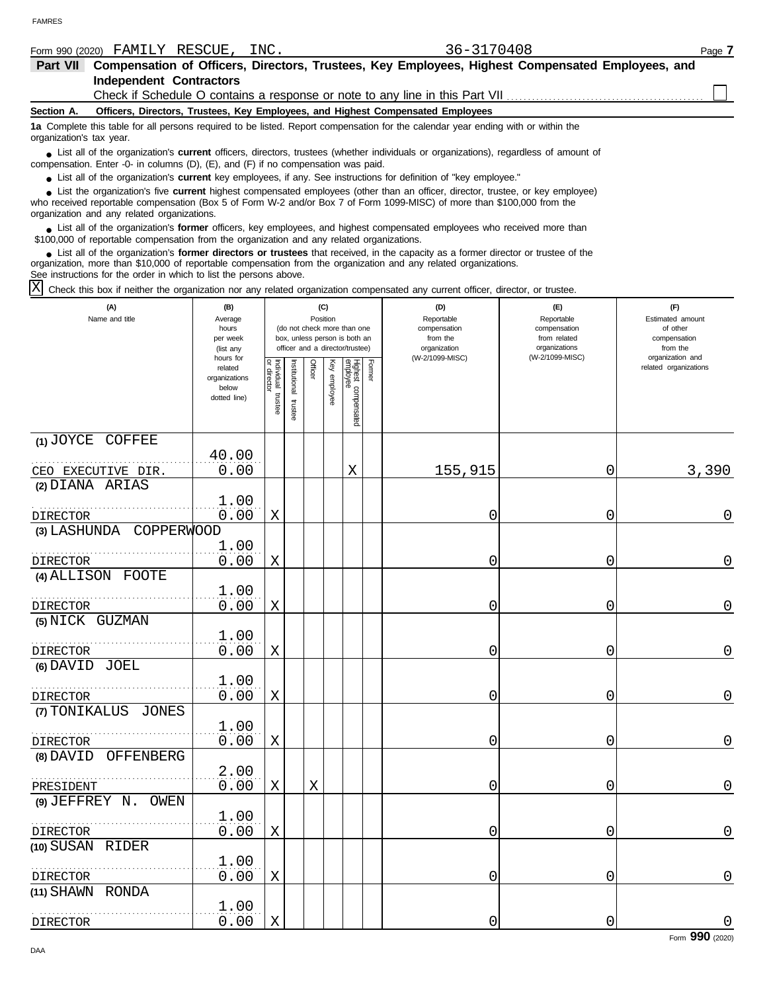|                          | Form 990 (2020) FAMILY                                                            | RESCUE, INC. | 36-3170408                                                                                                                                                                                                                                                         | Page 7 |
|--------------------------|-----------------------------------------------------------------------------------|--------------|--------------------------------------------------------------------------------------------------------------------------------------------------------------------------------------------------------------------------------------------------------------------|--------|
| <b>Part VII</b>          |                                                                                   |              | Compensation of Officers, Directors, Trustees, Key Employees, Highest Compensated Employees, and                                                                                                                                                                   |        |
|                          | <b>Independent Contractors</b>                                                    |              |                                                                                                                                                                                                                                                                    |        |
|                          |                                                                                   |              |                                                                                                                                                                                                                                                                    |        |
| Section A.               |                                                                                   |              | Officers, Directors, Trustees, Key Employees, and Highest Compensated Employees                                                                                                                                                                                    |        |
| organization's tax year. |                                                                                   |              | 1a Complete this table for all persons required to be listed. Report compensation for the calendar year ending with or within the                                                                                                                                  |        |
|                          | compensation. Enter -0- in columns (D), (E), and (F) if no compensation was paid. |              | • List all of the organization's <b>current</b> officers, directors, trustees (whether individuals or organizations), regardless of amount of                                                                                                                      |        |
|                          |                                                                                   |              | • List all of the organization's <b>current</b> key employees, if any. See instructions for definition of "key employee."                                                                                                                                          |        |
|                          | organization and any related organizations.                                       |              | • List the organization's five <b>current</b> highest compensated employees (other than an officer, director, trustee, or key employee)<br>who received reportable compensation (Box 5 of Form W-2 and/or Box 7 of Form 1099-MISC) of more than \$100,000 from the |        |
|                          |                                                                                   |              | • List all of the organization's former officers, key employees, and highest compensated employees who received more than<br>\$100,000 of reportable compensation from the organization and any related organizations.                                             |        |
|                          |                                                                                   |              | • List all of the organization's <b>former directors or trustees</b> that received, in the capacity as a former director or trustee of the<br>organization, more than \$10,000 of reportable compensation from the organization and any related organizations.     |        |

See instructions for the order in which to list the persons above.

Check this box if neither the organization nor any related organization compensated any current officer, director, or trustee. X

| (A)<br>Name and title                                | (B)<br>Average<br>hours<br>per week<br>(list any               |                                   |                       | (C)<br>Position |              | (do not check more than one<br>box, unless person is both an<br>officer and a director/trustee) |               | (D)<br>Reportable<br>compensation<br>from the<br>organization | (E)<br>Reportable<br>compensation<br>from related<br>organizations | (F)<br>Estimated amount<br>of other<br>compensation<br>from the<br>organization and |  |  |
|------------------------------------------------------|----------------------------------------------------------------|-----------------------------------|-----------------------|-----------------|--------------|-------------------------------------------------------------------------------------------------|---------------|---------------------------------------------------------------|--------------------------------------------------------------------|-------------------------------------------------------------------------------------|--|--|
|                                                      | hours for<br>related<br>organizations<br>below<br>dotted line) | Individual trustee<br>or director | Institutional trustee | Officer         | Key employee | Highest compensated<br>employee                                                                 | <b>Former</b> | (W-2/1099-MISC)                                               | (W-2/1099-MISC)                                                    | related organizations                                                               |  |  |
| (1) JOYCE COFFEE<br>CEO EXECUTIVE DIR.               | 40.00<br>0.00                                                  |                                   |                       |                 |              | X                                                                                               |               | 155,915                                                       | 0                                                                  | 3,390                                                                               |  |  |
| (2) DIANA ARIAS                                      | 1.00                                                           |                                   |                       |                 |              |                                                                                                 |               |                                                               |                                                                    |                                                                                     |  |  |
| <b>DIRECTOR</b><br><b>COPPERWOOD</b><br>(3) LASHUNDA | 0.00                                                           | Χ                                 |                       |                 |              |                                                                                                 |               | 0                                                             | 0                                                                  | 0                                                                                   |  |  |
| <b>DIRECTOR</b>                                      | 1.00<br>0.00                                                   | $\mathbf X$                       |                       |                 |              |                                                                                                 |               | $\mathbf 0$                                                   | 0                                                                  | $\mathbf 0$                                                                         |  |  |
| (4) ALLISON FOOTE<br>DIRECTOR                        | 1.00<br>0.00                                                   | Χ                                 |                       |                 |              |                                                                                                 |               | 0                                                             | 0                                                                  | $\mathbf 0$                                                                         |  |  |
| (5) NICK GUZMAN                                      | 1.00<br>0.00                                                   |                                   |                       |                 |              |                                                                                                 |               |                                                               | 0                                                                  | 0                                                                                   |  |  |
| DIRECTOR<br>(6) DAVID JOEL                           | 1.00                                                           | Χ                                 |                       |                 |              |                                                                                                 |               | 0                                                             |                                                                    |                                                                                     |  |  |
| DIRECTOR<br>(7) TONIKALUS<br>JONES                   | 0.00                                                           | $\mathbf X$                       |                       |                 |              |                                                                                                 |               | 0                                                             | 0                                                                  | $\overline{0}$                                                                      |  |  |
| DIRECTOR                                             | 1.00<br>0.00                                                   | X                                 |                       |                 |              |                                                                                                 |               | 0                                                             | 0                                                                  | $\mathsf{O}$                                                                        |  |  |
| (8) DAVID<br>OFFENBERG<br>PRESIDENT                  | 2.00<br>0.00                                                   | Χ                                 |                       | Χ               |              |                                                                                                 |               | 0                                                             | 0                                                                  | 0                                                                                   |  |  |
| $(9)$ JEFFREY $N$ .<br>OWEN                          | 1.00                                                           |                                   |                       |                 |              |                                                                                                 |               |                                                               |                                                                    |                                                                                     |  |  |
| DIRECTOR<br>(10) SUSAN RIDER                         | 0.00                                                           | Χ                                 |                       |                 |              |                                                                                                 |               | 0                                                             | 0                                                                  | $\overline{0}$                                                                      |  |  |
| <b>DIRECTOR</b>                                      | 1.00<br>0.00                                                   | Χ                                 |                       |                 |              |                                                                                                 |               | 0                                                             | 0                                                                  | $\mathsf{O}\xspace$                                                                 |  |  |
| (11) SHAWN RONDA<br><b>DIRECTOR</b>                  | 1.00<br>0.00                                                   | X                                 |                       |                 |              |                                                                                                 |               | 0                                                             | 0                                                                  |                                                                                     |  |  |
|                                                      |                                                                |                                   |                       |                 |              |                                                                                                 |               |                                                               |                                                                    | Form 990 (2020)                                                                     |  |  |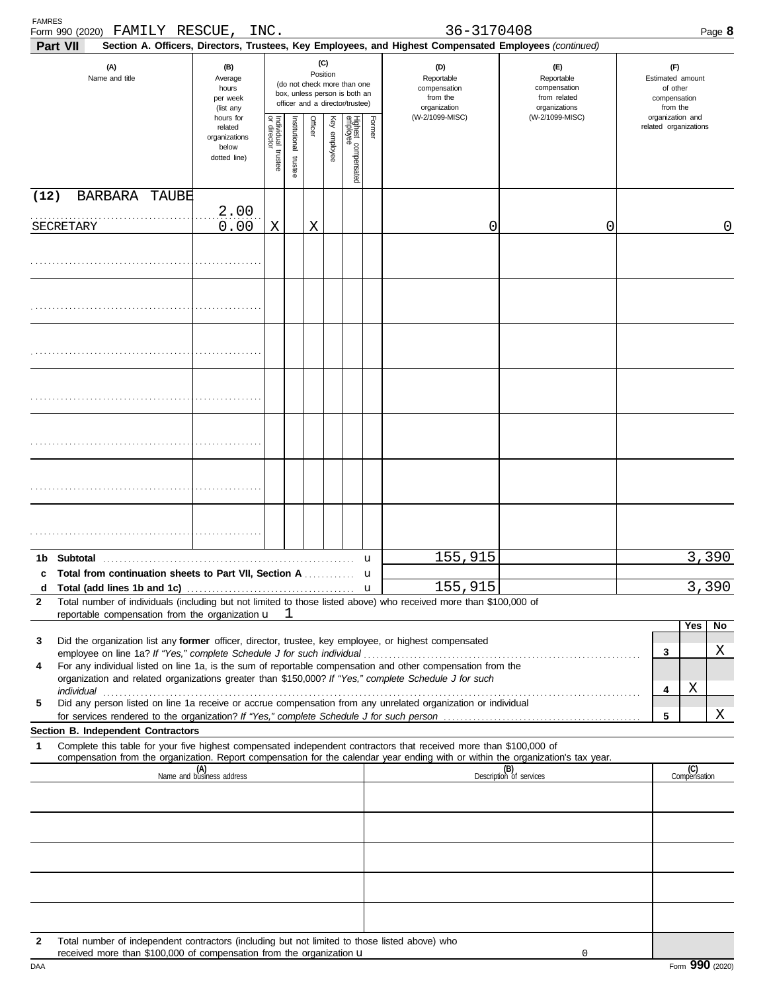| <b>FAMRES</b><br>Form 990 (2020) FAMILY RESCUE,<br>Part VII                                                                                                                                                               |                                                                | INC.                                                                                                               |                      |         |              |                                 |        | 36-3170408<br>Section A. Officers, Directors, Trustees, Key Employees, and Highest Compensated Employees (continued) |                                                                    |                                                                 | Page 8 |
|---------------------------------------------------------------------------------------------------------------------------------------------------------------------------------------------------------------------------|----------------------------------------------------------------|--------------------------------------------------------------------------------------------------------------------|----------------------|---------|--------------|---------------------------------|--------|----------------------------------------------------------------------------------------------------------------------|--------------------------------------------------------------------|-----------------------------------------------------------------|--------|
| (A)<br>Name and title                                                                                                                                                                                                     | (B)<br>Average<br>hours<br>per week<br>(list any               | (C)<br>Position<br>(do not check more than one<br>box, unless person is both an<br>officer and a director/trustee) |                      |         |              |                                 |        | (D)<br>Reportable<br>compensation<br>from the<br>organization                                                        | (E)<br>Reportable<br>compensation<br>from related<br>organizations | (F)<br>Estimated amount<br>of other<br>compensation<br>from the |        |
|                                                                                                                                                                                                                           | hours for<br>related<br>organizations<br>below<br>dotted line) | Individual trustee<br>or director                                                                                  | nstitutional trustee | Officer | Key employee | Highest compensated<br>employee | Former | (W-2/1099-MISC)                                                                                                      | (W-2/1099-MISC)                                                    | organization and<br>related organizations                       |        |
| (12)<br>BARBARA TAUBE                                                                                                                                                                                                     |                                                                |                                                                                                                    |                      |         |              |                                 |        |                                                                                                                      |                                                                    |                                                                 |        |
| SECRETARY                                                                                                                                                                                                                 | 2.00<br>0.00                                                   | Χ                                                                                                                  |                      | Χ       |              |                                 |        | 0                                                                                                                    | 0                                                                  |                                                                 | 0      |
|                                                                                                                                                                                                                           |                                                                |                                                                                                                    |                      |         |              |                                 |        |                                                                                                                      |                                                                    |                                                                 |        |
|                                                                                                                                                                                                                           |                                                                |                                                                                                                    |                      |         |              |                                 |        |                                                                                                                      |                                                                    |                                                                 |        |
|                                                                                                                                                                                                                           |                                                                |                                                                                                                    |                      |         |              |                                 |        |                                                                                                                      |                                                                    |                                                                 |        |
|                                                                                                                                                                                                                           |                                                                |                                                                                                                    |                      |         |              |                                 |        |                                                                                                                      |                                                                    |                                                                 |        |
|                                                                                                                                                                                                                           |                                                                |                                                                                                                    |                      |         |              |                                 |        |                                                                                                                      |                                                                    |                                                                 |        |
|                                                                                                                                                                                                                           |                                                                |                                                                                                                    |                      |         |              |                                 |        |                                                                                                                      |                                                                    |                                                                 |        |
|                                                                                                                                                                                                                           |                                                                |                                                                                                                    |                      |         |              |                                 |        |                                                                                                                      |                                                                    |                                                                 |        |
|                                                                                                                                                                                                                           |                                                                |                                                                                                                    |                      |         |              |                                 | u      | 155,915                                                                                                              |                                                                    |                                                                 | 3,390  |
| c Total from continuation sheets to Part VII, Section A<br>d                                                                                                                                                              |                                                                |                                                                                                                    |                      |         |              |                                 | u      | 155,915                                                                                                              |                                                                    |                                                                 | 3,390  |
| Total number of individuals (including but not limited to those listed above) who received more than \$100,000 of<br>2                                                                                                    |                                                                |                                                                                                                    |                      |         |              |                                 |        |                                                                                                                      |                                                                    |                                                                 |        |
| reportable compensation from the organization u                                                                                                                                                                           |                                                                |                                                                                                                    | П.                   |         |              |                                 |        |                                                                                                                      |                                                                    | Yes                                                             | No     |
| Did the organization list any former officer, director, trustee, key employee, or highest compensated<br>3                                                                                                                |                                                                |                                                                                                                    |                      |         |              |                                 |        |                                                                                                                      |                                                                    | 3                                                               | Χ      |
| For any individual listed on line 1a, is the sum of reportable compensation and other compensation from the<br>4<br>organization and related organizations greater than \$150,000? If "Yes," complete Schedule J for such |                                                                |                                                                                                                    |                      |         |              |                                 |        |                                                                                                                      |                                                                    |                                                                 |        |
| Did any person listed on line 1a receive or accrue compensation from any unrelated organization or individual<br>5                                                                                                        |                                                                |                                                                                                                    |                      |         |              |                                 |        |                                                                                                                      |                                                                    | Χ<br>4                                                          |        |
| for services rendered to the organization? If "Yes," complete Schedule J for such person.                                                                                                                                 |                                                                |                                                                                                                    |                      |         |              |                                 |        |                                                                                                                      |                                                                    | 5                                                               | Χ      |
| Section B. Independent Contractors<br>Complete this table for your five highest compensated independent contractors that received more than \$100,000 of<br>1                                                             |                                                                |                                                                                                                    |                      |         |              |                                 |        |                                                                                                                      |                                                                    |                                                                 |        |
| compensation from the organization. Report compensation for the calendar year ending with or within the organization's tax year.                                                                                          |                                                                |                                                                                                                    |                      |         |              |                                 |        |                                                                                                                      | (B)<br>Description of services                                     | (C)                                                             |        |
| (A)<br>Name and business address                                                                                                                                                                                          |                                                                |                                                                                                                    |                      |         |              |                                 |        | Compensation                                                                                                         |                                                                    |                                                                 |        |
|                                                                                                                                                                                                                           |                                                                |                                                                                                                    |                      |         |              |                                 |        |                                                                                                                      |                                                                    |                                                                 |        |
|                                                                                                                                                                                                                           |                                                                |                                                                                                                    |                      |         |              |                                 |        |                                                                                                                      |                                                                    |                                                                 |        |
|                                                                                                                                                                                                                           |                                                                |                                                                                                                    |                      |         |              |                                 |        |                                                                                                                      |                                                                    |                                                                 |        |
| Total number of independent contractors (including but not limited to those listed above) who<br>$\mathbf{2}$<br>received more than \$100,000 of compensation from the organization u                                     |                                                                |                                                                                                                    |                      |         |              |                                 |        |                                                                                                                      | 0                                                                  |                                                                 |        |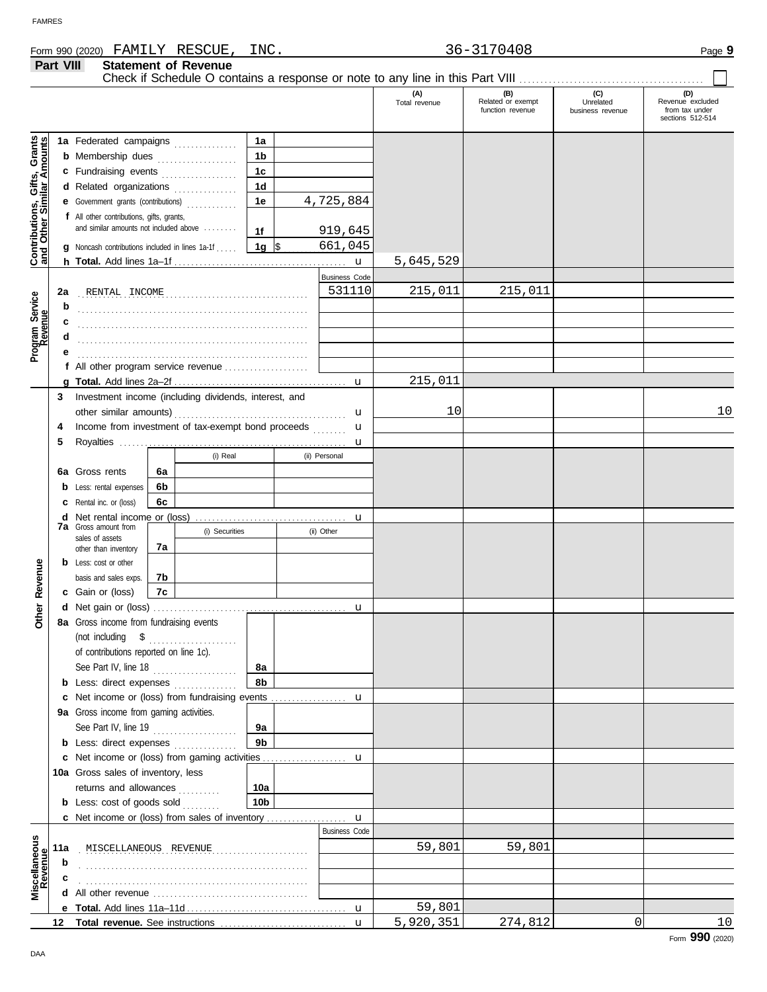|                                                           | Part VIII |                                                                         |    | <b>Statement of Revenue</b> |                |                      | Check if Schedule O contains a response or note to any line in this Part VIII |                                              |                                      |                                                               |
|-----------------------------------------------------------|-----------|-------------------------------------------------------------------------|----|-----------------------------|----------------|----------------------|-------------------------------------------------------------------------------|----------------------------------------------|--------------------------------------|---------------------------------------------------------------|
|                                                           |           |                                                                         |    |                             |                |                      | (A)<br>Total revenue                                                          | (B)<br>Related or exempt<br>function revenue | (C)<br>Unrelated<br>business revenue | (D)<br>Revenue excluded<br>from tax under<br>sections 512-514 |
|                                                           |           | 1a Federated campaigns                                                  |    |                             | 1a             |                      |                                                                               |                                              |                                      |                                                               |
|                                                           |           | <b>b</b> Membership dues                                                |    |                             | 1 <sub>b</sub> |                      |                                                                               |                                              |                                      |                                                               |
|                                                           |           | c Fundraising events                                                    |    |                             | 1 <sub>c</sub> |                      |                                                                               |                                              |                                      |                                                               |
|                                                           |           | d Related organizations                                                 |    | .                           | 1 <sub>d</sub> |                      |                                                                               |                                              |                                      |                                                               |
|                                                           |           | e Government grants (contributions)                                     |    |                             | 1e             | 4,725,884            |                                                                               |                                              |                                      |                                                               |
|                                                           |           | f All other contributions, gifts, grants,                               |    |                             |                |                      |                                                                               |                                              |                                      |                                                               |
|                                                           |           | and similar amounts not included above                                  |    |                             | 1f             | 919,645              |                                                                               |                                              |                                      |                                                               |
|                                                           | g         | Noncash contributions included in lines 1a-1f                           |    |                             | 1g $\sqrt{3}$  | 661,045              |                                                                               |                                              |                                      |                                                               |
| Contributions, Gifts, Grants<br>and Other Similar Amounts |           |                                                                         |    |                             |                | $\mathbf{u}$         | 5,645,529                                                                     |                                              |                                      |                                                               |
|                                                           |           |                                                                         |    |                             |                | <b>Business Code</b> |                                                                               |                                              |                                      |                                                               |
|                                                           | 2a        |                                                                         |    |                             |                | 531110               | 215,011                                                                       | 215,011                                      |                                      |                                                               |
| Program Service<br>Revenue                                | b         |                                                                         |    |                             |                |                      |                                                                               |                                              |                                      |                                                               |
|                                                           | c         |                                                                         |    |                             |                |                      |                                                                               |                                              |                                      |                                                               |
|                                                           |           |                                                                         |    |                             |                |                      |                                                                               |                                              |                                      |                                                               |
|                                                           |           |                                                                         |    |                             |                |                      |                                                                               |                                              |                                      |                                                               |
|                                                           |           | f All other program service revenue $\ldots$ $\ldots$ $\ldots$ $\ldots$ |    |                             |                |                      |                                                                               |                                              |                                      |                                                               |
|                                                           |           |                                                                         |    |                             |                |                      | 215,011                                                                       |                                              |                                      |                                                               |
|                                                           | 3         | Investment income (including dividends, interest, and                   |    |                             |                |                      |                                                                               |                                              |                                      |                                                               |
|                                                           |           |                                                                         |    |                             |                | u                    | 10                                                                            |                                              |                                      | 10                                                            |
|                                                           | 4         | Income from investment of tax-exempt bond proceeds                      |    |                             |                | u                    |                                                                               |                                              |                                      |                                                               |
|                                                           | 5         |                                                                         |    |                             |                | u                    |                                                                               |                                              |                                      |                                                               |
|                                                           |           |                                                                         |    | (i) Real                    |                | (ii) Personal        |                                                                               |                                              |                                      |                                                               |
|                                                           |           | 6a Gross rents                                                          | 6a |                             |                |                      |                                                                               |                                              |                                      |                                                               |
|                                                           | b         | Less: rental expenses                                                   | 6b |                             |                |                      |                                                                               |                                              |                                      |                                                               |
|                                                           |           | Rental inc. or (loss)                                                   | 6c |                             |                |                      |                                                                               |                                              |                                      |                                                               |
|                                                           |           | <b>d</b> Net rental income or (loss)                                    |    |                             |                | u                    |                                                                               |                                              |                                      |                                                               |
|                                                           |           | <b>7a</b> Gross amount from<br>sales of assets                          |    | (i) Securities              |                | (ii) Other           |                                                                               |                                              |                                      |                                                               |
|                                                           |           | other than inventory                                                    | 7а |                             |                |                      |                                                                               |                                              |                                      |                                                               |
|                                                           |           | <b>b</b> Less: cost or other                                            |    |                             |                |                      |                                                                               |                                              |                                      |                                                               |
| Revenue                                                   |           | basis and sales exps.                                                   | 7b |                             |                |                      |                                                                               |                                              |                                      |                                                               |
|                                                           |           | c Gain or (loss)                                                        | 7c |                             |                |                      |                                                                               |                                              |                                      |                                                               |
| ther                                                      |           |                                                                         |    |                             |                | u                    |                                                                               |                                              |                                      |                                                               |
|                                                           |           | 8a Gross income from fundraising events                                 |    |                             |                |                      |                                                                               |                                              |                                      |                                                               |
|                                                           |           | (not including $\quad$ \$ $\quad$                                       |    |                             |                |                      |                                                                               |                                              |                                      |                                                               |
|                                                           |           | of contributions reported on line 1c).                                  |    |                             |                |                      |                                                                               |                                              |                                      |                                                               |
|                                                           |           | See Part IV, line 18                                                    |    | .                           | 8a             |                      |                                                                               |                                              |                                      |                                                               |
|                                                           |           | <b>b</b> Less: direct expenses                                          |    |                             | 8b             |                      |                                                                               |                                              |                                      |                                                               |
|                                                           |           | c Net income or (loss) from fundraising events                          |    |                             |                | u                    |                                                                               |                                              |                                      |                                                               |
|                                                           |           | 9a Gross income from gaming activities.                                 |    |                             |                |                      |                                                                               |                                              |                                      |                                                               |
|                                                           |           | See Part IV, line 19                                                    |    | .                           | 9a             |                      |                                                                               |                                              |                                      |                                                               |
|                                                           |           | <b>b</b> Less: direct expenses                                          |    |                             | 9 <sub>b</sub> |                      |                                                                               |                                              |                                      |                                                               |
|                                                           |           | c Net income or (loss) from gaming activities                           |    |                             |                | u                    |                                                                               |                                              |                                      |                                                               |
|                                                           |           | 10a Gross sales of inventory, less                                      |    |                             |                |                      |                                                                               |                                              |                                      |                                                               |
|                                                           |           | returns and allowances                                                  |    |                             | 10a            |                      |                                                                               |                                              |                                      |                                                               |
|                                                           |           | <b>b</b> Less: cost of goods sold                                       |    |                             | 10b            |                      |                                                                               |                                              |                                      |                                                               |
|                                                           |           |                                                                         |    |                             |                | $\mathbf u$          |                                                                               |                                              |                                      |                                                               |
|                                                           |           |                                                                         |    |                             |                | <b>Business Code</b> |                                                                               |                                              |                                      |                                                               |
| Miscellaneous<br>Revenue                                  | 11a       | MISCELLANEOUS REVENUE                                                   |    |                             |                |                      | 59,801                                                                        | 59,801                                       |                                      |                                                               |
|                                                           | b         |                                                                         |    |                             |                |                      |                                                                               |                                              |                                      |                                                               |
|                                                           |           |                                                                         |    |                             |                |                      |                                                                               |                                              |                                      |                                                               |
|                                                           |           |                                                                         |    |                             |                |                      |                                                                               |                                              |                                      |                                                               |
|                                                           |           |                                                                         |    |                             |                |                      | 59,801                                                                        |                                              |                                      |                                                               |
|                                                           |           |                                                                         |    |                             |                |                      | 5,920,351                                                                     | 274,812                                      | 0                                    | 10                                                            |

DAA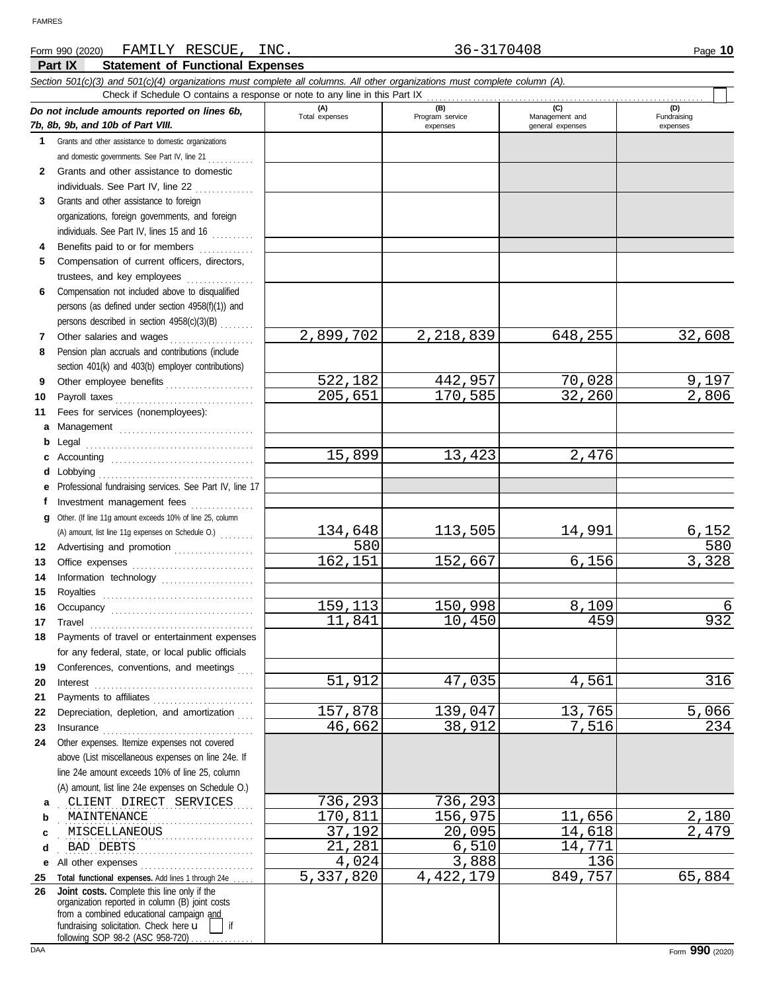### **Part IX Statement of Functional Expenses** Form 990 (2020) Page **10** FAMILY RESCUE, INC. 36-3170408 *Section 501(c)(3) and 501(c)(4) organizations must complete all columns. All other organizations must complete column (A). Do not include amounts reported on lines 6b, 7b, 8b, 9b, and 10b of Part VIII.* **1 2 3 4 5 6** Compensation not included above to disqualified **7 8 9 10 11 a** Management ................................. **b** Legal . . . . . . . . . . . . . . . . . . . . . . . . . . . . . . . . . . . . . . . . **c** Accounting . . . . . . . . . . . . . . . . . . . . . . . . . . . . . . . . . . **d** Lobbying . . . . . . . . . . . . . . . . . . . . . . . . . . . . . . . . . . . . . **e** Professional fundraising services. See Part IV, line 17 **f g** Other. (If line 11g amount exceeds 10% of line 25, column **12** Advertising and promotion . . . . . . . . . . . . . . . . . . **13 14 15 16 17 18 19 20 21 22 23 24** Other expenses. Itemize expenses not covered **a** . . . . . . . . . . . . . . . . . . . . . . . . . . . . . . . . . . . . . . . . . . . . . . CLIENT DIRECT SERVICES 736,293 736,293 **b c d** . . . . . . . . . . . . . . . . . . . . . . . . . . . . . . . . . . . . . . . . . . . . . . BAD DEBTS 21,281 6,510 14,771 **e** All other expenses . . . . . . . . . . . . . . . . . . . . . . . . . . . 25 Total functional expenses. Add lines 1 through 24e . . . . . **26** Grants and other assistance to domestic organizations and domestic governments. See Part IV, line 21 . . . . . . . . . . Grants and other assistance to domestic individuals. See Part IV, line 22 . . . . . . . . . . . . . . . Grants and other assistance to foreign organizations, foreign governments, and foreign individuals. See Part IV, lines 15 and 16 Benefits paid to or for members .............. Compensation of current officers, directors, trustees, and key employees ................. persons (as defined under section 4958(f)(1)) and persons described in section 4958(c)(3)(B) . . . . . . . . Other salaries and wages . . . . . . . . . . . . . . . . . . . . Pension plan accruals and contributions (include section 401(k) and 403(b) employer contributions) Other employee benefits . . . . . . . . . . . . . . . . . . . . . Payroll taxes . . . . . . . . . . . . . . . . . . . . . . . . . . . . . . . . . Fees for services (nonemployees): Investment management fees ................ Office expenses . . . . . . . . . . . . . . . . . . . . . . . . . . . . . Information technology . . . . . . . . . . . . . . . . . . . . . . Royalties . . . . . . . . . . . . . . . . . . . . . . . . . . . . . . . . . . . . Occupancy . . . . . . . . . . . . . . . . . . . . . . . . . . . . . . . . . . Travel . . . . . . . . . . . . . . . . . . . . . . . . . . . . . . . . . . . . . . . Payments of travel or entertainment expenses for any federal, state, or local public officials Conferences, conventions, and meetings Interest . . . . . . . . . . . . . . . . . . . . . . . . . . . . . . . . . . . . . . Payments to affiliates . . . . . . . . . . . . . . . . . . . . . . . . Depreciation, depletion, and amortization Insurance . . . . . . . . . . . . . . . . . . . . . . . . . . . . . . . . . . . . above (List miscellaneous expenses on line 24e. If line 24e amount exceeds 10% of line 25, column (A) amount, list line 24e expenses on Schedule O.) organization reported in column (B) joint costs from a combined educational campaign and **(A) (B) (C) (D)** Total expenses Program service Management and expenses and general expenses (D)<br>Fundraising expenses . MAINTENANCE 2,180 . . . . . . . . . . . . . . . . . . . . . . . . . . . . . . . . . . . . . . . . . . . . . . MISCELLANEOUS 37,192 20,095 14,618 2,479 Check if Schedule O contains a response or note to any line in this Part IX **Joint costs.** Complete this line only if the (A) amount, list line 11g expenses on Schedule O.) . . . . . . . . 2,899,702 2,218,839 648,255 32,608 522,182 442,957 70,028 9,197<br>205,651 170,585 32,260 2,806 205,651 15,899 13,423 2,476 134,648 113,505 14,991 6,152<br>580 580 580 580 162,151 152,667 6,156 3,328 159,113 150,998 8,109 6<br>11,841 10,450 459 932 11,841 10,450 459 932 51,912 47,035 4,561 316 157,878 139,047 13,765 5,066<br>46,662 38,912 7,516 234 46,662 1,024 3,888 136<br>7,820 4,422,179 849,757 5,337,820 4,422,179 849,757 65,884

fundraising solicitation. Check here  $\mathbf{u}$  | if

following SOP 98-2 (ASC 958-720)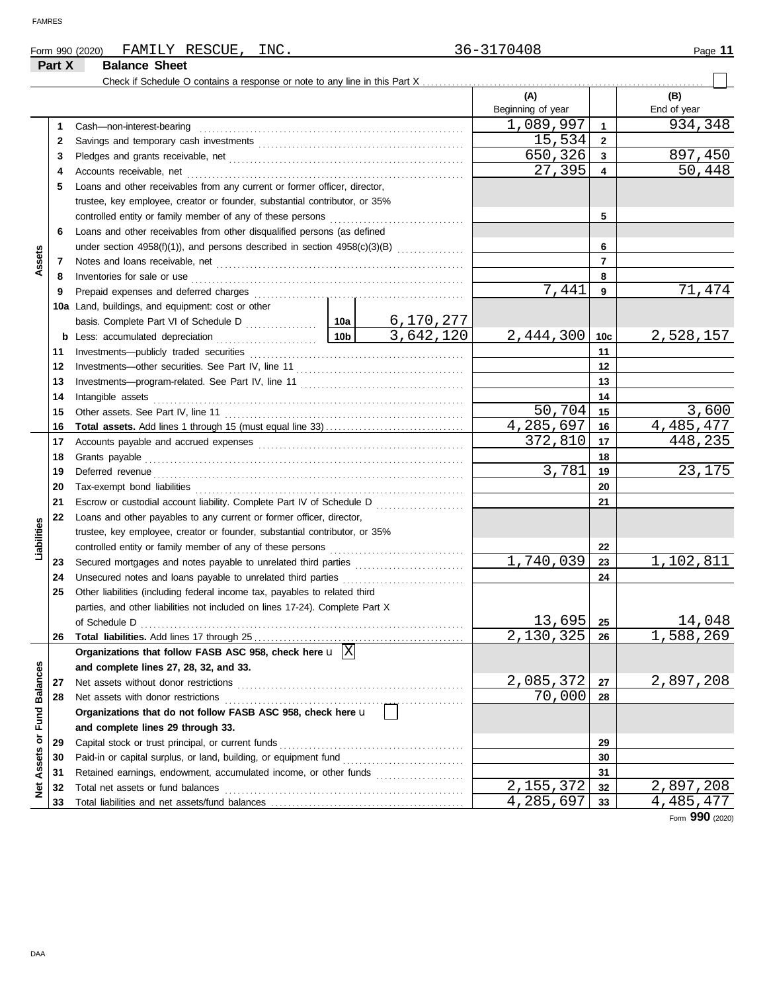| Form 990 (2020) | RESCUE<br>FAMILY     | INC. | $h -$<br>$\cdot$ $\prime$<br>: U C | Page |
|-----------------|----------------------|------|------------------------------------|------|
| Part Y          | <b>Balance Sheet</b> |      |                                    |      |

|                      | Part X   | <b>Balance Sheet</b>                                                           |       |           |                        |                   |                 |             |
|----------------------|----------|--------------------------------------------------------------------------------|-------|-----------|------------------------|-------------------|-----------------|-------------|
|                      |          |                                                                                |       |           |                        |                   |                 |             |
|                      |          |                                                                                |       |           |                        | (A)               |                 | (B)         |
|                      |          |                                                                                |       |           |                        | Beginning of year |                 | End of year |
|                      | 1        | Cash-non-interest-bearing                                                      |       |           |                        | 1,089,997         | $\mathbf{1}$    | 934,348     |
|                      | 2        |                                                                                |       |           |                        | 15,534            | $\mathbf{2}$    |             |
|                      | 3        |                                                                                |       |           |                        | 650,326           | 3               | 897,450     |
|                      | 4        | Accounts receivable, net                                                       |       |           |                        | 27,395            | 4               | 50,448      |
|                      | 5        | Loans and other receivables from any current or former officer, director,      |       |           |                        |                   |                 |             |
|                      |          | trustee, key employee, creator or founder, substantial contributor, or 35%     |       |           |                        |                   |                 |             |
|                      |          |                                                                                |       |           |                        |                   | 5               |             |
|                      | 6        | Loans and other receivables from other disqualified persons (as defined        |       |           |                        |                   |                 |             |
|                      |          | under section $4958(f)(1)$ ), and persons described in section $4958(c)(3)(B)$ |       |           |                        |                   | 6               |             |
| Assets               | 7        |                                                                                |       |           |                        |                   | $\overline{7}$  |             |
|                      | 8        | Inventories for sale or use                                                    |       |           |                        |                   | 8               |             |
|                      | 9        | Prepaid expenses and deferred charges                                          |       |           |                        | 7,441             | 9               | 71,474      |
|                      |          | 10a Land, buildings, and equipment: cost or other                              |       |           |                        |                   |                 |             |
|                      |          |                                                                                |       |           | 6,170,277              |                   |                 |             |
|                      |          | <b>b</b> Less: accumulated depreciation                                        |       | 10b       | $\overline{3,642,120}$ | 2,444,300         | 10 <sub>c</sub> | 2,528,157   |
|                      | 11       |                                                                                |       |           |                        |                   | 11              |             |
|                      | 12       |                                                                                |       |           |                        |                   | 12              |             |
|                      | 13       |                                                                                |       | 13        |                        |                   |                 |             |
|                      | 14       | Intangible assets                                                              |       | 14        |                        |                   |                 |             |
|                      | 15       |                                                                                |       |           |                        | 50,704            | 15              | 3,600       |
|                      | 16       |                                                                                |       | 4,285,697 | 16                     | 4,485,477         |                 |             |
|                      | 17       |                                                                                |       |           |                        | 372,810           | 17              | 448,235     |
|                      | 18       | Grants payable                                                                 | 3,781 | 18<br>19  | 23,175                 |                   |                 |             |
|                      | 19       | Deferred revenue                                                               |       |           |                        |                   |                 |             |
|                      | 20       |                                                                                |       |           |                        |                   | 20<br>21        |             |
|                      | 21       | Escrow or custodial account liability. Complete Part IV of Schedule D          |       |           |                        |                   |                 |             |
|                      | 22       | Loans and other payables to any current or former officer, director,           |       |           |                        |                   |                 |             |
| Liabilities          |          | trustee, key employee, creator or founder, substantial contributor, or 35%     |       |           |                        |                   | 22              |             |
|                      |          | controlled entity or family member of any of these persons                     |       |           |                        | 1,740,039         | 23              | 1,102,811   |
|                      | 23<br>24 | Unsecured notes and loans payable to unrelated third parties                   |       |           |                        |                   | 24              |             |
|                      | 25       | Other liabilities (including federal income tax, payables to related third     |       |           |                        |                   |                 |             |
|                      |          | parties, and other liabilities not included on lines 17-24). Complete Part X   |       |           |                        |                   |                 |             |
|                      |          | of Schedule D                                                                  |       |           |                        | $13,695$ 25       |                 | 14,048      |
|                      | 26       |                                                                                |       |           |                        | 2,130,325         | 26              | 1,588,269   |
|                      |          | Organizations that follow FASB ASC 958, check here $\mathbf{u}$ $\overline{X}$ |       |           |                        |                   |                 |             |
|                      |          | and complete lines 27, 28, 32, and 33.                                         |       |           |                        |                   |                 |             |
|                      | 27       | Net assets without donor restrictions                                          |       |           |                        | 2,085,372         | 27              | 2,897,208   |
|                      | 28       | Net assets with donor restrictions                                             |       |           |                        | 70,000            | 28              |             |
|                      |          | Organizations that do not follow FASB ASC 958, check here u                    |       |           |                        |                   |                 |             |
| <b>Fund Balances</b> |          | and complete lines 29 through 33.                                              |       |           |                        |                   |                 |             |
|                      | 29       | Capital stock or trust principal, or current funds                             |       |           |                        |                   | 29              |             |
|                      | 30       |                                                                                |       |           |                        |                   | 30              |             |
|                      | 31       | Retained earnings, endowment, accumulated income, or other funds               |       |           |                        |                   | 31              |             |
| Net Assets or        | 32       | Total net assets or fund balances                                              |       |           |                        | 2,155,372         | 32              | 2,897,208   |
|                      | 33       |                                                                                |       |           |                        | 4,285,697         | 33              | 4,485,477   |

Form **990** (2020)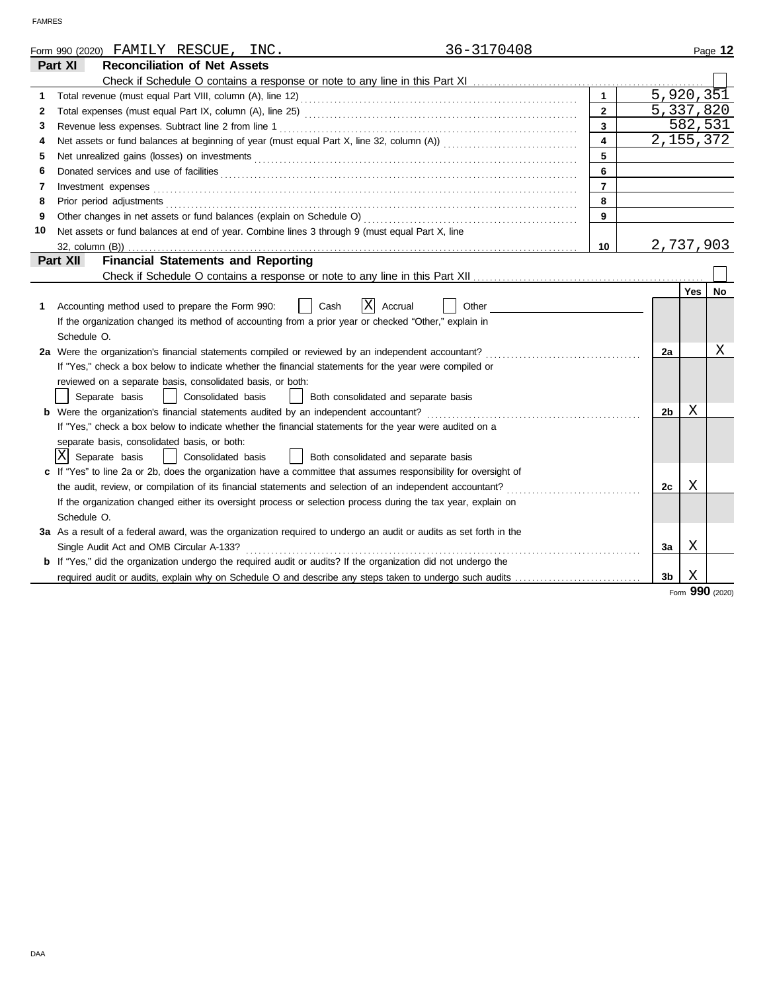|    | 36-3170408<br>Form 990 (2020) FAMILY RESCUE, INC.                                                                                                                                                                             |                         |                |             | Page 12   |
|----|-------------------------------------------------------------------------------------------------------------------------------------------------------------------------------------------------------------------------------|-------------------------|----------------|-------------|-----------|
|    | <b>Reconciliation of Net Assets</b><br>Part XI                                                                                                                                                                                |                         |                |             |           |
|    |                                                                                                                                                                                                                               |                         |                |             |           |
| 1  |                                                                                                                                                                                                                               | $\mathbf{1}$            |                | 5,920,351   |           |
| 2  |                                                                                                                                                                                                                               | $\overline{2}$          |                | 5,337,820   |           |
| 3  |                                                                                                                                                                                                                               | $\overline{\mathbf{3}}$ |                | 582,531     |           |
| 4  |                                                                                                                                                                                                                               | $\overline{\mathbf{4}}$ |                | 2, 155, 372 |           |
| 5  |                                                                                                                                                                                                                               | 5                       |                |             |           |
| 6  | Donated services and use of facilities <b>constants and in the service of facilities</b>                                                                                                                                      | 6                       |                |             |           |
| 7  | Investment expenses examples and the contract of the contract of the contract of the contract of the contract of the contract of the contract of the contract of the contract of the contract of the contract of the contract | $\overline{7}$          |                |             |           |
| 8  | Prior period adjustments entertainments and a statement of the statement of the statement of the statements of                                                                                                                | 8                       |                |             |           |
| 9  |                                                                                                                                                                                                                               | 9                       |                |             |           |
| 10 | Net assets or fund balances at end of year. Combine lines 3 through 9 (must equal Part X, line                                                                                                                                |                         |                |             |           |
|    |                                                                                                                                                                                                                               | 10                      |                | 2,737,903   |           |
|    | <b>Financial Statements and Reporting</b><br>Part XII                                                                                                                                                                         |                         |                |             |           |
|    |                                                                                                                                                                                                                               |                         |                |             |           |
|    |                                                                                                                                                                                                                               |                         |                | <b>Yes</b>  | <b>No</b> |
| 1. | ΙX<br>Other<br>Accounting method used to prepare the Form 990:<br>Cash<br>Accrual                                                                                                                                             |                         |                |             |           |
|    | If the organization changed its method of accounting from a prior year or checked "Other," explain in                                                                                                                         |                         |                |             |           |
|    | Schedule O.                                                                                                                                                                                                                   |                         |                |             |           |
|    | 2a Were the organization's financial statements compiled or reviewed by an independent accountant?                                                                                                                            |                         | 2a             |             | Χ         |
|    | If "Yes," check a box below to indicate whether the financial statements for the year were compiled or                                                                                                                        |                         |                |             |           |
|    | reviewed on a separate basis, consolidated basis, or both:                                                                                                                                                                    |                         |                |             |           |
|    | Separate basis<br>Consolidated basis<br>Both consolidated and separate basis                                                                                                                                                  |                         |                |             |           |
|    | <b>b</b> Were the organization's financial statements audited by an independent accountant?                                                                                                                                   |                         | 2 <sub>b</sub> | Χ           |           |
|    | If "Yes," check a box below to indicate whether the financial statements for the year were audited on a                                                                                                                       |                         |                |             |           |
|    | separate basis, consolidated basis, or both:                                                                                                                                                                                  |                         |                |             |           |
|    | lΧl<br>Separate basis<br>Consolidated basis<br>  Both consolidated and separate basis                                                                                                                                         |                         |                |             |           |
|    | If "Yes" to line 2a or 2b, does the organization have a committee that assumes responsibility for oversight of                                                                                                                |                         |                |             |           |
|    | the audit, review, or compilation of its financial statements and selection of an independent accountant?                                                                                                                     |                         | 2c             | Χ           |           |
|    | If the organization changed either its oversight process or selection process during the tax year, explain on                                                                                                                 |                         |                |             |           |
|    | Schedule O.                                                                                                                                                                                                                   |                         |                |             |           |
|    | 3a As a result of a federal award, was the organization required to undergo an audit or audits as set forth in the                                                                                                            |                         |                |             |           |
|    | Single Audit Act and OMB Circular A-133?                                                                                                                                                                                      |                         | За             | X           |           |
|    | If "Yes," did the organization undergo the required audit or audits? If the organization did not undergo the                                                                                                                  |                         |                |             |           |
|    |                                                                                                                                                                                                                               |                         | 3 <sub>b</sub> | Χ           |           |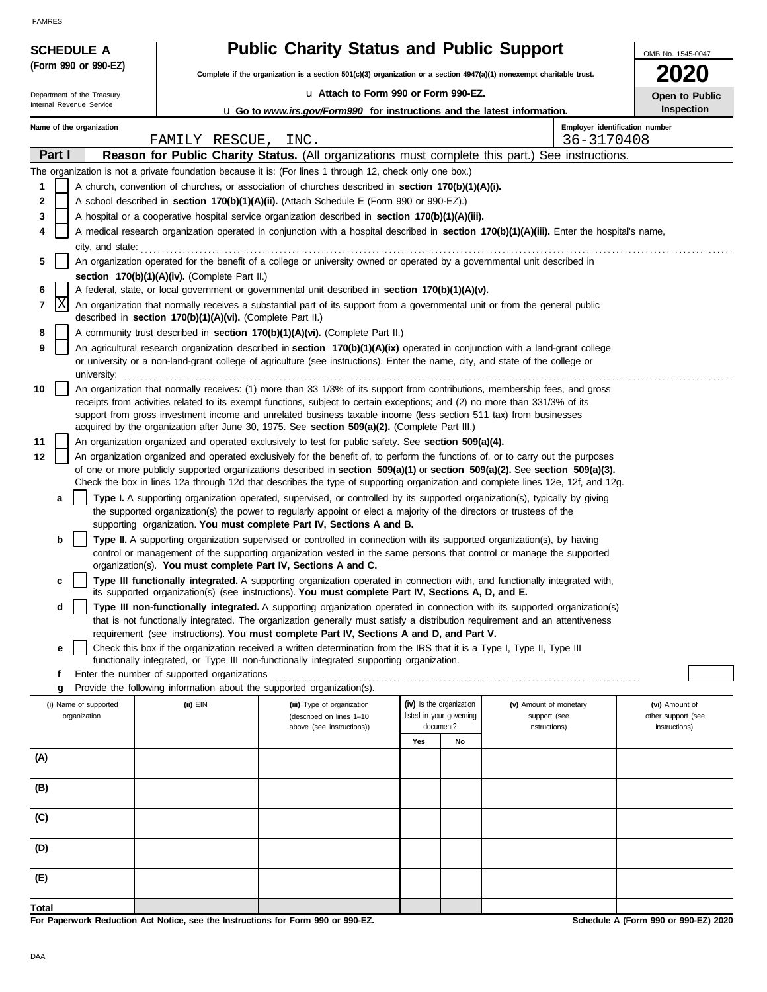| (Form 990 or 990-EZ)                                   |                                                            | <b>Public Charity Status and Public Support</b>                                                                                                                                                                                                                                                                              | OMB No. 1545-0047 |                                                      |                                                                                                                                            |                                      |
|--------------------------------------------------------|------------------------------------------------------------|------------------------------------------------------------------------------------------------------------------------------------------------------------------------------------------------------------------------------------------------------------------------------------------------------------------------------|-------------------|------------------------------------------------------|--------------------------------------------------------------------------------------------------------------------------------------------|--------------------------------------|
|                                                        |                                                            | Complete if the organization is a section 501(c)(3) organization or a section $4947(a)(1)$ nonexempt charitable trust.                                                                                                                                                                                                       |                   |                                                      |                                                                                                                                            | <b>2020</b>                          |
| Department of the Treasury<br>Internal Revenue Service |                                                            | La Attach to Form 990 or Form 990-EZ.                                                                                                                                                                                                                                                                                        |                   |                                                      |                                                                                                                                            | Open to Public<br>Inspection         |
| Name of the organization                               |                                                            | <b>u</b> Go to www.irs.gov/Form990 for instructions and the latest information.                                                                                                                                                                                                                                              |                   |                                                      | Employer identification number                                                                                                             |                                      |
|                                                        | FAMILY RESCUE, INC.                                        |                                                                                                                                                                                                                                                                                                                              |                   |                                                      | 36-3170408                                                                                                                                 |                                      |
| Part I                                                 |                                                            |                                                                                                                                                                                                                                                                                                                              |                   |                                                      | Reason for Public Charity Status. (All organizations must complete this part.) See instructions.                                           |                                      |
|                                                        |                                                            | The organization is not a private foundation because it is: (For lines 1 through 12, check only one box.)                                                                                                                                                                                                                    |                   |                                                      |                                                                                                                                            |                                      |
| 1                                                      |                                                            | A church, convention of churches, or association of churches described in section 170(b)(1)(A)(i).                                                                                                                                                                                                                           |                   |                                                      |                                                                                                                                            |                                      |
| 2                                                      |                                                            | A school described in section 170(b)(1)(A)(ii). (Attach Schedule E (Form 990 or 990-EZ).)                                                                                                                                                                                                                                    |                   |                                                      |                                                                                                                                            |                                      |
| 3                                                      |                                                            | A hospital or a cooperative hospital service organization described in section 170(b)(1)(A)(iii).                                                                                                                                                                                                                            |                   |                                                      |                                                                                                                                            |                                      |
| 4                                                      |                                                            |                                                                                                                                                                                                                                                                                                                              |                   |                                                      | A medical research organization operated in conjunction with a hospital described in section 170(b)(1)(A)(iii). Enter the hospital's name, |                                      |
| city, and state:<br>5                                  |                                                            | An organization operated for the benefit of a college or university owned or operated by a governmental unit described in                                                                                                                                                                                                    |                   |                                                      |                                                                                                                                            |                                      |
|                                                        | section 170(b)(1)(A)(iv). (Complete Part II.)              |                                                                                                                                                                                                                                                                                                                              |                   |                                                      |                                                                                                                                            |                                      |
| 6                                                      |                                                            | A federal, state, or local government or governmental unit described in section 170(b)(1)(A)(v).                                                                                                                                                                                                                             |                   |                                                      |                                                                                                                                            |                                      |
| x<br>7                                                 | described in section 170(b)(1)(A)(vi). (Complete Part II.) | An organization that normally receives a substantial part of its support from a governmental unit or from the general public                                                                                                                                                                                                 |                   |                                                      |                                                                                                                                            |                                      |
| 8                                                      |                                                            | A community trust described in section 170(b)(1)(A)(vi). (Complete Part II.)                                                                                                                                                                                                                                                 |                   |                                                      |                                                                                                                                            |                                      |
| 9<br>university:                                       |                                                            | An agricultural research organization described in section 170(b)(1)(A)(ix) operated in conjunction with a land-grant college<br>or university or a non-land-grant college of agriculture (see instructions). Enter the name, city, and state of the college or                                                              |                   |                                                      |                                                                                                                                            |                                      |
| 10                                                     |                                                            | An organization that normally receives: (1) more than 33 1/3% of its support from contributions, membership fees, and gross                                                                                                                                                                                                  |                   |                                                      |                                                                                                                                            |                                      |
|                                                        |                                                            | receipts from activities related to its exempt functions, subject to certain exceptions; and (2) no more than 331/3% of its                                                                                                                                                                                                  |                   |                                                      |                                                                                                                                            |                                      |
|                                                        |                                                            | support from gross investment income and unrelated business taxable income (less section 511 tax) from businesses<br>acquired by the organization after June 30, 1975. See section 509(a)(2). (Complete Part III.)                                                                                                           |                   |                                                      |                                                                                                                                            |                                      |
| 11                                                     |                                                            | An organization organized and operated exclusively to test for public safety. See section 509(a)(4).                                                                                                                                                                                                                         |                   |                                                      |                                                                                                                                            |                                      |
| 12                                                     |                                                            | An organization organized and operated exclusively for the benefit of, to perform the functions of, or to carry out the purposes                                                                                                                                                                                             |                   |                                                      |                                                                                                                                            |                                      |
|                                                        |                                                            | of one or more publicly supported organizations described in section $509(a)(1)$ or section $509(a)(2)$ . See section $509(a)(3)$ .                                                                                                                                                                                          |                   |                                                      |                                                                                                                                            |                                      |
|                                                        |                                                            |                                                                                                                                                                                                                                                                                                                              |                   |                                                      | Check the box in lines 12a through 12d that describes the type of supporting organization and complete lines 12e, 12f, and 12g.            |                                      |
| a                                                      |                                                            | Type I. A supporting organization operated, supervised, or controlled by its supported organization(s), typically by giving<br>the supported organization(s) the power to regularly appoint or elect a majority of the directors or trustees of the<br>supporting organization. You must complete Part IV, Sections A and B. |                   |                                                      |                                                                                                                                            |                                      |
| b                                                      |                                                            | Type II. A supporting organization supervised or controlled in connection with its supported organization(s), by having                                                                                                                                                                                                      |                   |                                                      |                                                                                                                                            |                                      |
|                                                        |                                                            | control or management of the supporting organization vested in the same persons that control or manage the supported                                                                                                                                                                                                         |                   |                                                      |                                                                                                                                            |                                      |
|                                                        |                                                            | organization(s). You must complete Part IV, Sections A and C.                                                                                                                                                                                                                                                                |                   |                                                      |                                                                                                                                            |                                      |
| c                                                      |                                                            | Type III functionally integrated. A supporting organization operated in connection with, and functionally integrated with,<br>its supported organization(s) (see instructions). You must complete Part IV, Sections A, D, and E.                                                                                             |                   |                                                      |                                                                                                                                            |                                      |
| d                                                      |                                                            | Type III non-functionally integrated. A supporting organization operated in connection with its supported organization(s)                                                                                                                                                                                                    |                   |                                                      |                                                                                                                                            |                                      |
|                                                        |                                                            | that is not functionally integrated. The organization generally must satisfy a distribution requirement and an attentiveness                                                                                                                                                                                                 |                   |                                                      |                                                                                                                                            |                                      |
| е                                                      |                                                            | requirement (see instructions). You must complete Part IV, Sections A and D, and Part V.<br>Check this box if the organization received a written determination from the IRS that it is a Type I, Type II, Type III                                                                                                          |                   |                                                      |                                                                                                                                            |                                      |
|                                                        |                                                            | functionally integrated, or Type III non-functionally integrated supporting organization.                                                                                                                                                                                                                                    |                   |                                                      |                                                                                                                                            |                                      |
| f                                                      | Enter the number of supported organizations                |                                                                                                                                                                                                                                                                                                                              |                   |                                                      |                                                                                                                                            |                                      |
| g                                                      |                                                            | Provide the following information about the supported organization(s).                                                                                                                                                                                                                                                       |                   |                                                      |                                                                                                                                            |                                      |
| (i) Name of supported<br>organization                  | (ii) EIN                                                   | (iii) Type of organization<br>(described on lines 1-10                                                                                                                                                                                                                                                                       |                   | (iv) Is the organization<br>listed in your governing | (v) Amount of monetary<br>support (see                                                                                                     | (vi) Amount of<br>other support (see |
|                                                        |                                                            | above (see instructions))                                                                                                                                                                                                                                                                                                    |                   | document?                                            | instructions)                                                                                                                              | instructions)                        |
|                                                        |                                                            |                                                                                                                                                                                                                                                                                                                              | Yes               | No                                                   |                                                                                                                                            |                                      |
| (A)                                                    |                                                            |                                                                                                                                                                                                                                                                                                                              |                   |                                                      |                                                                                                                                            |                                      |
| (B)                                                    |                                                            |                                                                                                                                                                                                                                                                                                                              |                   |                                                      |                                                                                                                                            |                                      |
| (C)                                                    |                                                            |                                                                                                                                                                                                                                                                                                                              |                   |                                                      |                                                                                                                                            |                                      |
| (D)                                                    |                                                            |                                                                                                                                                                                                                                                                                                                              |                   |                                                      |                                                                                                                                            |                                      |
|                                                        |                                                            |                                                                                                                                                                                                                                                                                                                              |                   |                                                      |                                                                                                                                            |                                      |
| (E)                                                    |                                                            |                                                                                                                                                                                                                                                                                                                              |                   |                                                      |                                                                                                                                            |                                      |
|                                                        |                                                            |                                                                                                                                                                                                                                                                                                                              |                   |                                                      |                                                                                                                                            |                                      |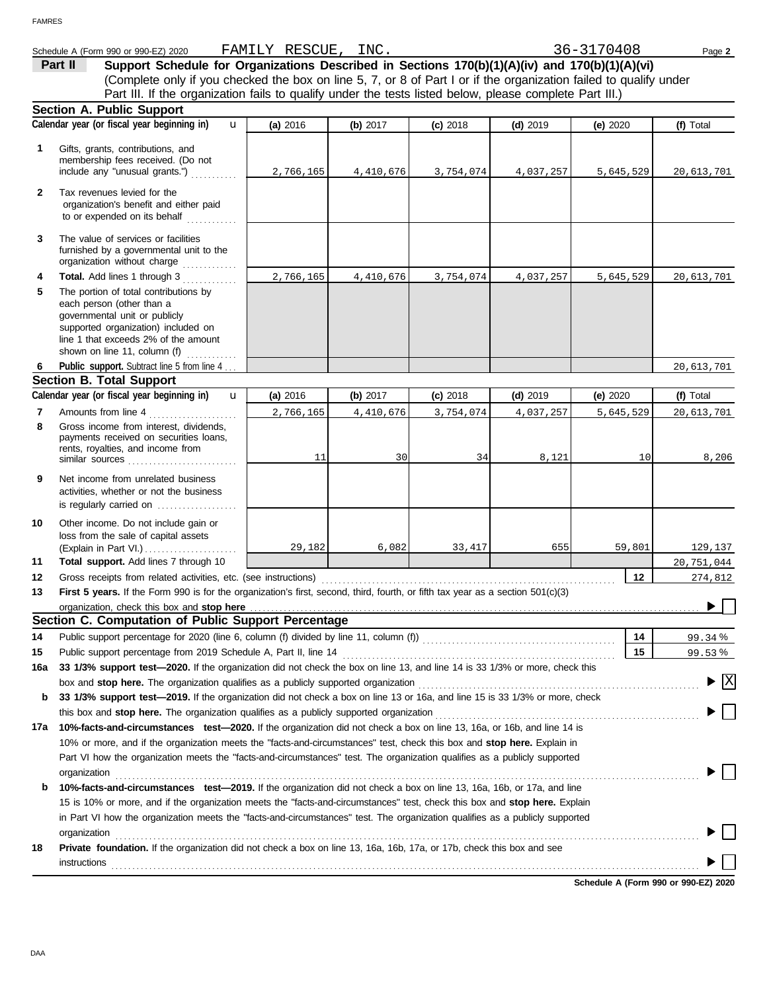|              | Schedule A (Form 990 or 990-EZ) 2020                                                                                            | FAMILY RESCUE, INC. |            |            |            | 36-3170408      | Page 2                                        |
|--------------|---------------------------------------------------------------------------------------------------------------------------------|---------------------|------------|------------|------------|-----------------|-----------------------------------------------|
|              | Support Schedule for Organizations Described in Sections 170(b)(1)(A)(iv) and 170(b)(1)(A)(vi)<br>Part II                       |                     |            |            |            |                 |                                               |
|              | (Complete only if you checked the box on line 5, 7, or 8 of Part I or if the organization failed to qualify under               |                     |            |            |            |                 |                                               |
|              | Part III. If the organization fails to qualify under the tests listed below, please complete Part III.)                         |                     |            |            |            |                 |                                               |
|              | <b>Section A. Public Support</b>                                                                                                |                     |            |            |            |                 |                                               |
|              | Calendar year (or fiscal year beginning in)<br>$\mathbf{u}$                                                                     | (a) 2016            | (b) 2017   | $(c)$ 2018 | $(d)$ 2019 | (e) $2020$      | (f) Total                                     |
|              |                                                                                                                                 |                     |            |            |            |                 |                                               |
| 1            | Gifts, grants, contributions, and<br>membership fees received. (Do not                                                          |                     |            |            |            |                 |                                               |
|              | include any "unusual grants.")                                                                                                  | 2,766,165           | 4,410,676  | 3,754,074  | 4,037,257  | 5,645,529       | 20,613,701                                    |
|              |                                                                                                                                 |                     |            |            |            |                 |                                               |
| $\mathbf{2}$ | Tax revenues levied for the                                                                                                     |                     |            |            |            |                 |                                               |
|              | organization's benefit and either paid<br>to or expended on its behalf                                                          |                     |            |            |            |                 |                                               |
|              |                                                                                                                                 |                     |            |            |            |                 |                                               |
| 3            | The value of services or facilities                                                                                             |                     |            |            |            |                 |                                               |
|              | furnished by a governmental unit to the                                                                                         |                     |            |            |            |                 |                                               |
|              | organization without charge                                                                                                     |                     |            |            |            |                 |                                               |
| 4            | Total. Add lines 1 through 3                                                                                                    | 2,766,165           | 4,410,676  | 3,754,074  | 4,037,257  | 5,645,529       | 20,613,701                                    |
| 5            | The portion of total contributions by                                                                                           |                     |            |            |            |                 |                                               |
|              | each person (other than a<br>governmental unit or publicly                                                                      |                     |            |            |            |                 |                                               |
|              | supported organization) included on                                                                                             |                     |            |            |            |                 |                                               |
|              | line 1 that exceeds 2% of the amount                                                                                            |                     |            |            |            |                 |                                               |
|              | shown on line 11, column (f) $\ldots$                                                                                           |                     |            |            |            |                 |                                               |
| 6            | Public support. Subtract line 5 from line 4.                                                                                    |                     |            |            |            |                 | 20,613,701                                    |
|              | <b>Section B. Total Support</b>                                                                                                 |                     |            |            |            |                 |                                               |
|              | Calendar year (or fiscal year beginning in)<br>$\mathbf{u}$                                                                     | (a) 2016            | (b) $2017$ | $(c)$ 2018 | $(d)$ 2019 | (e) 2020        | (f) Total                                     |
| 7            | Amounts from line 4                                                                                                             | 2,766,165           | 4,410,676  | 3,754,074  | 4,037,257  | 5,645,529       | 20,613,701                                    |
| 8            | Gross income from interest, dividends,                                                                                          |                     |            |            |            |                 |                                               |
|              | payments received on securities loans,                                                                                          |                     |            |            |            |                 |                                               |
|              | rents, royalties, and income from                                                                                               | 11                  | 30         | 34         | 8,121      | 10 <sup>1</sup> | 8,206                                         |
|              |                                                                                                                                 |                     |            |            |            |                 |                                               |
| 9            | Net income from unrelated business                                                                                              |                     |            |            |            |                 |                                               |
|              | activities, whether or not the business<br>is regularly carried on                                                              |                     |            |            |            |                 |                                               |
|              |                                                                                                                                 |                     |            |            |            |                 |                                               |
| 10           | Other income. Do not include gain or                                                                                            |                     |            |            |            |                 |                                               |
|              | loss from the sale of capital assets<br>(Explain in Part VI.)                                                                   | 29,182              | 6,082      | 33,417     | 655        | 59,801          | 129,137                                       |
| 11           | Total support. Add lines 7 through 10                                                                                           |                     |            |            |            |                 | 20,751,044                                    |
| 12           |                                                                                                                                 |                     |            |            |            | 12              | 274,812                                       |
| 13           | First 5 years. If the Form 990 is for the organization's first, second, third, fourth, or fifth tax year as a section 501(c)(3) |                     |            |            |            |                 |                                               |
|              | organization, check this box and stop here                                                                                      |                     |            |            |            |                 |                                               |
|              | Section C. Computation of Public Support Percentage                                                                             |                     |            |            |            |                 |                                               |
| 14           | Public support percentage for 2020 (line 6, column (f) divided by line 11, column (f)) [[[[[[[[[[[[[[[[[[[[[[                   |                     |            |            |            | 14              | 99.34%                                        |
| 15           | Public support percentage from 2019 Schedule A, Part II, line 14                                                                |                     |            |            |            | 15              | 99.53%                                        |
|              | 33 1/3% support test-2020. If the organization did not check the box on line 13, and line 14 is 33 1/3% or more, check this     |                     |            |            |            |                 |                                               |
| 16a          |                                                                                                                                 |                     |            |            |            |                 | $\blacktriangleright$ $\overline{\mathbf{X}}$ |
|              |                                                                                                                                 |                     |            |            |            |                 |                                               |
| b            | 33 1/3% support test-2019. If the organization did not check a box on line 13 or 16a, and line 15 is 33 1/3% or more, check     |                     |            |            |            |                 |                                               |
|              |                                                                                                                                 |                     |            |            |            |                 |                                               |
| 17a          | 10%-facts-and-circumstances test-2020. If the organization did not check a box on line 13, 16a, or 16b, and line 14 is          |                     |            |            |            |                 |                                               |
|              | 10% or more, and if the organization meets the "facts-and-circumstances" test, check this box and stop here. Explain in         |                     |            |            |            |                 |                                               |
|              | Part VI how the organization meets the "facts-and-circumstances" test. The organization qualifies as a publicly supported       |                     |            |            |            |                 |                                               |
|              | organization<br><u>expanization</u>                                                                                             |                     |            |            |            |                 |                                               |
| b            | 10%-facts-and-circumstances test-2019. If the organization did not check a box on line 13, 16a, 16b, or 17a, and line           |                     |            |            |            |                 |                                               |
|              | 15 is 10% or more, and if the organization meets the "facts-and-circumstances" test, check this box and stop here. Explain      |                     |            |            |            |                 |                                               |
|              | in Part VI how the organization meets the "facts-and-circumstances" test. The organization qualifies as a publicly supported    |                     |            |            |            |                 |                                               |
|              | organization                                                                                                                    |                     |            |            |            |                 |                                               |
| 18           | Private foundation. If the organization did not check a box on line 13, 16a, 16b, 17a, or 17b, check this box and see           |                     |            |            |            |                 |                                               |
|              | instructions                                                                                                                    |                     |            |            |            |                 |                                               |
|              |                                                                                                                                 |                     |            |            |            |                 |                                               |

**Schedule A (Form 990 or 990-EZ) 2020**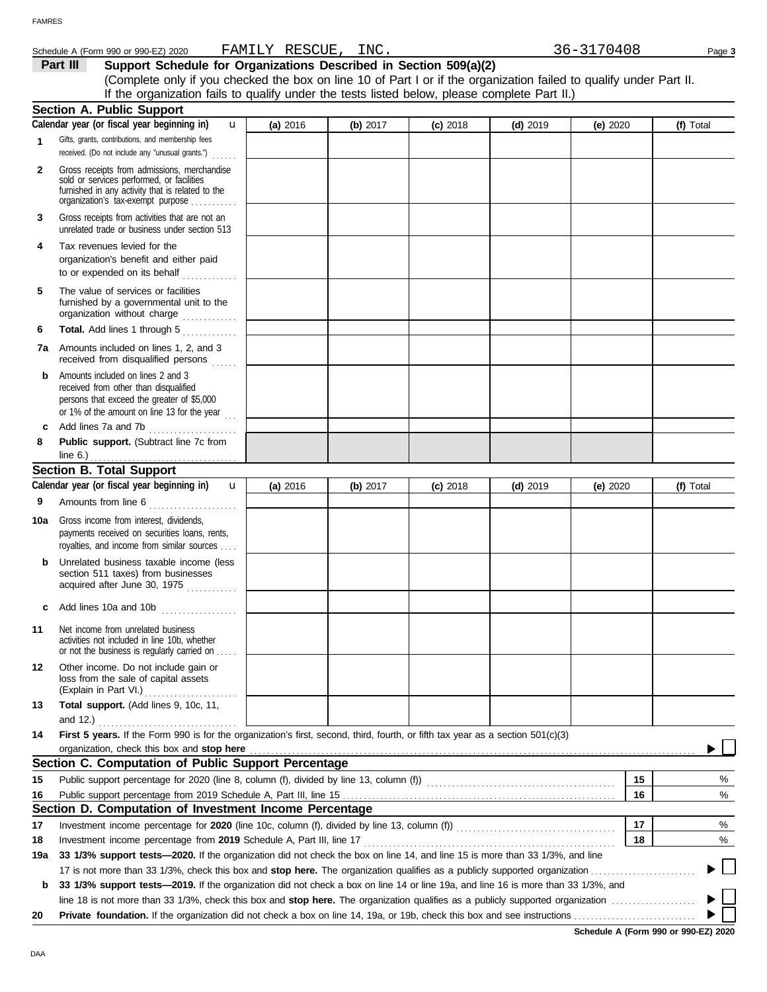| Schedule A (Form 990 | 0 or 990-EZ) 2020 | . AMJ'<br>--- | .<br>1 H.<br><b>REDUCE</b> | INC. | :ხ –<br>. U O | Page |
|----------------------|-------------------|---------------|----------------------------|------|---------------|------|
|                      |                   |               |                            |      |               |      |

**Part III** Support Schedule for Organizations Described in Section 509(a)(2) (Complete only if you checked the box on line 10 of Part I or if the organization failed to qualify under Part II. If the organization fails to qualify under the tests listed below, please complete Part II.)

|              | <b>Section A. Public Support</b>                                                                                                                                                  |            |            |            |            |            |           |
|--------------|-----------------------------------------------------------------------------------------------------------------------------------------------------------------------------------|------------|------------|------------|------------|------------|-----------|
|              | Calendar year (or fiscal year beginning in)<br>u                                                                                                                                  | (a) 2016   | (b) $2017$ | $(c)$ 2018 | $(d)$ 2019 | (e) $2020$ | (f) Total |
| 1            | Gifts, grants, contributions, and membership fees<br>received. (Do not include any "unusual grants.")                                                                             |            |            |            |            |            |           |
| $\mathbf{2}$ | Gross receipts from admissions, merchandise<br>sold or services performed, or facilities<br>furnished in any activity that is related to the<br>organization's tax-exempt purpose |            |            |            |            |            |           |
| 3            | Gross receipts from activities that are not an<br>unrelated trade or business under section 513                                                                                   |            |            |            |            |            |           |
| 4            | Tax revenues levied for the<br>organization's benefit and either paid<br>to or expended on its behalf                                                                             |            |            |            |            |            |           |
| 5            | The value of services or facilities<br>furnished by a governmental unit to the<br>organization without charge                                                                     |            |            |            |            |            |           |
| 6            | Total. Add lines 1 through 5<br><u>.</u><br>1986 - Paul Barbara, poeta e al Indonesia                                                                                             |            |            |            |            |            |           |
| 7a           | Amounts included on lines 1, 2, and 3<br>received from disqualified persons                                                                                                       |            |            |            |            |            |           |
| b            | Amounts included on lines 2 and 3<br>received from other than disqualified<br>persons that exceed the greater of \$5,000<br>or 1% of the amount on line 13 for the year           |            |            |            |            |            |           |
| c            | Add lines 7a and 7b<br>.                                                                                                                                                          |            |            |            |            |            |           |
| 8            | Public support. (Subtract line 7c from                                                                                                                                            |            |            |            |            |            |           |
|              | line 6.) $\ldots$<br>.                                                                                                                                                            |            |            |            |            |            |           |
|              | <b>Section B. Total Support</b>                                                                                                                                                   |            |            |            |            |            |           |
|              | Calendar year (or fiscal year beginning in)<br>$\mathbf{u}$                                                                                                                       | (a) $2016$ | (b) $2017$ | $(c)$ 2018 | $(d)$ 2019 | (e) $2020$ | (f) Total |
| 9            | Amounts from line 6                                                                                                                                                               |            |            |            |            |            |           |
| 10a          | Gross income from interest, dividends,<br>payments received on securities loans, rents,<br>royalties, and income from similar sources                                             |            |            |            |            |            |           |
| b            | Unrelated business taxable income (less<br>section 511 taxes) from businesses<br>acquired after June 30, 1975                                                                     |            |            |            |            |            |           |
|              | Add lines 10a and 10b                                                                                                                                                             |            |            |            |            |            |           |
| 11           | Net income from unrelated business<br>activities not included in line 10b, whether<br>or not the business is regularly carried on                                                 |            |            |            |            |            |           |
| 12           | Other income. Do not include gain or<br>loss from the sale of capital assets<br>(Explain in Part VI.)                                                                             |            |            |            |            |            |           |
| 13           | Total support. (Add lines 9, 10c, 11,                                                                                                                                             |            |            |            |            |            |           |
|              | and $12.$ )                                                                                                                                                                       |            |            |            |            |            |           |
| 14           | First 5 years. If the Form 990 is for the organization's first, second, third, fourth, or fifth tax year as a section 501(c)(3)                                                   |            |            |            |            |            |           |
|              | organization, check this box and stop here                                                                                                                                        |            |            |            |            |            |           |
|              | Section C. Computation of Public Support Percentage                                                                                                                               |            |            |            |            |            |           |
| 15           |                                                                                                                                                                                   |            |            |            |            | 15         | %         |
| 16           |                                                                                                                                                                                   |            |            |            |            | 16         | $\%$      |
|              | Section D. Computation of Investment Income Percentage                                                                                                                            |            |            |            |            |            |           |
| 17           |                                                                                                                                                                                   |            |            |            |            | 17         | %         |
| 18           | Investment income percentage from 2019 Schedule A, Part III, line 17                                                                                                              |            |            |            |            | 18         | %         |
| 19a          | 33 1/3% support tests-2020. If the organization did not check the box on line 14, and line 15 is more than 33 1/3%, and line                                                      |            |            |            |            |            |           |
|              |                                                                                                                                                                                   |            |            |            |            |            |           |
| b            | 33 1/3% support tests—2019. If the organization did not check a box on line 14 or line 19a, and line 16 is more than 33 1/3%, and                                                 |            |            |            |            |            |           |
|              |                                                                                                                                                                                   |            |            |            |            |            |           |
| 20           |                                                                                                                                                                                   |            |            |            |            |            |           |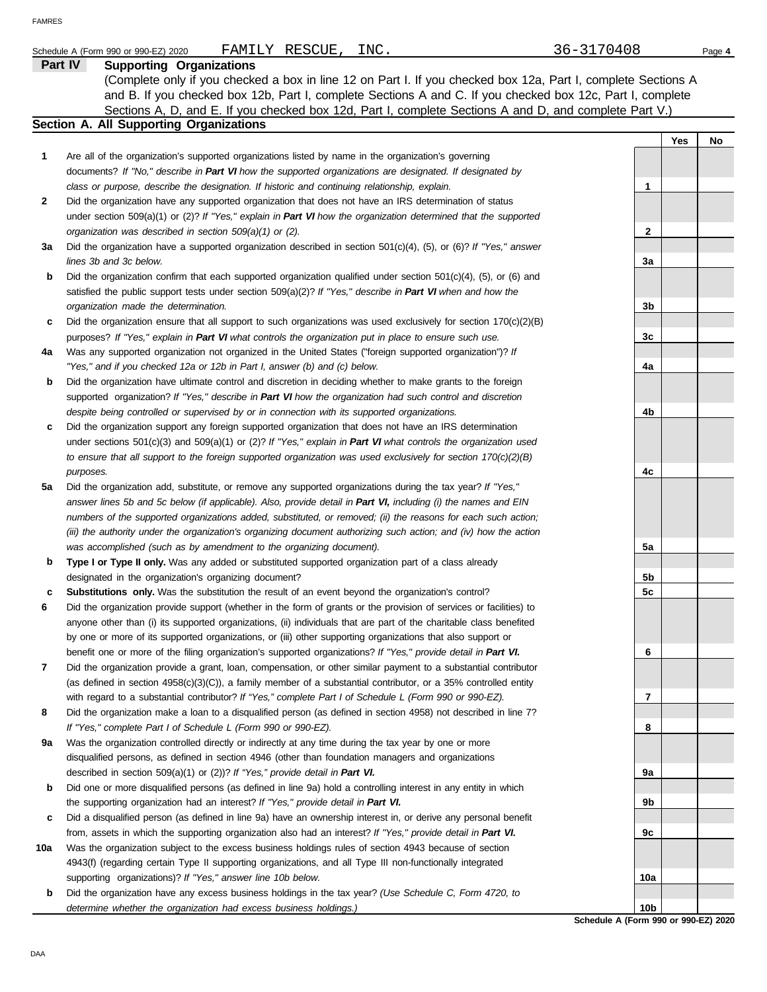|     | FAMILY RESCUE,<br>INC.<br>Schedule A (Form 990 or 990-EZ) 2020                                                                                                              | 36-3170408      |     | Page 4 |
|-----|-----------------------------------------------------------------------------------------------------------------------------------------------------------------------------|-----------------|-----|--------|
|     | Part IV<br><b>Supporting Organizations</b>                                                                                                                                  |                 |     |        |
|     | (Complete only if you checked a box in line 12 on Part I. If you checked box 12a, Part I, complete Sections A                                                               |                 |     |        |
|     | and B. If you checked box 12b, Part I, complete Sections A and C. If you checked box 12c, Part I, complete                                                                  |                 |     |        |
|     | Sections A, D, and E. If you checked box 12d, Part I, complete Sections A and D, and complete Part V.)                                                                      |                 |     |        |
|     | Section A. All Supporting Organizations                                                                                                                                     |                 |     |        |
|     |                                                                                                                                                                             |                 | Yes | No     |
| 1   | Are all of the organization's supported organizations listed by name in the organization's governing                                                                        |                 |     |        |
|     | documents? If "No," describe in Part VI how the supported organizations are designated. If designated by                                                                    |                 |     |        |
|     | class or purpose, describe the designation. If historic and continuing relationship, explain.                                                                               | 1               |     |        |
| 2   | Did the organization have any supported organization that does not have an IRS determination of status                                                                      |                 |     |        |
|     | under section 509(a)(1) or (2)? If "Yes," explain in Part VI how the organization determined that the supported                                                             |                 |     |        |
|     | organization was described in section 509(a)(1) or (2).                                                                                                                     | $\mathbf{2}$    |     |        |
| За  | Did the organization have a supported organization described in section $501(c)(4)$ , (5), or (6)? If "Yes," answer                                                         |                 |     |        |
|     | lines 3b and 3c below.                                                                                                                                                      | За              |     |        |
| b   | Did the organization confirm that each supported organization qualified under section $501(c)(4)$ , (5), or (6) and                                                         |                 |     |        |
|     | satisfied the public support tests under section 509(a)(2)? If "Yes," describe in Part VI when and how the                                                                  |                 |     |        |
|     | organization made the determination.                                                                                                                                        | 3b              |     |        |
| c   | Did the organization ensure that all support to such organizations was used exclusively for section $170(c)(2)(B)$                                                          |                 |     |        |
|     | purposes? If "Yes," explain in Part VI what controls the organization put in place to ensure such use.                                                                      | 3c              |     |        |
| 4a  | Was any supported organization not organized in the United States ("foreign supported organization")? If                                                                    |                 |     |        |
|     | "Yes," and if you checked 12a or 12b in Part I, answer (b) and (c) below.                                                                                                   | 4a              |     |        |
| b   | Did the organization have ultimate control and discretion in deciding whether to make grants to the foreign                                                                 |                 |     |        |
|     | supported organization? If "Yes," describe in Part VI how the organization had such control and discretion                                                                  |                 |     |        |
|     | despite being controlled or supervised by or in connection with its supported organizations.                                                                                | 4b              |     |        |
| c   | Did the organization support any foreign supported organization that does not have an IRS determination                                                                     |                 |     |        |
|     | under sections $501(c)(3)$ and $509(a)(1)$ or (2)? If "Yes," explain in Part VI what controls the organization used                                                         |                 |     |        |
|     | to ensure that all support to the foreign supported organization was used exclusively for section $170(c)(2)(B)$                                                            |                 |     |        |
|     | purposes.                                                                                                                                                                   | 4c              |     |        |
| 5a  | Did the organization add, substitute, or remove any supported organizations during the tax year? If "Yes,"                                                                  |                 |     |        |
|     | answer lines 5b and 5c below (if applicable). Also, provide detail in Part VI, including (i) the names and EIN                                                              |                 |     |        |
|     | numbers of the supported organizations added, substituted, or removed; (ii) the reasons for each such action;                                                               |                 |     |        |
|     | (iii) the authority under the organization's organizing document authorizing such action; and (iv) how the action                                                           |                 |     |        |
|     | was accomplished (such as by amendment to the organizing document).                                                                                                         | 5a              |     |        |
| b   | Type I or Type II only. Was any added or substituted supported organization part of a class already                                                                         |                 |     |        |
|     | designated in the organization's organizing document?                                                                                                                       | 5b              |     |        |
|     | Substitutions only. Was the substitution the result of an event beyond the organization's control?                                                                          | 5c              |     |        |
|     | Did the organization provide support (whether in the form of grants or the provision of services or facilities) to                                                          |                 |     |        |
|     | anyone other than (i) its supported organizations, (ii) individuals that are part of the charitable class benefited                                                         |                 |     |        |
|     | by one or more of its supported organizations, or (iii) other supporting organizations that also support or                                                                 |                 |     |        |
|     | benefit one or more of the filing organization's supported organizations? If "Yes," provide detail in Part VI.                                                              | 6               |     |        |
| 7   | Did the organization provide a grant, loan, compensation, or other similar payment to a substantial contributor                                                             |                 |     |        |
|     | (as defined in section 4958(c)(3)(C)), a family member of a substantial contributor, or a 35% controlled entity                                                             |                 |     |        |
|     | with regard to a substantial contributor? If "Yes," complete Part I of Schedule L (Form 990 or 990-EZ).                                                                     | 7               |     |        |
| 8   | Did the organization make a loan to a disqualified person (as defined in section 4958) not described in line 7?                                                             |                 |     |        |
|     | If "Yes," complete Part I of Schedule L (Form 990 or 990-EZ).                                                                                                               | 8               |     |        |
| 9a  | Was the organization controlled directly or indirectly at any time during the tax year by one or more                                                                       |                 |     |        |
|     | disqualified persons, as defined in section 4946 (other than foundation managers and organizations                                                                          |                 |     |        |
|     | described in section 509(a)(1) or (2))? If "Yes," provide detail in Part VI.                                                                                                | 9а              |     |        |
| b   | Did one or more disqualified persons (as defined in line 9a) hold a controlling interest in any entity in which                                                             |                 |     |        |
|     | the supporting organization had an interest? If "Yes," provide detail in Part VI.                                                                                           | 9b              |     |        |
| c   | Did a disqualified person (as defined in line 9a) have an ownership interest in, or derive any personal benefit                                                             |                 |     |        |
|     | from, assets in which the supporting organization also had an interest? If "Yes," provide detail in Part VI.                                                                | 9c              |     |        |
| 10a | Was the organization subject to the excess business holdings rules of section 4943 because of section                                                                       |                 |     |        |
|     | 4943(f) (regarding certain Type II supporting organizations, and all Type III non-functionally integrated                                                                   |                 |     |        |
|     | supporting organizations)? If "Yes," answer line 10b below.                                                                                                                 | 10a             |     |        |
| b   | Did the organization have any excess business holdings in the tax year? (Use Schedule C, Form 4720, to<br>determine whether the organization had excess business holdings.) | 10 <sub>b</sub> |     |        |
|     |                                                                                                                                                                             |                 |     |        |

**Schedule A (Form 990 or 990-EZ) 2020**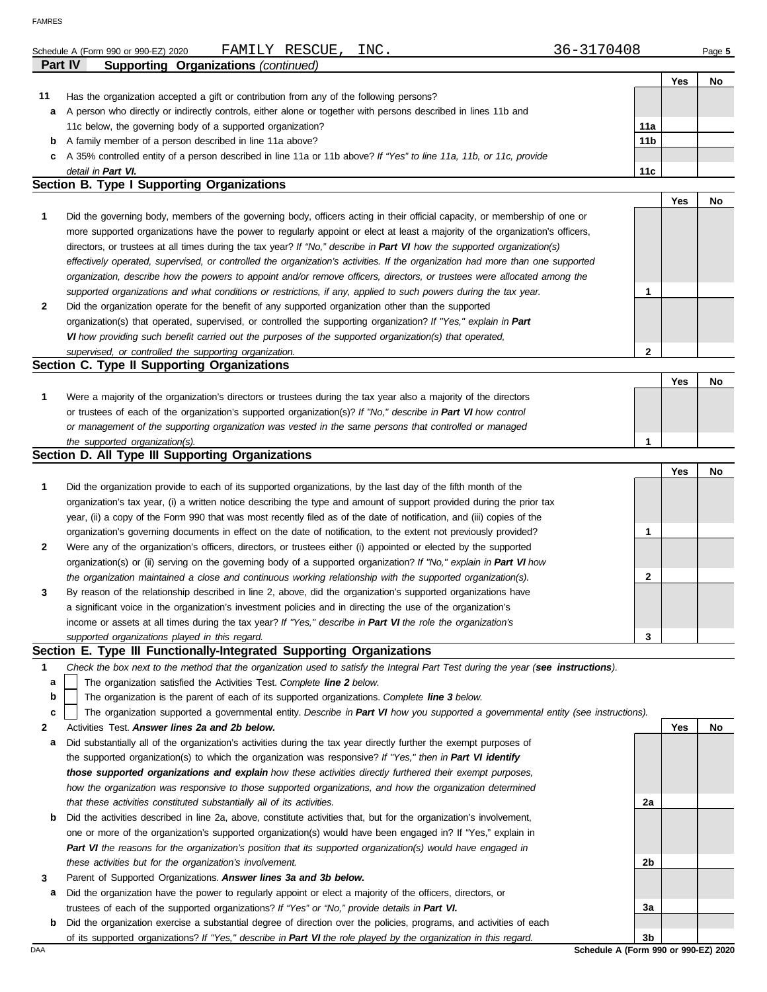|              | INC.<br>FAMILY RESCUE,<br>Schedule A (Form 990 or 990-EZ) 2020                                                                 | 36-3170408      |            | Page 5 |
|--------------|--------------------------------------------------------------------------------------------------------------------------------|-----------------|------------|--------|
| Part IV      | <b>Supporting Organizations (continued)</b>                                                                                    |                 | Yes        | No     |
| 11           | Has the organization accepted a gift or contribution from any of the following persons?                                        |                 |            |        |
| а            | A person who directly or indirectly controls, either alone or together with persons described in lines 11b and                 |                 |            |        |
|              | 11c below, the governing body of a supported organization?                                                                     | 11a             |            |        |
| b            | A family member of a person described in line 11a above?                                                                       | 11 <sub>b</sub> |            |        |
| c            | A 35% controlled entity of a person described in line 11a or 11b above? If "Yes" to line 11a, 11b, or 11c, provide             |                 |            |        |
|              | detail in Part VI.                                                                                                             | 11c             |            |        |
|              | <b>Section B. Type I Supporting Organizations</b>                                                                              |                 |            |        |
|              |                                                                                                                                |                 | <b>Yes</b> | No     |
| 1            | Did the governing body, members of the governing body, officers acting in their official capacity, or membership of one or     |                 |            |        |
|              | more supported organizations have the power to regularly appoint or elect at least a majority of the organization's officers,  |                 |            |        |
|              | directors, or trustees at all times during the tax year? If "No," describe in Part VI how the supported organization(s)        |                 |            |        |
|              | effectively operated, supervised, or controlled the organization's activities. If the organization had more than one supported |                 |            |        |
|              | organization, describe how the powers to appoint and/or remove officers, directors, or trustees were allocated among the       |                 |            |        |
|              | supported organizations and what conditions or restrictions, if any, applied to such powers during the tax year.               | 1               |            |        |
| $\mathbf{2}$ | Did the organization operate for the benefit of any supported organization other than the supported                            |                 |            |        |
|              | organization(s) that operated, supervised, or controlled the supporting organization? If "Yes," explain in Part                |                 |            |        |
|              | VI how providing such benefit carried out the purposes of the supported organization(s) that operated,                         |                 |            |        |
|              | supervised, or controlled the supporting organization.                                                                         | $\mathbf 2$     |            |        |
|              | Section C. Type II Supporting Organizations                                                                                    |                 |            |        |
|              |                                                                                                                                |                 | <b>Yes</b> | No     |
| 1            | Were a majority of the organization's directors or trustees during the tax year also a majority of the directors               |                 |            |        |
|              | or trustees of each of the organization's supported organization(s)? If "No," describe in Part VI how control                  |                 |            |        |
|              | or management of the supporting organization was vested in the same persons that controlled or managed                         |                 |            |        |
|              | the supported organization(s).                                                                                                 | 1               |            |        |
|              | Section D. All Type III Supporting Organizations                                                                               |                 |            |        |
|              |                                                                                                                                |                 | Yes        | No     |
| 1            | Did the organization provide to each of its supported organizations, by the last day of the fifth month of the                 |                 |            |        |
|              | organization's tax year, (i) a written notice describing the type and amount of support provided during the prior tax          |                 |            |        |
|              | year, (ii) a copy of the Form 990 that was most recently filed as of the date of notification, and (iii) copies of the         |                 |            |        |
|              | organization's governing documents in effect on the date of notification, to the extent not previously provided?               | 1               |            |        |
| 2            | Were any of the organization's officers, directors, or trustees either (i) appointed or elected by the supported               |                 |            |        |
|              | organization(s) or (ii) serving on the governing body of a supported organization? If "No," explain in Part VI how             |                 |            |        |
|              | the organization maintained a close and continuous working relationship with the supported organization(s).                    | 2               |            |        |
|              | account of the actorization december in the Organization of the computationis composition is accepted to a trace               |                 |            |        |

| By reason of the relationship described in line 2, above, did the organization's supported organizations have |  |
|---------------------------------------------------------------------------------------------------------------|--|
| a significant voice in the organization's investment policies and in directing the use of the organization's  |  |
| income or assets at all times during the tax year? If "Yes," describe in Part VI the role the organization's  |  |
| supported organizations played in this regard.                                                                |  |
|                                                                                                               |  |

### **Section E. Type III Functionally-Integrated Supporting Organizations**

|  | Check the box next to the method that the organization used to satisfy the Integral Part Test during the year (see instructions). |  |  |  |  |  |
|--|-----------------------------------------------------------------------------------------------------------------------------------|--|--|--|--|--|
|--|-----------------------------------------------------------------------------------------------------------------------------------|--|--|--|--|--|

The organization satisfied the Activities Test. *Complete line 2 below.* **a**

The organization is the parent of each of its supported organizations. *Complete line 3 below.* **b**

The organization supported a governmental entity. *Describe in Part VI how you supported a governmental entity (see instructions).* **c**

- **2** Activities Test. *Answer lines 2a and 2b below.*
- **a** Did substantially all of the organization's activities during the tax year directly further the exempt purposes of the supported organization(s) to which the organization was responsive? *If "Yes," then in Part VI identify those supported organizations and explain how these activities directly furthered their exempt purposes,*  how the organization was responsive to those supported organizations, and how the organization determined *that these activities constituted substantially all of its activities.*
- **b** Did the activities described in line 2a, above, constitute activities that, but for the organization's involvement, one or more of the organization's supported organization(s) would have been engaged in? If "Yes," explain in *Part VI the reasons for the organization's position that its supported organization(s) would have engaged in these activities but for the organization's involvement.*
- **3** Parent of Supported Organizations. *Answer lines 3a and 3b below.*
- **a** Did the organization have the power to regularly appoint or elect a majority of the officers, directors, or trustees of each of the supported organizations? *If "Yes" or "No," provide details in Part VI.*
- **b** Did the organization exercise a substantial degree of direction over the policies, programs, and activities of each of its supported organizations? *If "Yes," describe in Part VI the role played by the organization in this regard.*

**Yes No 2a 2b 3a 3b**

DAA **Schedule A (Form 990 or 990-EZ) 2020**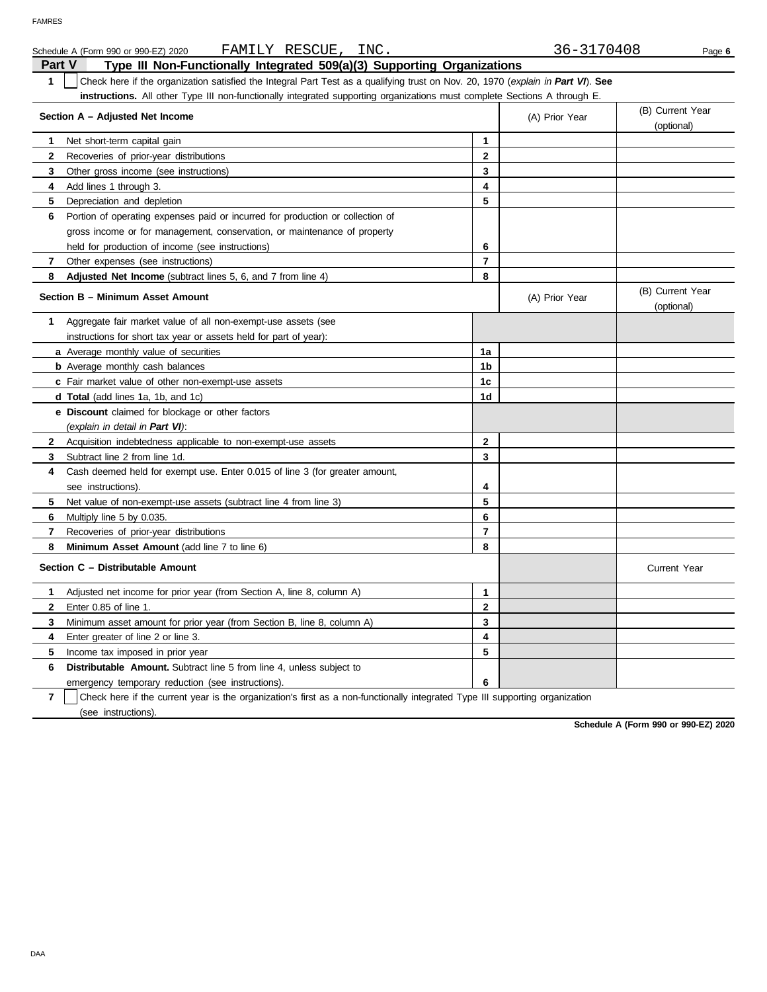|                | FAMILY RESCUE, INC.<br>Schedule A (Form 990 or 990-EZ) 2020                                                                      |                         | 36-3170408     | Page 6                         |
|----------------|----------------------------------------------------------------------------------------------------------------------------------|-------------------------|----------------|--------------------------------|
| Part V         | Type III Non-Functionally Integrated 509(a)(3) Supporting Organizations                                                          |                         |                |                                |
| 1              | Check here if the organization satisfied the Integral Part Test as a qualifying trust on Nov. 20, 1970 (explain in Part VI). See |                         |                |                                |
|                | instructions. All other Type III non-functionally integrated supporting organizations must complete Sections A through E.        |                         |                |                                |
|                | Section A - Adjusted Net Income                                                                                                  |                         | (A) Prior Year | (B) Current Year<br>(optional) |
| 1.             | Net short-term capital gain                                                                                                      | 1                       |                |                                |
| 2              | Recoveries of prior-year distributions                                                                                           | $\mathbf{2}$            |                |                                |
| 3              | Other gross income (see instructions)                                                                                            | 3                       |                |                                |
| 4              | Add lines 1 through 3.                                                                                                           | 4                       |                |                                |
| 5              | Depreciation and depletion                                                                                                       | 5                       |                |                                |
| 6              | Portion of operating expenses paid or incurred for production or collection of                                                   |                         |                |                                |
|                | gross income or for management, conservation, or maintenance of property                                                         |                         |                |                                |
|                | held for production of income (see instructions)                                                                                 | 6                       |                |                                |
| 7              | Other expenses (see instructions)                                                                                                | $\overline{7}$          |                |                                |
| 8              | Adjusted Net Income (subtract lines 5, 6, and 7 from line 4)                                                                     | 8                       |                |                                |
|                | Section B - Minimum Asset Amount                                                                                                 |                         | (A) Prior Year | (B) Current Year<br>(optional) |
| 1              | Aggregate fair market value of all non-exempt-use assets (see                                                                    |                         |                |                                |
|                | instructions for short tax year or assets held for part of year):                                                                |                         |                |                                |
|                | a Average monthly value of securities                                                                                            | 1a                      |                |                                |
|                | <b>b</b> Average monthly cash balances                                                                                           | 1b                      |                |                                |
|                | c Fair market value of other non-exempt-use assets                                                                               | 1c                      |                |                                |
|                | <b>d Total</b> (add lines 1a, 1b, and 1c)                                                                                        | 1d                      |                |                                |
|                | <b>e</b> Discount claimed for blockage or other factors                                                                          |                         |                |                                |
|                | (explain in detail in Part VI):                                                                                                  |                         |                |                                |
| $\mathbf{2}$   | Acquisition indebtedness applicable to non-exempt-use assets                                                                     | $\overline{2}$          |                |                                |
| 3              | Subtract line 2 from line 1d.                                                                                                    | 3                       |                |                                |
| 4              | Cash deemed held for exempt use. Enter 0.015 of line 3 (for greater amount,                                                      |                         |                |                                |
|                | see instructions).                                                                                                               | 4                       |                |                                |
| 5              | Net value of non-exempt-use assets (subtract line 4 from line 3)                                                                 | 5                       |                |                                |
| 6              | Multiply line 5 by 0.035.                                                                                                        | 6                       |                |                                |
| $\overline{7}$ | Recoveries of prior-year distributions                                                                                           | $\overline{7}$          |                |                                |
| 8              | <b>Minimum Asset Amount</b> (add line 7 to line 6)                                                                               | 8                       |                |                                |
|                | Section C - Distributable Amount                                                                                                 |                         |                | <b>Current Year</b>            |
| 1              | Adjusted net income for prior year (from Section A, line 8, column A)                                                            | 1                       |                |                                |
| $\mathbf{2}$   | Enter 0.85 of line 1.                                                                                                            | $\overline{\mathbf{2}}$ |                |                                |
| 3              | Minimum asset amount for prior year (from Section B, line 8, column A)                                                           | 3                       |                |                                |
| 4              | Enter greater of line 2 or line 3.                                                                                               | 4                       |                |                                |
| 5              | Income tax imposed in prior year                                                                                                 | 5                       |                |                                |
| 6              | <b>Distributable Amount.</b> Subtract line 5 from line 4, unless subject to                                                      |                         |                |                                |
|                | emergency temporary reduction (see instructions).                                                                                | 6                       |                |                                |

**7** | Check here if the current year is the organization's first as a non-functionally integrated Type III supporting organization (see instructions).

**Schedule A (Form 990 or 990-EZ) 2020**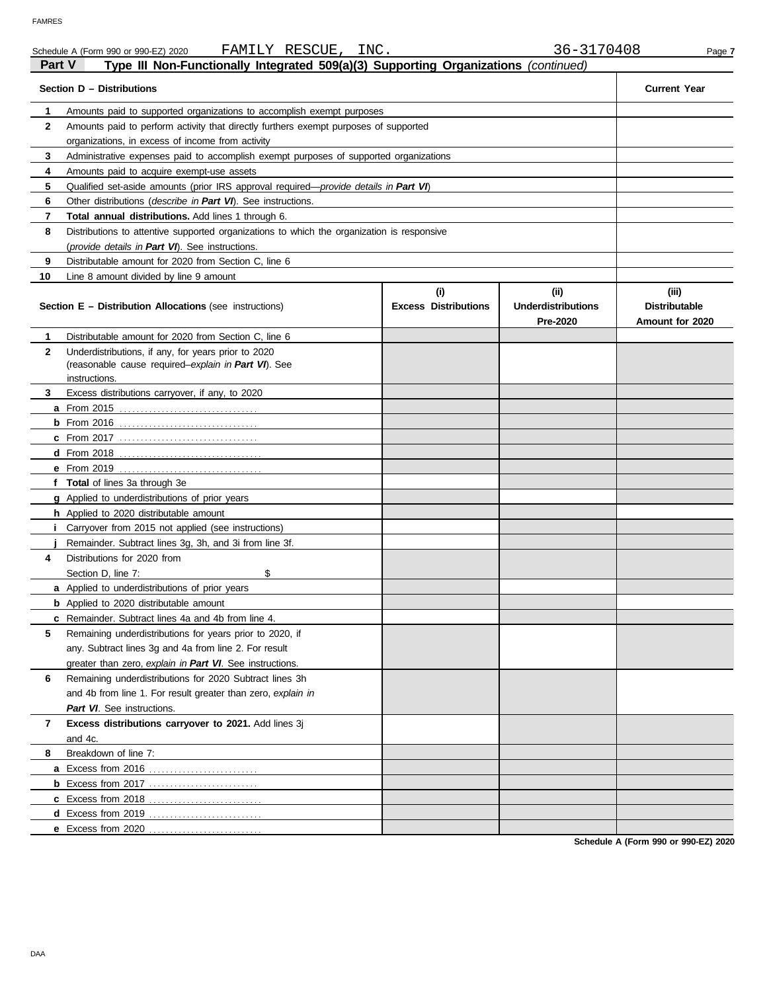|               | FAMILY RESCUE,<br>INC.<br>Schedule A (Form 990 or 990-EZ) 2020                                |                                    | 36-3170408                                    | Page 7                                           |
|---------------|-----------------------------------------------------------------------------------------------|------------------------------------|-----------------------------------------------|--------------------------------------------------|
| <b>Part V</b> | Type III Non-Functionally Integrated 509(a)(3) Supporting Organizations (continued)           |                                    |                                               |                                                  |
|               | Section D - Distributions                                                                     |                                    |                                               | <b>Current Year</b>                              |
| 1             | Amounts paid to supported organizations to accomplish exempt purposes                         |                                    |                                               |                                                  |
| $\mathbf{2}$  | Amounts paid to perform activity that directly furthers exempt purposes of supported          |                                    |                                               |                                                  |
|               | organizations, in excess of income from activity                                              |                                    |                                               |                                                  |
| 3             | Administrative expenses paid to accomplish exempt purposes of supported organizations         |                                    |                                               |                                                  |
| 4             | Amounts paid to acquire exempt-use assets                                                     |                                    |                                               |                                                  |
| 5             | Qualified set-aside amounts (prior IRS approval required— <i>provide details in Part VI</i> ) |                                    |                                               |                                                  |
| 6             | Other distributions ( <i>describe in Part VI</i> ). See instructions.                         |                                    |                                               |                                                  |
| 7             | Total annual distributions. Add lines 1 through 6.                                            |                                    |                                               |                                                  |
| 8             | Distributions to attentive supported organizations to which the organization is responsive    |                                    |                                               |                                                  |
|               | (provide details in Part VI). See instructions.                                               |                                    |                                               |                                                  |
| 9             | Distributable amount for 2020 from Section C, line 6                                          |                                    |                                               |                                                  |
| 10            | Line 8 amount divided by line 9 amount                                                        |                                    |                                               |                                                  |
|               | <b>Section E - Distribution Allocations (see instructions)</b>                                | (i)<br><b>Excess Distributions</b> | (ii)<br><b>Underdistributions</b><br>Pre-2020 | (iii)<br><b>Distributable</b><br>Amount for 2020 |
| 1             | Distributable amount for 2020 from Section C, line 6                                          |                                    |                                               |                                                  |
| $\mathbf{2}$  | Underdistributions, if any, for years prior to 2020                                           |                                    |                                               |                                                  |
|               | (reasonable cause required-explain in Part VI). See                                           |                                    |                                               |                                                  |
|               | instructions.                                                                                 |                                    |                                               |                                                  |
| 3             | Excess distributions carryover, if any, to 2020                                               |                                    |                                               |                                                  |
|               | <b>a</b> From 2015                                                                            |                                    |                                               |                                                  |
|               | $b$ From 2016                                                                                 |                                    |                                               |                                                  |
|               |                                                                                               |                                    |                                               |                                                  |
|               | $d$ From 2018                                                                                 |                                    |                                               |                                                  |
|               | <b>e</b> From 2019                                                                            |                                    |                                               |                                                  |
|               | f Total of lines 3a through 3e                                                                |                                    |                                               |                                                  |
|               | <b>g</b> Applied to underdistributions of prior years                                         |                                    |                                               |                                                  |
|               | h Applied to 2020 distributable amount                                                        |                                    |                                               |                                                  |
|               | <i>i</i> Carryover from 2015 not applied (see instructions)                                   |                                    |                                               |                                                  |
|               | Remainder. Subtract lines 3g, 3h, and 3i from line 3f.                                        |                                    |                                               |                                                  |
| 4             | Distributions for 2020 from                                                                   |                                    |                                               |                                                  |
|               | \$<br>Section D, line 7:                                                                      |                                    |                                               |                                                  |
|               | <b>a</b> Applied to underdistributions of prior years                                         |                                    |                                               |                                                  |
|               | <b>b</b> Applied to 2020 distributable amount                                                 |                                    |                                               |                                                  |
|               | c Remainder. Subtract lines 4a and 4b from line 4.                                            |                                    |                                               |                                                  |
| 5             | Remaining underdistributions for years prior to 2020, if                                      |                                    |                                               |                                                  |
|               | any. Subtract lines 3g and 4a from line 2. For result                                         |                                    |                                               |                                                  |
|               | greater than zero, explain in Part VI. See instructions.                                      |                                    |                                               |                                                  |
| 6             | Remaining underdistributions for 2020 Subtract lines 3h                                       |                                    |                                               |                                                  |
|               | and 4b from line 1. For result greater than zero, explain in                                  |                                    |                                               |                                                  |
|               | Part VI. See instructions.                                                                    |                                    |                                               |                                                  |
| 7             | Excess distributions carryover to 2021. Add lines 3j                                          |                                    |                                               |                                                  |
|               | and 4c.                                                                                       |                                    |                                               |                                                  |
| 8             | Breakdown of line 7:                                                                          |                                    |                                               |                                                  |
|               | a Excess from 2016                                                                            |                                    |                                               |                                                  |
|               |                                                                                               |                                    |                                               |                                                  |
|               | c Excess from 2018                                                                            |                                    |                                               |                                                  |
|               | d Excess from 2019                                                                            |                                    |                                               |                                                  |
|               | e Excess from 2020                                                                            |                                    |                                               |                                                  |

**Schedule A (Form 990 or 990-EZ) 2020**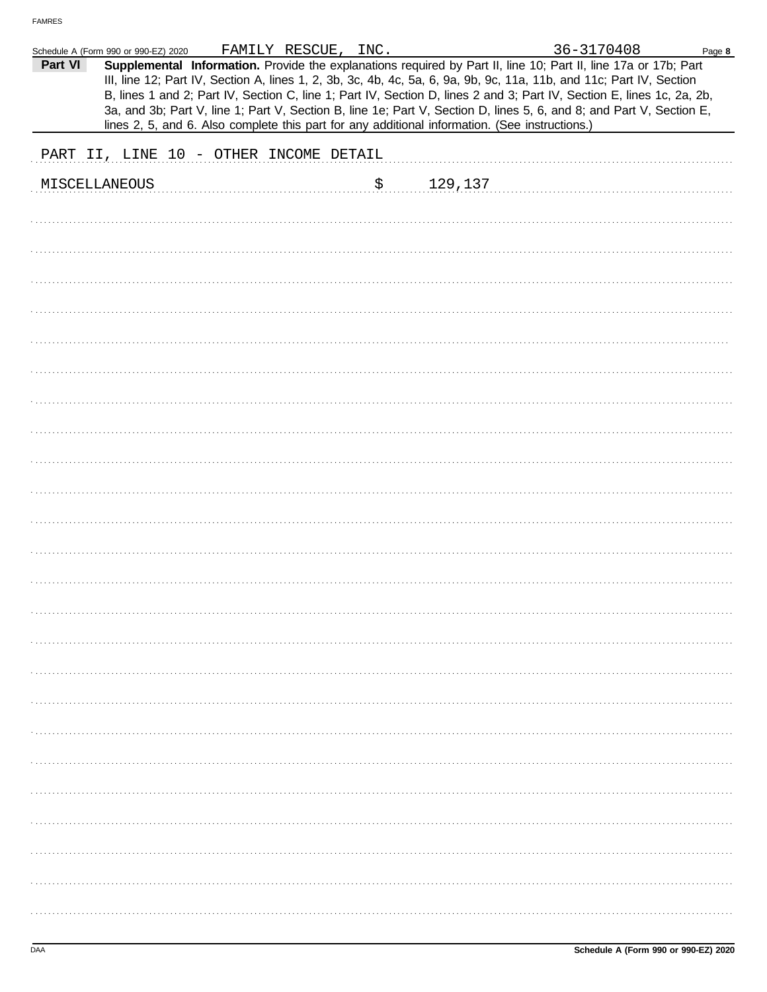|               | Schedule A (Form 990 or 990-EZ) 2020   |  | FAMILY RESCUE, INC. |               | 36-3170408                                                                                                                                                                                                                                                                                                                                                                                                                                                                                                                                                                                  | Page 8 |
|---------------|----------------------------------------|--|---------------------|---------------|---------------------------------------------------------------------------------------------------------------------------------------------------------------------------------------------------------------------------------------------------------------------------------------------------------------------------------------------------------------------------------------------------------------------------------------------------------------------------------------------------------------------------------------------------------------------------------------------|--------|
| Part VI       |                                        |  |                     |               | Supplemental Information. Provide the explanations required by Part II, line 10; Part II, line 17a or 17b; Part<br>III, line 12; Part IV, Section A, lines 1, 2, 3b, 3c, 4b, 4c, 5a, 6, 9a, 9b, 9c, 11a, 11b, and 11c; Part IV, Section<br>B, lines 1 and 2; Part IV, Section C, line 1; Part IV, Section D, lines 2 and 3; Part IV, Section E, lines 1c, 2a, 2b,<br>3a, and 3b; Part V, line 1; Part V, Section B, line 1e; Part V, Section D, lines 5, 6, and 8; and Part V, Section E,<br>lines 2, 5, and 6. Also complete this part for any additional information. (See instructions.) |        |
|               | PART II, LINE 10 - OTHER INCOME DETAIL |  |                     |               |                                                                                                                                                                                                                                                                                                                                                                                                                                                                                                                                                                                             |        |
| MISCELLANEOUS |                                        |  |                     | \$<br>129,137 |                                                                                                                                                                                                                                                                                                                                                                                                                                                                                                                                                                                             |        |
|               |                                        |  |                     |               |                                                                                                                                                                                                                                                                                                                                                                                                                                                                                                                                                                                             |        |
|               |                                        |  |                     |               |                                                                                                                                                                                                                                                                                                                                                                                                                                                                                                                                                                                             |        |
|               |                                        |  |                     |               |                                                                                                                                                                                                                                                                                                                                                                                                                                                                                                                                                                                             |        |
|               |                                        |  |                     |               |                                                                                                                                                                                                                                                                                                                                                                                                                                                                                                                                                                                             |        |
|               |                                        |  |                     |               |                                                                                                                                                                                                                                                                                                                                                                                                                                                                                                                                                                                             |        |
|               |                                        |  |                     |               |                                                                                                                                                                                                                                                                                                                                                                                                                                                                                                                                                                                             |        |
|               |                                        |  |                     |               |                                                                                                                                                                                                                                                                                                                                                                                                                                                                                                                                                                                             |        |
|               |                                        |  |                     |               |                                                                                                                                                                                                                                                                                                                                                                                                                                                                                                                                                                                             |        |
|               |                                        |  |                     |               |                                                                                                                                                                                                                                                                                                                                                                                                                                                                                                                                                                                             |        |
|               |                                        |  |                     |               |                                                                                                                                                                                                                                                                                                                                                                                                                                                                                                                                                                                             |        |
|               |                                        |  |                     |               |                                                                                                                                                                                                                                                                                                                                                                                                                                                                                                                                                                                             |        |
|               |                                        |  |                     |               |                                                                                                                                                                                                                                                                                                                                                                                                                                                                                                                                                                                             |        |
|               |                                        |  |                     |               |                                                                                                                                                                                                                                                                                                                                                                                                                                                                                                                                                                                             |        |
|               |                                        |  |                     |               |                                                                                                                                                                                                                                                                                                                                                                                                                                                                                                                                                                                             |        |
|               |                                        |  |                     |               |                                                                                                                                                                                                                                                                                                                                                                                                                                                                                                                                                                                             |        |
|               |                                        |  |                     |               |                                                                                                                                                                                                                                                                                                                                                                                                                                                                                                                                                                                             |        |
|               |                                        |  |                     |               |                                                                                                                                                                                                                                                                                                                                                                                                                                                                                                                                                                                             |        |
|               |                                        |  |                     |               |                                                                                                                                                                                                                                                                                                                                                                                                                                                                                                                                                                                             |        |
|               |                                        |  |                     |               |                                                                                                                                                                                                                                                                                                                                                                                                                                                                                                                                                                                             |        |
|               |                                        |  |                     |               |                                                                                                                                                                                                                                                                                                                                                                                                                                                                                                                                                                                             |        |
|               |                                        |  |                     |               |                                                                                                                                                                                                                                                                                                                                                                                                                                                                                                                                                                                             |        |
|               |                                        |  |                     |               |                                                                                                                                                                                                                                                                                                                                                                                                                                                                                                                                                                                             |        |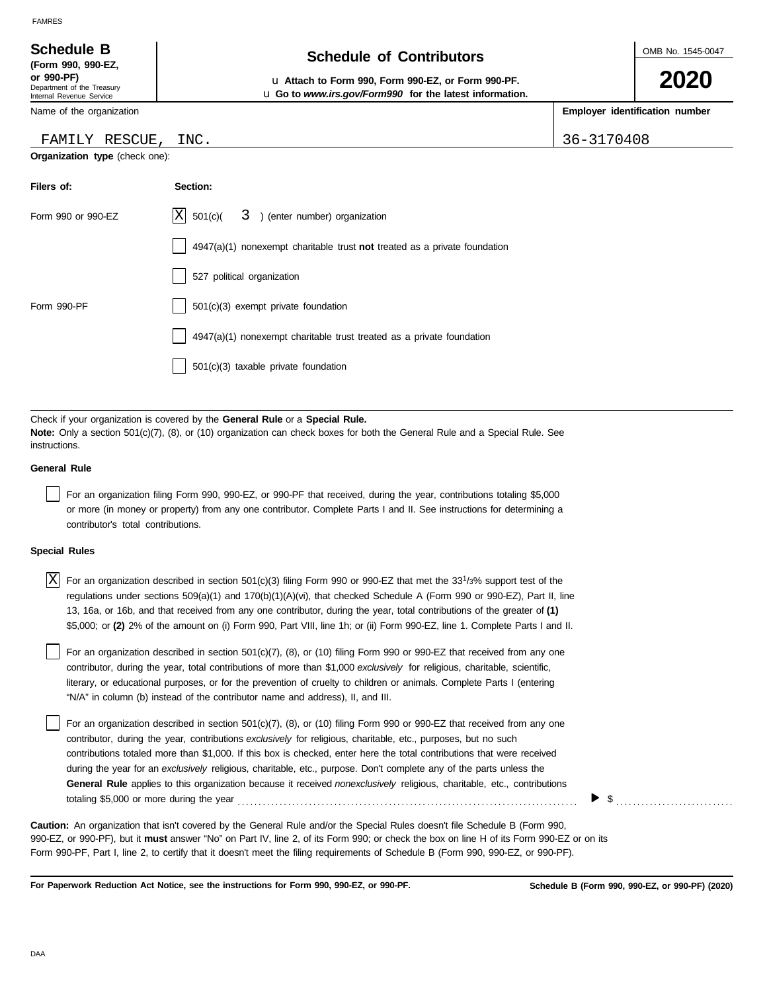| <b>Schedule B</b>                                                    | <b>Schedule of Contributors</b>                                                                                              |  | OMB No. 1545-0047              |
|----------------------------------------------------------------------|------------------------------------------------------------------------------------------------------------------------------|--|--------------------------------|
| (Form 990, 990-EZ,                                                   |                                                                                                                              |  |                                |
| or 990-PF)<br>Department of the Treasury<br>Internal Revenue Service | La Attach to Form 990, Form 990-EZ, or Form 990-PF.<br><b>u</b> Go to <i>www.irs.gov/Form990</i> for the latest information. |  | 2020                           |
| Name of the organization                                             |                                                                                                                              |  | Employer identification number |

### FAMILY RESCUE, INC. 36-3170408

| Filers of:         | Section:                                                                    |
|--------------------|-----------------------------------------------------------------------------|
| Form 990 or 990-EZ | $ X $ 501(c)( $3$ ) (enter number) organization                             |
|                    | $4947(a)(1)$ nonexempt charitable trust not treated as a private foundation |
|                    | 527 political organization                                                  |
| Form 990-PF        | 501(c)(3) exempt private foundation                                         |
|                    | 4947(a)(1) nonexempt charitable trust treated as a private foundation       |
|                    | $501(c)(3)$ taxable private foundation                                      |
|                    |                                                                             |

Check if your organization is covered by the **General Rule** or a **Special Rule. Note:** Only a section 501(c)(7), (8), or (10) organization can check boxes for both the General Rule and a Special Rule. See instructions.

### **General Rule**

For an organization filing Form 990, 990-EZ, or 990-PF that received, during the year, contributions totaling \$5,000 or more (in money or property) from any one contributor. Complete Parts I and II. See instructions for determining a contributor's total contributions.

### **Special Rules**

| $X$ For an organization described in section 501(c)(3) filing Form 990 or 990-EZ that met the 33 <sup>1</sup> /3% support test of the |
|---------------------------------------------------------------------------------------------------------------------------------------|
| regulations under sections 509(a)(1) and 170(b)(1)(A)(vi), that checked Schedule A (Form 990 or 990-EZ), Part II, line                |
| 13, 16a, or 16b, and that received from any one contributor, during the year, total contributions of the greater of (1)               |
| \$5,000; or (2) 2% of the amount on (i) Form 990, Part VIII, line 1h; or (ii) Form 990-EZ, line 1. Complete Parts I and II.           |

literary, or educational purposes, or for the prevention of cruelty to children or animals. Complete Parts I (entering For an organization described in section 501(c)(7), (8), or (10) filing Form 990 or 990-EZ that received from any one contributor, during the year, total contributions of more than \$1,000 *exclusively* for religious, charitable, scientific, "N/A" in column (b) instead of the contributor name and address), II, and III.

For an organization described in section 501(c)(7), (8), or (10) filing Form 990 or 990-EZ that received from any one contributor, during the year, contributions *exclusively* for religious, charitable, etc., purposes, but no such contributions totaled more than \$1,000. If this box is checked, enter here the total contributions that were received during the year for an *exclusively* religious, charitable, etc., purpose. Don't complete any of the parts unless the **General Rule** applies to this organization because it received *nonexclusively* religious, charitable, etc., contributions totaling \$5,000 or more during the year . . . . . . . . . . . . . . . . . . . . . . . . . . . . . . . . . . . . . . . . . . . . . . . . . . . . . . . . . . . . . . . . . . . . . . . . . . . . . . . . .

990-EZ, or 990-PF), but it **must** answer "No" on Part IV, line 2, of its Form 990; or check the box on line H of its Form 990-EZ or on its Form 990-PF, Part I, line 2, to certify that it doesn't meet the filing requirements of Schedule B (Form 990, 990-EZ, or 990-PF). **Caution:** An organization that isn't covered by the General Rule and/or the Special Rules doesn't file Schedule B (Form 990,

**For Paperwork Reduction Act Notice, see the instructions for Form 990, 990-EZ, or 990-PF.**

▶

\$ . . . . . . . . . . . . . . . . . . . . . . . . . . . .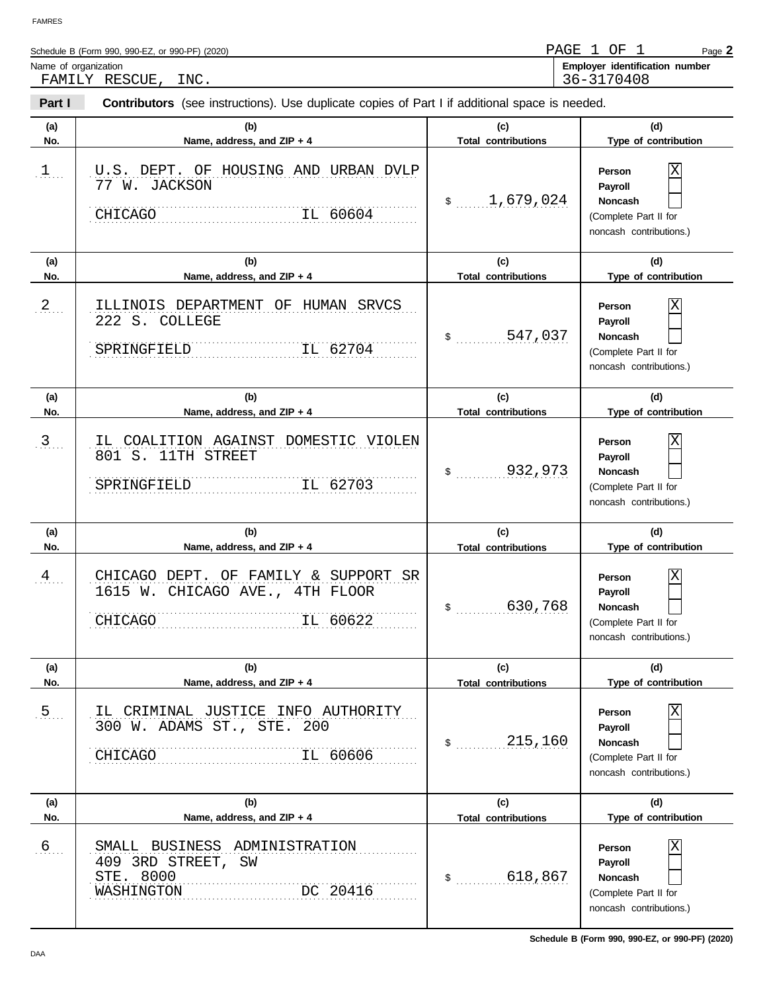$\overline{\phantom{a}}$ 

| Schedule B (Form 990, 990-EZ, or 990-PF) (2020) | PAGE | ΟF         | Page 2                         |
|-------------------------------------------------|------|------------|--------------------------------|
| Name of organization                            |      |            | Employer identification number |
| INC.<br>RESCUE<br>FAMILY                        |      | 36-3170408 |                                |

| Part I         | <b>Contributors</b> (see instructions). Use duplicate copies of Part I if additional space is needed. |                                   |                                                                                              |
|----------------|-------------------------------------------------------------------------------------------------------|-----------------------------------|----------------------------------------------------------------------------------------------|
| (a)<br>No.     | (b)<br>Name, address, and ZIP + 4                                                                     | (c)<br><b>Total contributions</b> | (d)<br>Type of contribution                                                                  |
| 1              | U.S. DEPT. OF HOUSING AND URBAN DVLP<br>77 W. JACKSON<br>CHICAGO<br>IL 60604                          | \$1,679,024                       | Χ<br>Person<br>Payroll<br><b>Noncash</b><br>(Complete Part II for<br>noncash contributions.) |
| (a)<br>No.     | (b)<br>Name, address, and ZIP + 4                                                                     | (c)<br><b>Total contributions</b> | (d)<br>Type of contribution                                                                  |
| 2              | ILLINOIS DEPARTMENT OF HUMAN SRVCS<br>222 S. COLLEGE<br>SPRINGFIELD<br>IL 62704                       |                                   | Χ<br>Person<br>Payroll<br><b>Noncash</b><br>(Complete Part II for<br>noncash contributions.) |
| (a)<br>No.     | (b)<br>Name, address, and ZIP + 4                                                                     | (c)<br><b>Total contributions</b> | (d)<br>Type of contribution                                                                  |
| 3              | IL COALITION AGAINST DOMESTIC VIOLEN<br>801 S. 11TH STREET<br>SPRINGFIELD<br>IL 62703                 | \$32,973                          | Χ<br>Person<br>Payroll<br><b>Noncash</b><br>(Complete Part II for<br>noncash contributions.) |
| (a)<br>No.     | (b)<br>Name, address, and ZIP + 4                                                                     | (c)<br><b>Total contributions</b> | (d)<br>Type of contribution                                                                  |
| $\mathfrak{A}$ |                                                                                                       |                                   |                                                                                              |
|                | CHICAGO DEPT. OF FAMILY & SUPPORT SR<br>1615 W. CHICAGO AVE., 4TH FLOOR<br>IL 60622<br>CHICAGO        | \$ 630,768                        | Χ<br>Person<br>Payroll<br><b>Noncash</b><br>(Complete Part II for<br>noncash contributions.) |
| (a)<br>No.     | (b)<br>Name, address, and ZIP + 4                                                                     | (c)<br><b>Total contributions</b> | (d)<br>Type of contribution                                                                  |
| 5 <sub>1</sub> | IL CRIMINAL JUSTICE INFO AUTHORITY<br>300 W. ADAMS ST., STE. 200<br>IL 60606<br>CHICAGO               | 215,160<br>\$                     | Person<br>Payroll<br>Noncash<br>(Complete Part II for<br>noncash contributions.)             |
| (a)<br>No.     | (b)<br>Name, address, and ZIP + 4                                                                     | (c)<br><b>Total contributions</b> | (d)<br>Type of contribution                                                                  |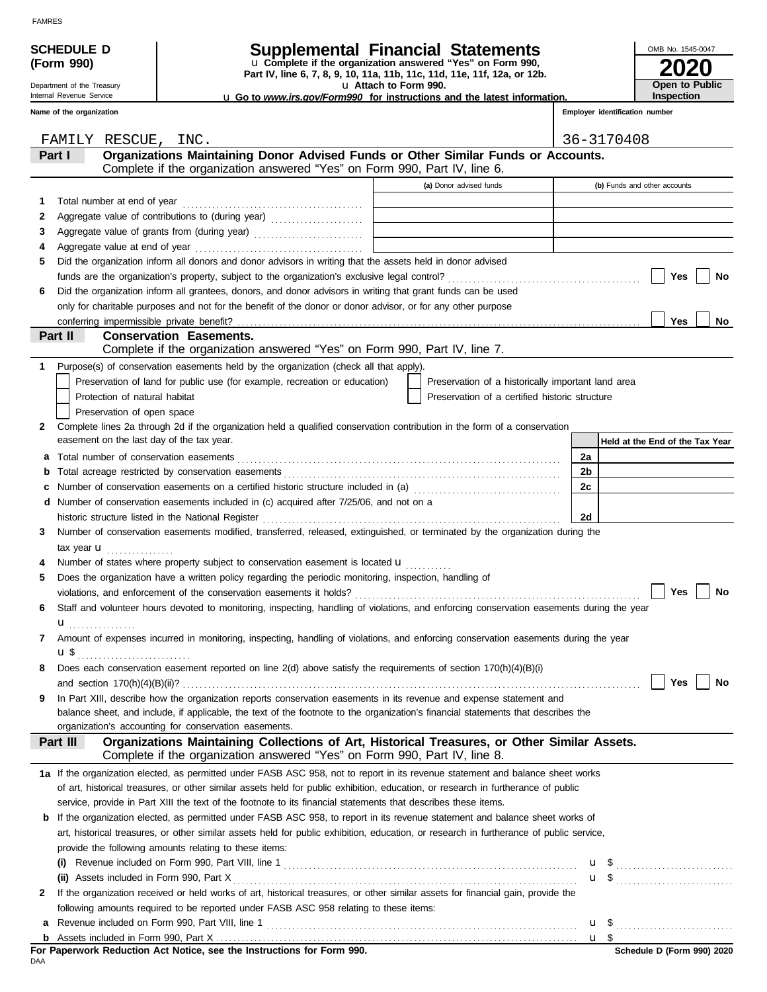## **SCHEDULE D Supplemental Financial Statements**

**Part IV, line 6, 7, 8, 9, 10, 11a, 11b, 11c, 11d, 11e, 11f, 12a, or 12b.** u **Complete if the organization answered "Yes" on Form 990,**

u **Attach to Form 990.** 

u **Go to** *www.irs.gov/Form990* **for instructions and the latest information.**

### Internal Revenue Service

|  |  |  | Name of the organization |
|--|--|--|--------------------------|
|--|--|--|--------------------------|

Department of the Treasury

**(Form 990)**

| OMB No. 1545-0047     |
|-----------------------|
| 2020                  |
| <b>Open to Public</b> |
| Inspection            |

**Employer identification number**

|                                                                           |                                                                                             | FAMILY RESCUE, INC.                                                                                                                                                                                                                                                  |    | 36-3170408                      |  |  |  |  |
|---------------------------------------------------------------------------|---------------------------------------------------------------------------------------------|----------------------------------------------------------------------------------------------------------------------------------------------------------------------------------------------------------------------------------------------------------------------|----|---------------------------------|--|--|--|--|
|                                                                           | Organizations Maintaining Donor Advised Funds or Other Similar Funds or Accounts.<br>Part I |                                                                                                                                                                                                                                                                      |    |                                 |  |  |  |  |
| Complete if the organization answered "Yes" on Form 990, Part IV, line 6. |                                                                                             |                                                                                                                                                                                                                                                                      |    |                                 |  |  |  |  |
|                                                                           |                                                                                             | (a) Donor advised funds                                                                                                                                                                                                                                              |    | (b) Funds and other accounts    |  |  |  |  |
| 1                                                                         |                                                                                             |                                                                                                                                                                                                                                                                      |    |                                 |  |  |  |  |
| 2                                                                         |                                                                                             | Aggregate value of contributions to (during year)                                                                                                                                                                                                                    |    |                                 |  |  |  |  |
| 3                                                                         |                                                                                             |                                                                                                                                                                                                                                                                      |    |                                 |  |  |  |  |
| 4                                                                         |                                                                                             |                                                                                                                                                                                                                                                                      |    |                                 |  |  |  |  |
| 5                                                                         |                                                                                             | Did the organization inform all donors and donor advisors in writing that the assets held in donor advised                                                                                                                                                           |    |                                 |  |  |  |  |
|                                                                           |                                                                                             |                                                                                                                                                                                                                                                                      |    | Yes<br>No                       |  |  |  |  |
| 6                                                                         |                                                                                             | Did the organization inform all grantees, donors, and donor advisors in writing that grant funds can be used                                                                                                                                                         |    |                                 |  |  |  |  |
|                                                                           |                                                                                             | only for charitable purposes and not for the benefit of the donor or donor advisor, or for any other purpose                                                                                                                                                         |    |                                 |  |  |  |  |
|                                                                           |                                                                                             | conferring impermissible private benefit?                                                                                                                                                                                                                            |    | Yes<br>No                       |  |  |  |  |
|                                                                           | Part II                                                                                     | <b>Conservation Easements.</b>                                                                                                                                                                                                                                       |    |                                 |  |  |  |  |
|                                                                           |                                                                                             | Complete if the organization answered "Yes" on Form 990, Part IV, line 7.                                                                                                                                                                                            |    |                                 |  |  |  |  |
| 1.                                                                        |                                                                                             | Purpose(s) of conservation easements held by the organization (check all that apply).                                                                                                                                                                                |    |                                 |  |  |  |  |
|                                                                           |                                                                                             | Preservation of land for public use (for example, recreation or education)<br>Preservation of a historically important land area                                                                                                                                     |    |                                 |  |  |  |  |
|                                                                           |                                                                                             | Preservation of a certified historic structure<br>Protection of natural habitat                                                                                                                                                                                      |    |                                 |  |  |  |  |
|                                                                           |                                                                                             | Preservation of open space                                                                                                                                                                                                                                           |    |                                 |  |  |  |  |
| 2                                                                         |                                                                                             | Complete lines 2a through 2d if the organization held a qualified conservation contribution in the form of a conservation<br>easement on the last day of the tax year.                                                                                               |    |                                 |  |  |  |  |
|                                                                           |                                                                                             |                                                                                                                                                                                                                                                                      | 2a | Held at the End of the Tax Year |  |  |  |  |
| a                                                                         |                                                                                             |                                                                                                                                                                                                                                                                      | 2b |                                 |  |  |  |  |
| b<br>c                                                                    |                                                                                             |                                                                                                                                                                                                                                                                      | 2c |                                 |  |  |  |  |
| d                                                                         |                                                                                             | Number of conservation easements included in (c) acquired after 7/25/06, and not on a                                                                                                                                                                                |    |                                 |  |  |  |  |
|                                                                           |                                                                                             | historic structure listed in the National Register [11] Martin Martin Martin Martin Martin Martin Martin Marti                                                                                                                                                       | 2d |                                 |  |  |  |  |
| 3                                                                         |                                                                                             | Number of conservation easements modified, transferred, released, extinguished, or terminated by the organization during the                                                                                                                                         |    |                                 |  |  |  |  |
|                                                                           |                                                                                             | tax year $\mathbf{u}$                                                                                                                                                                                                                                                |    |                                 |  |  |  |  |
|                                                                           |                                                                                             | Number of states where property subject to conservation easement is located $\mathbf{u}$                                                                                                                                                                             |    |                                 |  |  |  |  |
| 5                                                                         |                                                                                             | Does the organization have a written policy regarding the periodic monitoring, inspection, handling of                                                                                                                                                               |    |                                 |  |  |  |  |
|                                                                           |                                                                                             |                                                                                                                                                                                                                                                                      |    | Yes<br>No                       |  |  |  |  |
| 6                                                                         |                                                                                             | Staff and volunteer hours devoted to monitoring, inspecting, handling of violations, and enforcing conservation easements during the year                                                                                                                            |    |                                 |  |  |  |  |
|                                                                           | u <sub></sub> .                                                                             |                                                                                                                                                                                                                                                                      |    |                                 |  |  |  |  |
| 7                                                                         |                                                                                             | Amount of expenses incurred in monitoring, inspecting, handling of violations, and enforcing conservation easements during the year                                                                                                                                  |    |                                 |  |  |  |  |
|                                                                           |                                                                                             | <b>u</b> \$ <sub></sub>                                                                                                                                                                                                                                              |    |                                 |  |  |  |  |
| 8                                                                         |                                                                                             | Does each conservation easement reported on line 2(d) above satisfy the requirements of section 170(h)(4)(B)(i)                                                                                                                                                      |    |                                 |  |  |  |  |
|                                                                           |                                                                                             |                                                                                                                                                                                                                                                                      |    | No<br>Yes                       |  |  |  |  |
| 9                                                                         |                                                                                             | In Part XIII, describe how the organization reports conservation easements in its revenue and expense statement and                                                                                                                                                  |    |                                 |  |  |  |  |
|                                                                           |                                                                                             | balance sheet, and include, if applicable, the text of the footnote to the organization's financial statements that describes the                                                                                                                                    |    |                                 |  |  |  |  |
|                                                                           |                                                                                             | organization's accounting for conservation easements.                                                                                                                                                                                                                |    |                                 |  |  |  |  |
|                                                                           | Part III                                                                                    | Organizations Maintaining Collections of Art, Historical Treasures, or Other Similar Assets.<br>Complete if the organization answered "Yes" on Form 990, Part IV, line 8.                                                                                            |    |                                 |  |  |  |  |
|                                                                           |                                                                                             |                                                                                                                                                                                                                                                                      |    |                                 |  |  |  |  |
|                                                                           |                                                                                             | 1a If the organization elected, as permitted under FASB ASC 958, not to report in its revenue statement and balance sheet works<br>of art, historical treasures, or other similar assets held for public exhibition, education, or research in furtherance of public |    |                                 |  |  |  |  |
|                                                                           |                                                                                             | service, provide in Part XIII the text of the footnote to its financial statements that describes these items.                                                                                                                                                       |    |                                 |  |  |  |  |
| b                                                                         |                                                                                             | If the organization elected, as permitted under FASB ASC 958, to report in its revenue statement and balance sheet works of                                                                                                                                          |    |                                 |  |  |  |  |
|                                                                           |                                                                                             | art, historical treasures, or other similar assets held for public exhibition, education, or research in furtherance of public service,                                                                                                                              |    |                                 |  |  |  |  |
|                                                                           |                                                                                             | provide the following amounts relating to these items:                                                                                                                                                                                                               |    |                                 |  |  |  |  |
|                                                                           | (i)                                                                                         |                                                                                                                                                                                                                                                                      |    | $\mathbf{u}$ \$                 |  |  |  |  |
|                                                                           |                                                                                             | (ii) Assets included in Form 990, Part X                                                                                                                                                                                                                             |    |                                 |  |  |  |  |
| 2                                                                         |                                                                                             | If the organization received or held works of art, historical treasures, or other similar assets for financial gain, provide the                                                                                                                                     |    |                                 |  |  |  |  |
|                                                                           |                                                                                             | following amounts required to be reported under FASB ASC 958 relating to these items:                                                                                                                                                                                |    |                                 |  |  |  |  |
| а                                                                         |                                                                                             |                                                                                                                                                                                                                                                                      |    |                                 |  |  |  |  |
|                                                                           |                                                                                             |                                                                                                                                                                                                                                                                      |    | $u \,$ \$                       |  |  |  |  |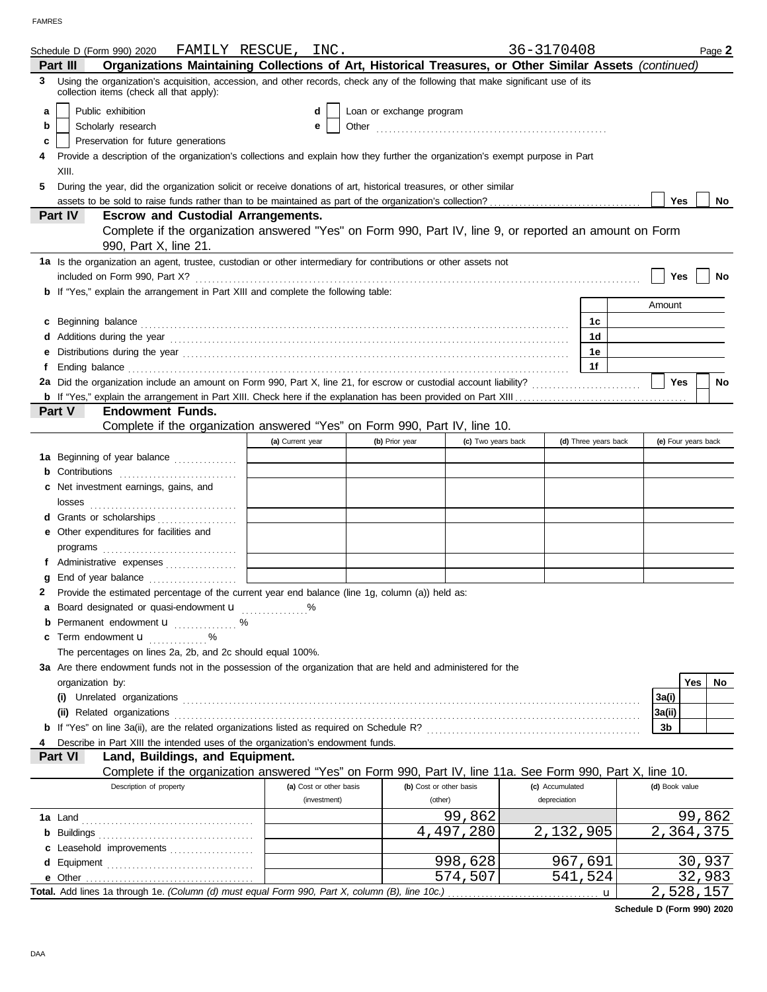|   | Schedule D (Form 990) 2020                                                                                                                                                                                                     | FAMILY RESCUE, INC.     |                          |                         | 36-3170408      |                      |                | Page 2              |
|---|--------------------------------------------------------------------------------------------------------------------------------------------------------------------------------------------------------------------------------|-------------------------|--------------------------|-------------------------|-----------------|----------------------|----------------|---------------------|
|   | Organizations Maintaining Collections of Art, Historical Treasures, or Other Similar Assets (continued)<br>Part III                                                                                                            |                         |                          |                         |                 |                      |                |                     |
|   | 3 Using the organization's acquisition, accession, and other records, check any of the following that make significant use of its<br>collection items (check all that apply):                                                  |                         |                          |                         |                 |                      |                |                     |
| a | Public exhibition                                                                                                                                                                                                              | d                       | Loan or exchange program |                         |                 |                      |                |                     |
| b | Scholarly research                                                                                                                                                                                                             | е                       | Other                    |                         |                 |                      |                |                     |
| c | Preservation for future generations                                                                                                                                                                                            |                         |                          |                         |                 |                      |                |                     |
|   | Provide a description of the organization's collections and explain how they further the organization's exempt purpose in Part                                                                                                 |                         |                          |                         |                 |                      |                |                     |
|   | XIII.                                                                                                                                                                                                                          |                         |                          |                         |                 |                      |                |                     |
| 5 |                                                                                                                                                                                                                                |                         |                          |                         |                 |                      |                |                     |
|   | During the year, did the organization solicit or receive donations of art, historical treasures, or other similar                                                                                                              |                         |                          |                         |                 |                      | Yes            | No.                 |
|   | Part IV<br><b>Escrow and Custodial Arrangements.</b>                                                                                                                                                                           |                         |                          |                         |                 |                      |                |                     |
|   | Complete if the organization answered "Yes" on Form 990, Part IV, line 9, or reported an amount on Form                                                                                                                        |                         |                          |                         |                 |                      |                |                     |
|   | 990, Part X, line 21.                                                                                                                                                                                                          |                         |                          |                         |                 |                      |                |                     |
|   | 1a Is the organization an agent, trustee, custodian or other intermediary for contributions or other assets not<br>included on Form 990, Part X?                                                                               |                         |                          |                         |                 |                      | Yes            | No                  |
|   | b If "Yes," explain the arrangement in Part XIII and complete the following table:                                                                                                                                             |                         |                          |                         |                 |                      |                |                     |
|   |                                                                                                                                                                                                                                |                         |                          |                         |                 |                      | Amount         |                     |
|   |                                                                                                                                                                                                                                |                         |                          |                         |                 |                      |                |                     |
| c | Beginning balance                                                                                                                                                                                                              |                         |                          |                         |                 | 1c                   |                |                     |
|   | Additions during the year contained and according to the year contained and year and according the year contained and according the year contained and according to the year contained and according to the year and according |                         |                          |                         |                 | 1 <sub>d</sub>       |                |                     |
|   |                                                                                                                                                                                                                                |                         |                          |                         |                 | 1е                   |                |                     |
| f |                                                                                                                                                                                                                                |                         |                          |                         |                 | 1f                   |                |                     |
|   |                                                                                                                                                                                                                                |                         |                          |                         |                 |                      | Yes            | <b>No</b>           |
|   |                                                                                                                                                                                                                                |                         |                          |                         |                 |                      |                |                     |
|   | Part V<br><b>Endowment Funds.</b>                                                                                                                                                                                              |                         |                          |                         |                 |                      |                |                     |
|   | Complete if the organization answered "Yes" on Form 990, Part IV, line 10.                                                                                                                                                     |                         |                          |                         |                 |                      |                |                     |
|   |                                                                                                                                                                                                                                | (a) Current year        | (b) Prior year           | (c) Two years back      |                 | (d) Three years back |                | (e) Four years back |
|   | 1a Beginning of year balance                                                                                                                                                                                                   |                         |                          |                         |                 |                      |                |                     |
| b |                                                                                                                                                                                                                                |                         |                          |                         |                 |                      |                |                     |
|   | c Net investment earnings, gains, and                                                                                                                                                                                          |                         |                          |                         |                 |                      |                |                     |
|   | losses                                                                                                                                                                                                                         |                         |                          |                         |                 |                      |                |                     |
| d |                                                                                                                                                                                                                                |                         |                          |                         |                 |                      |                |                     |
| е | Other expenditures for facilities and                                                                                                                                                                                          |                         |                          |                         |                 |                      |                |                     |
|   |                                                                                                                                                                                                                                |                         |                          |                         |                 |                      |                |                     |
| f | Administrative expenses                                                                                                                                                                                                        |                         |                          |                         |                 |                      |                |                     |
|   |                                                                                                                                                                                                                                |                         |                          |                         |                 |                      |                |                     |
| 2 | Provide the estimated percentage of the current year end balance (line 1g, column (a)) held as:                                                                                                                                |                         |                          |                         |                 |                      |                |                     |
|   | a Board designated or quasi-endowment u %                                                                                                                                                                                      |                         |                          |                         |                 |                      |                |                     |
|   | Permanent endowment <b>u</b> %                                                                                                                                                                                                 |                         |                          |                         |                 |                      |                |                     |
| c | Term endowment <b>u</b>                                                                                                                                                                                                        |                         |                          |                         |                 |                      |                |                     |
|   | The percentages on lines 2a, 2b, and 2c should equal 100%.                                                                                                                                                                     |                         |                          |                         |                 |                      |                |                     |
|   | 3a Are there endowment funds not in the possession of the organization that are held and administered for the                                                                                                                  |                         |                          |                         |                 |                      |                |                     |
|   | organization by:                                                                                                                                                                                                               |                         |                          |                         |                 |                      |                | Yes<br>No           |
|   |                                                                                                                                                                                                                                |                         |                          |                         |                 |                      | 3a(i)          |                     |
|   | (ii) Related organizations                                                                                                                                                                                                     |                         |                          |                         |                 |                      | 3a(ii)         |                     |
|   |                                                                                                                                                                                                                                |                         |                          |                         |                 |                      | 3b             |                     |
|   | Describe in Part XIII the intended uses of the organization's endowment funds.                                                                                                                                                 |                         |                          |                         |                 |                      |                |                     |
|   | Part VI<br>Land, Buildings, and Equipment.                                                                                                                                                                                     |                         |                          |                         |                 |                      |                |                     |
|   | Complete if the organization answered "Yes" on Form 990, Part IV, line 11a. See Form 990, Part X, line 10.                                                                                                                     |                         |                          |                         |                 |                      |                |                     |
|   | Description of property                                                                                                                                                                                                        | (a) Cost or other basis |                          | (b) Cost or other basis | (c) Accumulated |                      | (d) Book value |                     |
|   |                                                                                                                                                                                                                                | (investment)            |                          | (other)                 | depreciation    |                      |                |                     |
|   |                                                                                                                                                                                                                                |                         |                          | 99,862                  |                 |                      |                | 99,862              |
|   |                                                                                                                                                                                                                                |                         |                          | 4,497,280               | 2,132,905       |                      |                | 2,364,375           |
|   | c Leasehold improvements                                                                                                                                                                                                       |                         |                          |                         |                 |                      |                |                     |
|   |                                                                                                                                                                                                                                |                         |                          | 998,628                 | 967,691         |                      |                | 30,937              |
|   |                                                                                                                                                                                                                                |                         |                          | 574,507                 | 541,524         |                      |                | 32,983              |
|   |                                                                                                                                                                                                                                |                         |                          |                         |                 | $\mathbf u$          |                | 2,528,157           |
|   |                                                                                                                                                                                                                                |                         |                          |                         |                 |                      |                |                     |

**Schedule D (Form 990) 2020**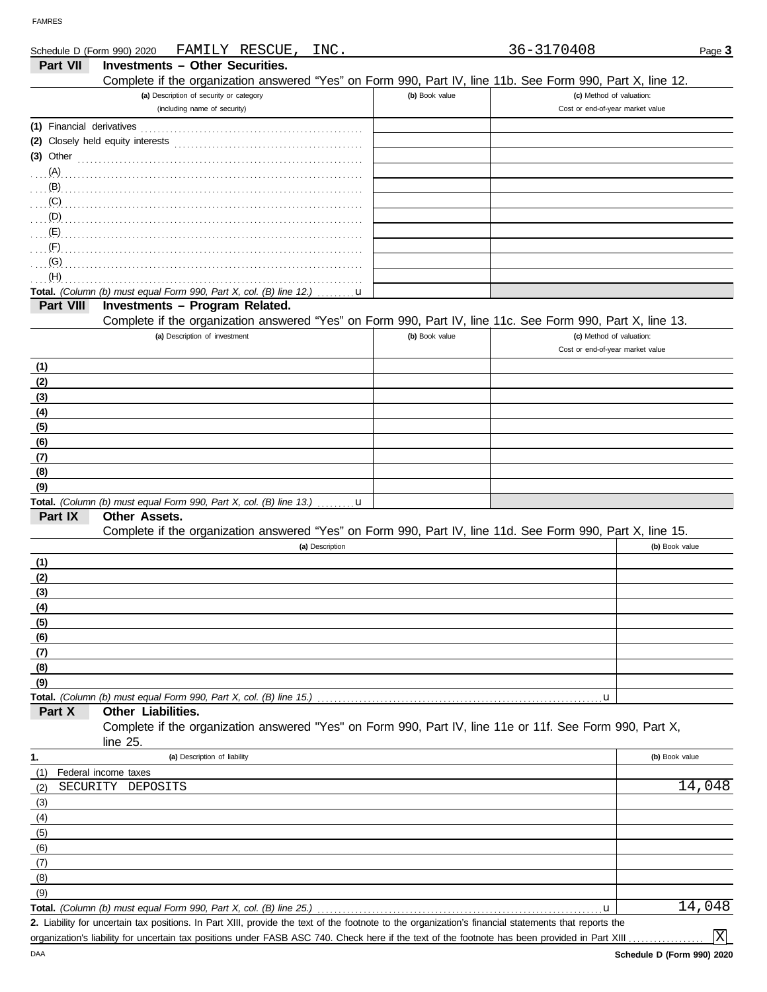DAA

| Schedule D (Form 990) 2020 | FAMILY RESCUE,<br>INC.                                                                                                                               |                | 36-3170408                       | Page 3         |
|----------------------------|------------------------------------------------------------------------------------------------------------------------------------------------------|----------------|----------------------------------|----------------|
| Part VII                   | Investments - Other Securities.                                                                                                                      |                |                                  |                |
|                            | Complete if the organization answered "Yes" on Form 990, Part IV, line 11b. See Form 990, Part X, line 12.                                           |                |                                  |                |
|                            | (a) Description of security or category                                                                                                              | (b) Book value | (c) Method of valuation:         |                |
|                            | (including name of security)                                                                                                                         |                | Cost or end-of-year market value |                |
| (1) Financial derivatives  |                                                                                                                                                      |                |                                  |                |
|                            |                                                                                                                                                      |                |                                  |                |
| $(3)$ Other                |                                                                                                                                                      |                |                                  |                |
|                            |                                                                                                                                                      |                |                                  |                |
| (B)                        |                                                                                                                                                      |                |                                  |                |
|                            |                                                                                                                                                      |                |                                  |                |
|                            |                                                                                                                                                      |                |                                  |                |
| $\ldots$ (E)               |                                                                                                                                                      |                |                                  |                |
| $\ldots$ (F)               |                                                                                                                                                      |                |                                  |                |
| $\ldots$ (G)               |                                                                                                                                                      |                |                                  |                |
| (H)                        |                                                                                                                                                      |                |                                  |                |
|                            | Total. (Column (b) must equal Form 990, Part X, col. (B) line 12.)<br><u></u> <b>u</b>                                                               |                |                                  |                |
| Part VIII                  | Investments - Program Related.                                                                                                                       |                |                                  |                |
|                            | Complete if the organization answered "Yes" on Form 990, Part IV, line 11c. See Form 990, Part X, line 13.                                           |                |                                  |                |
|                            | (a) Description of investment                                                                                                                        | (b) Book value | (c) Method of valuation:         |                |
|                            |                                                                                                                                                      |                | Cost or end-of-year market value |                |
| (1)                        |                                                                                                                                                      |                |                                  |                |
| (2)                        |                                                                                                                                                      |                |                                  |                |
| (3)                        |                                                                                                                                                      |                |                                  |                |
| (4)                        |                                                                                                                                                      |                |                                  |                |
| (5)                        |                                                                                                                                                      |                |                                  |                |
| (6)                        |                                                                                                                                                      |                |                                  |                |
| (7)                        |                                                                                                                                                      |                |                                  |                |
|                            |                                                                                                                                                      |                |                                  |                |
| (8)                        |                                                                                                                                                      |                |                                  |                |
| (9)                        |                                                                                                                                                      |                |                                  |                |
| Part IX                    | <b>Total.</b> (Column (b) must equal Form 990, Part X, col. (B) line 13.) $\ldots \ldots \mathbf{u}$<br>Other Assets.                                |                |                                  |                |
|                            | Complete if the organization answered "Yes" on Form 990, Part IV, line 11d. See Form 990, Part X, line 15.                                           |                |                                  |                |
|                            | (a) Description                                                                                                                                      |                |                                  | (b) Book value |
|                            |                                                                                                                                                      |                |                                  |                |
| (1)                        |                                                                                                                                                      |                |                                  |                |
| (2)                        |                                                                                                                                                      |                |                                  |                |
| (3)                        |                                                                                                                                                      |                |                                  |                |
| (4)                        |                                                                                                                                                      |                |                                  |                |
| (5)                        |                                                                                                                                                      |                |                                  |                |
| (6)                        |                                                                                                                                                      |                |                                  |                |
| (7)                        |                                                                                                                                                      |                |                                  |                |
| (8)                        |                                                                                                                                                      |                |                                  |                |
| (9)                        |                                                                                                                                                      |                |                                  |                |
|                            | Total. (Column (b) must equal Form 990, Part X, col. (B) line 15.)<br>Other Liabilities.                                                             |                | u                                |                |
| Part X                     | Complete if the organization answered "Yes" on Form 990, Part IV, line 11e or 11f. See Form 990, Part X,                                             |                |                                  |                |
|                            | line 25.                                                                                                                                             |                |                                  |                |
| 1.                         | (a) Description of liability                                                                                                                         |                |                                  | (b) Book value |
| (1)                        | Federal income taxes                                                                                                                                 |                |                                  |                |
| (2)                        | SECURITY DEPOSITS                                                                                                                                    |                |                                  | 14,048         |
| (3)                        |                                                                                                                                                      |                |                                  |                |
| (4)                        |                                                                                                                                                      |                |                                  |                |
| (5)                        |                                                                                                                                                      |                |                                  |                |
| (6)                        |                                                                                                                                                      |                |                                  |                |
| (7)                        |                                                                                                                                                      |                |                                  |                |
| (8)                        |                                                                                                                                                      |                |                                  |                |
| (9)                        |                                                                                                                                                      |                |                                  |                |
|                            | Total. (Column (b) must equal Form 990, Part X, col. (B) line 25.)                                                                                   |                | u                                | 14,048         |
|                            | 2. Liability for uncertain tax positions. In Part XIII, provide the text of the footnote to the organization's financial statements that reports the |                |                                  |                |

organization's liability for uncertain tax positions under FASB ASC 740. Check here if the text of the footnote has been provided in Part XIII

X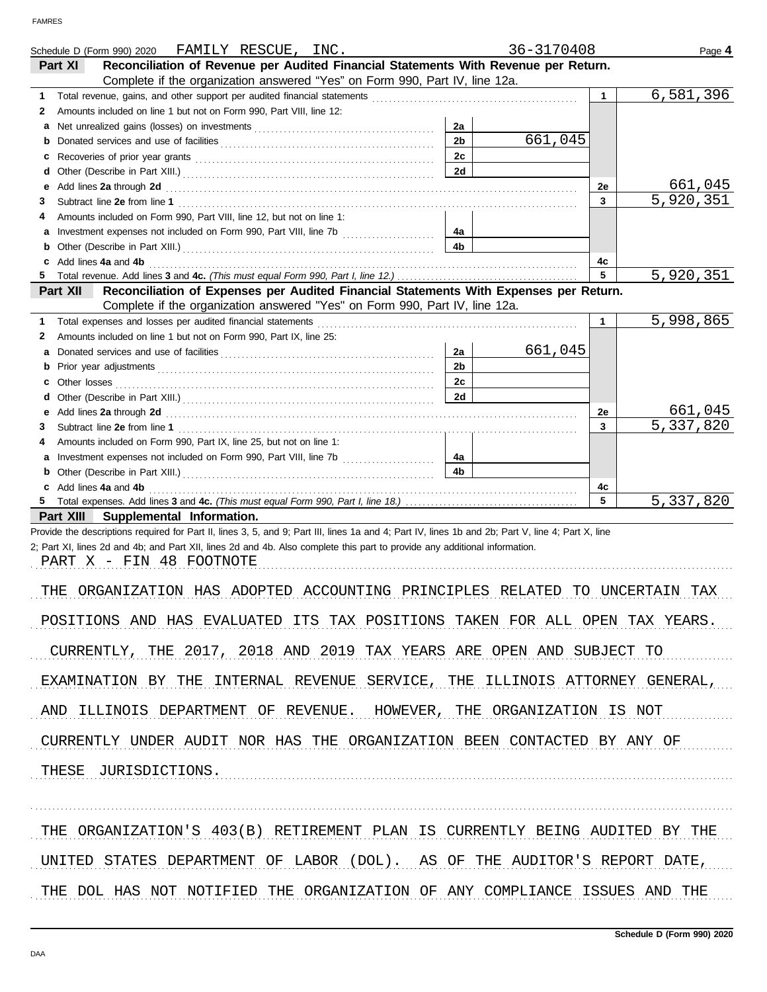|        | FAMILY RESCUE, INC.<br>Schedule D (Form 990) 2020                                                                                                                                                                                                                                |                      | 36-3170408 |              | Page 4           |
|--------|----------------------------------------------------------------------------------------------------------------------------------------------------------------------------------------------------------------------------------------------------------------------------------|----------------------|------------|--------------|------------------|
|        | Reconciliation of Revenue per Audited Financial Statements With Revenue per Return.<br>Part XI                                                                                                                                                                                   |                      |            |              |                  |
|        | Complete if the organization answered "Yes" on Form 990, Part IV, line 12a.                                                                                                                                                                                                      |                      |            |              |                  |
| 1.     |                                                                                                                                                                                                                                                                                  |                      |            | $\mathbf{1}$ | 6,581,396        |
| 2      | Amounts included on line 1 but not on Form 990, Part VIII, line 12:                                                                                                                                                                                                              |                      |            |              |                  |
| а      |                                                                                                                                                                                                                                                                                  | 2a<br>2 <sub>b</sub> | 661,045    |              |                  |
| b      |                                                                                                                                                                                                                                                                                  | 2c                   |            |              |                  |
| c<br>d |                                                                                                                                                                                                                                                                                  | 2d                   |            |              |                  |
| е      | Add lines 2a through 2d [11] Add [12] Add [12] Add lines 2a through 2d [12] Add lines 2a through 2d                                                                                                                                                                              |                      |            | 2е           | 661,045          |
| 3      |                                                                                                                                                                                                                                                                                  |                      |            | 3            | 5,920,351        |
| 4      | Amounts included on Form 990, Part VIII, line 12, but not on line 1:                                                                                                                                                                                                             |                      |            |              |                  |
| а      | Investment expenses not included on Form 990, Part VIII, line 7b [                                                                                                                                                                                                               | 4a                   |            |              |                  |
| b      |                                                                                                                                                                                                                                                                                  | 4 <sub>b</sub>       |            |              |                  |
| c      | Add lines 4a and 4b                                                                                                                                                                                                                                                              |                      |            | 4c           |                  |
|        |                                                                                                                                                                                                                                                                                  |                      |            | 5            | 5,920,351        |
|        | Reconciliation of Expenses per Audited Financial Statements With Expenses per Return.<br>Part XII                                                                                                                                                                                |                      |            |              |                  |
|        | Complete if the organization answered "Yes" on Form 990, Part IV, line 12a.                                                                                                                                                                                                      |                      |            |              |                  |
| 1      | Total expenses and losses per audited financial statements<br>Amounts included on line 1 but not on Form 990, Part IX, line 25:                                                                                                                                                  |                      |            | $\mathbf{1}$ | 5,998,865        |
| 2      |                                                                                                                                                                                                                                                                                  | 2a                   | 661,045    |              |                  |
| а<br>b |                                                                                                                                                                                                                                                                                  | 2 <sub>b</sub>       |            |              |                  |
| c      | Other losses                                                                                                                                                                                                                                                                     | 2c                   |            |              |                  |
| d      |                                                                                                                                                                                                                                                                                  | 2d                   |            |              |                  |
| е      | Add lines 2a through 2d [11] Add [12] Add [12] Add lines 2a through 2d [12] Add lines 2a through 2d [12] Add [12] Add [12] Add [12] Add [12] Add [12] Add [12] Add [12] Add [12] Add [12] Add [12] Add [12] Add [12] Add [12]                                                    |                      |            | 2е           | 661,045          |
| 3      |                                                                                                                                                                                                                                                                                  |                      |            | 3            | 5,337,820        |
| 4      | Amounts included on Form 990, Part IX, line 25, but not on line 1:                                                                                                                                                                                                               |                      |            |              |                  |
| а      |                                                                                                                                                                                                                                                                                  | -4a                  |            |              |                  |
| b      |                                                                                                                                                                                                                                                                                  | 4 <sub>b</sub>       |            |              |                  |
| c      | Add lines 4a and 4b                                                                                                                                                                                                                                                              |                      |            | 4c           |                  |
|        |                                                                                                                                                                                                                                                                                  |                      |            | 5            | 5,337,820        |
|        | Part XIII<br>Supplemental Information.                                                                                                                                                                                                                                           |                      |            |              |                  |
|        | Provide the descriptions required for Part II, lines 3, 5, and 9; Part III, lines 1a and 4; Part IV, lines 1b and 2b; Part V, line 4; Part X, line<br>2; Part XI, lines 2d and 4b; and Part XII, lines 2d and 4b. Also complete this part to provide any additional information. |                      |            |              |                  |
|        | PART X - FIN 48 FOOTNOTE                                                                                                                                                                                                                                                         |                      |            |              |                  |
|        |                                                                                                                                                                                                                                                                                  |                      |            |              |                  |
| THE    | ORGANIZATION HAS ADOPTED ACCOUNTING PRINCIPLES RELATED                                                                                                                                                                                                                           |                      |            |              | TO UNCERTAIN TAX |
|        |                                                                                                                                                                                                                                                                                  |                      |            |              |                  |
|        | POSITIONS AND HAS EVALUATED ITS TAX POSITIONS TAKEN FOR ALL OPEN TAX YEARS.                                                                                                                                                                                                      |                      |            |              |                  |
|        |                                                                                                                                                                                                                                                                                  |                      |            |              |                  |
|        | CURRENTLY, THE 2017, 2018 AND 2019 TAX YEARS ARE OPEN AND SUBJECT TO                                                                                                                                                                                                             |                      |            |              |                  |
|        |                                                                                                                                                                                                                                                                                  |                      |            |              |                  |
|        | EXAMINATION BY THE INTERNAL REVENUE SERVICE, THE ILLINOIS ATTORNEY GENERAL,                                                                                                                                                                                                      |                      |            |              |                  |
|        |                                                                                                                                                                                                                                                                                  |                      |            |              |                  |
|        | AND ILLINOIS DEPARTMENT OF REVENUE. HOWEVER, THE ORGANIZATION IS NOT                                                                                                                                                                                                             |                      |            |              |                  |
|        | CURRENTLY UNDER AUDIT NOR HAS THE ORGANIZATION BEEN CONTACTED BY ANY OF                                                                                                                                                                                                          |                      |            |              |                  |
|        |                                                                                                                                                                                                                                                                                  |                      |            |              |                  |
|        | THESE JURISDICTIONS.                                                                                                                                                                                                                                                             |                      |            |              |                  |
|        |                                                                                                                                                                                                                                                                                  |                      |            |              |                  |
|        |                                                                                                                                                                                                                                                                                  |                      |            |              |                  |
|        |                                                                                                                                                                                                                                                                                  |                      |            |              |                  |
|        | THE ORGANIZATION'S 403(B) RETIREMENT PLAN IS CURRENTLY BEING AUDITED BY THE                                                                                                                                                                                                      |                      |            |              |                  |
|        |                                                                                                                                                                                                                                                                                  |                      |            |              |                  |
|        | UNITED STATES DEPARTMENT OF LABOR (DOL). AS OF THE AUDITOR'S REPORT DATE,                                                                                                                                                                                                        |                      |            |              |                  |
|        |                                                                                                                                                                                                                                                                                  |                      |            |              |                  |
|        | THE DOL HAS NOT NOTIFIED THE ORGANIZATION OF ANY COMPLIANCE ISSUES AND THE                                                                                                                                                                                                       |                      |            |              |                  |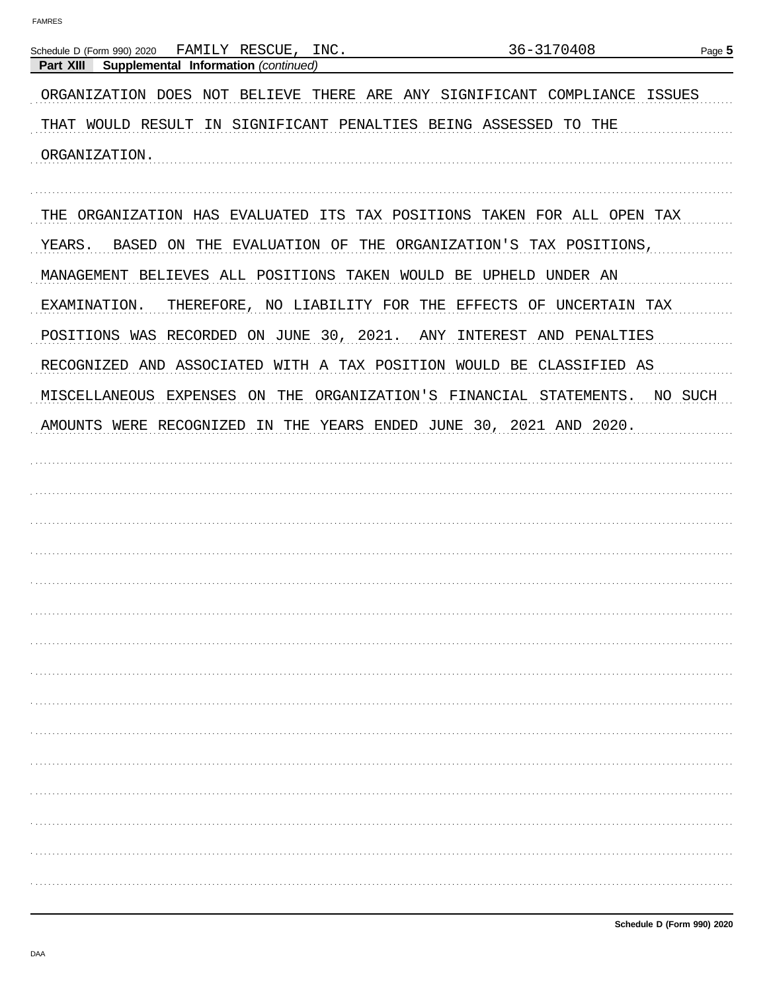| FAMILY RESCUE, INC.<br>Schedule D (Form 990) 2020                        | 36-3170408                                      | Page 5        |
|--------------------------------------------------------------------------|-------------------------------------------------|---------------|
| Supplemental Information (continued)<br>Part XIII                        |                                                 |               |
| ORGANIZATION DOES NOT BELIEVE THERE ARE ANY SIGNIFICANT COMPLIANCE       |                                                 | <b>ISSUES</b> |
| THAT WOULD RESULT IN SIGNIFICANT PENALTIES BEING ASSESSED TO THE         |                                                 |               |
| ORGANIZATION.                                                            |                                                 |               |
| THE ORGANIZATION HAS EVALUATED ITS TAX POSITIONS TAKEN FOR ALL OPEN TAX  |                                                 |               |
| YEARS.<br>BASED ON THE                                                   | EVALUATION OF THE ORGANIZATION'S TAX POSITIONS, |               |
| MANAGEMENT BELIEVES ALL POSITIONS TAKEN WOULD BE UPHELD UNDER AN         |                                                 |               |
| THEREFORE, NO LIABILITY FOR THE EFFECTS OF UNCERTAIN TAX<br>EXAMINATION. |                                                 |               |
| POSITIONS WAS RECORDED ON JUNE 30, 2021.                                 | ANY INTEREST AND PENALTIES                      |               |
| RECOGNIZED AND ASSOCIATED WITH A TAX POSITION WOULD BE CLASSIFIED AS     |                                                 |               |
| MISCELLANEOUS EXPENSES ON<br>THE                                         | ORGANIZATION'S FINANCIAL STATEMENTS.            | NO SUCH       |
| AMOUNTS WERE RECOGNIZED                                                  | IN THE YEARS ENDED JUNE 30, 2021 AND 2020.      |               |
|                                                                          |                                                 |               |
|                                                                          |                                                 |               |
|                                                                          |                                                 |               |
|                                                                          |                                                 |               |
|                                                                          |                                                 |               |
|                                                                          |                                                 |               |
|                                                                          |                                                 |               |
|                                                                          |                                                 |               |
|                                                                          |                                                 |               |
|                                                                          |                                                 |               |
|                                                                          |                                                 |               |
|                                                                          |                                                 |               |
|                                                                          |                                                 |               |
|                                                                          |                                                 |               |
|                                                                          |                                                 |               |
|                                                                          |                                                 |               |
|                                                                          |                                                 |               |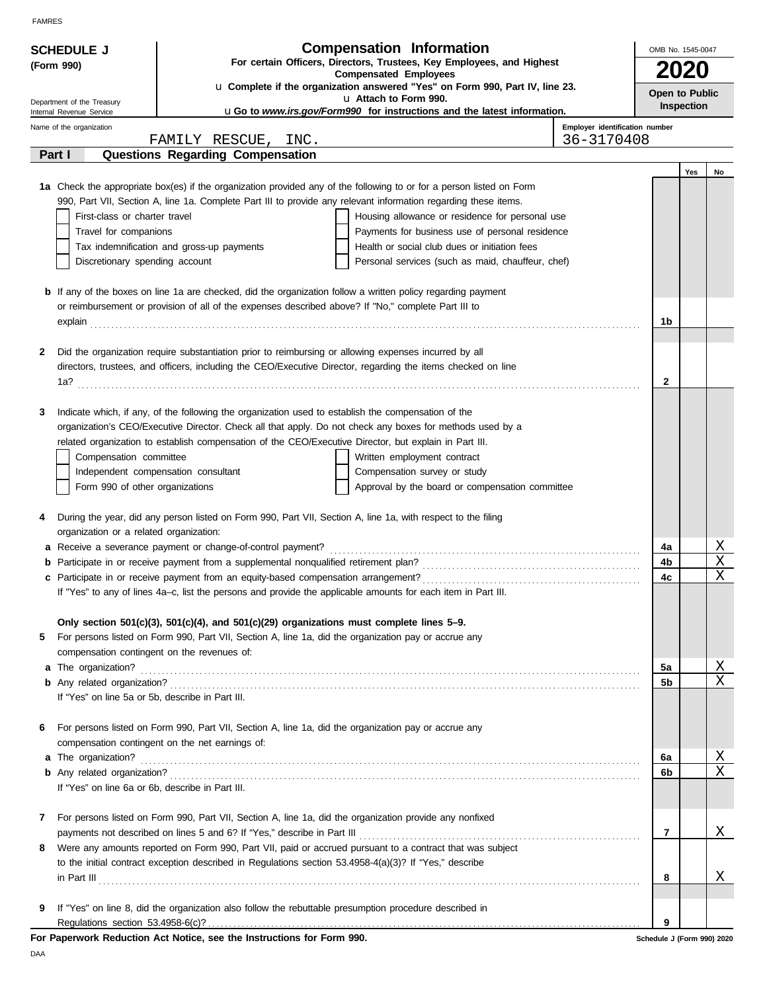|   | <b>SCHEDULE J</b>                                                                   |                                                                                                                     | <b>Compensation Information</b>                                                                                                                                                                                                      | OMB No. 1545-0047          |             |    |
|---|-------------------------------------------------------------------------------------|---------------------------------------------------------------------------------------------------------------------|--------------------------------------------------------------------------------------------------------------------------------------------------------------------------------------------------------------------------------------|----------------------------|-------------|----|
|   | For certain Officers, Directors, Trustees, Key Employees, and Highest<br>(Form 990) |                                                                                                                     |                                                                                                                                                                                                                                      |                            |             |    |
|   |                                                                                     |                                                                                                                     | <b>Compensated Employees</b><br>u Complete if the organization answered "Yes" on Form 990, Part IV, line 23.                                                                                                                         |                            | <b>2020</b> |    |
|   | Department of the Treasury                                                          |                                                                                                                     | u Attach to Form 990.                                                                                                                                                                                                                | Open to Public             | Inspection  |    |
|   | Internal Revenue Service                                                            |                                                                                                                     | <b>uGo to www.irs.gov/Form990 for instructions and the latest information.</b>                                                                                                                                                       |                            |             |    |
|   | Name of the organization                                                            |                                                                                                                     | Employer identification number<br>36-3170408                                                                                                                                                                                         |                            |             |    |
|   | Part I                                                                              | FAMILY RESCUE, INC.<br>Questions Regarding Compensation                                                             |                                                                                                                                                                                                                                      |                            |             |    |
|   |                                                                                     |                                                                                                                     |                                                                                                                                                                                                                                      |                            | Yes         | No |
|   |                                                                                     |                                                                                                                     | 1a Check the appropriate box(es) if the organization provided any of the following to or for a person listed on Form                                                                                                                 |                            |             |    |
|   |                                                                                     |                                                                                                                     | 990, Part VII, Section A, line 1a. Complete Part III to provide any relevant information regarding these items.                                                                                                                      |                            |             |    |
|   | First-class or charter travel<br>Housing allowance or residence for personal use    |                                                                                                                     |                                                                                                                                                                                                                                      |                            |             |    |
|   | Travel for companions                                                               |                                                                                                                     | Payments for business use of personal residence                                                                                                                                                                                      |                            |             |    |
|   |                                                                                     | Tax indemnification and gross-up payments                                                                           | Health or social club dues or initiation fees                                                                                                                                                                                        |                            |             |    |
|   | Discretionary spending account                                                      |                                                                                                                     | Personal services (such as maid, chauffeur, chef)                                                                                                                                                                                    |                            |             |    |
|   |                                                                                     |                                                                                                                     |                                                                                                                                                                                                                                      |                            |             |    |
|   |                                                                                     | <b>b</b> If any of the boxes on line 1a are checked, did the organization follow a written policy regarding payment |                                                                                                                                                                                                                                      |                            |             |    |
|   |                                                                                     | or reimbursement or provision of all of the expenses described above? If "No," complete Part III to                 |                                                                                                                                                                                                                                      | 1b                         |             |    |
|   |                                                                                     |                                                                                                                     | explain <b>contract and the contract of the contract of the contract of the contract of the contract of the contract of the contract of the contract of the contract of the contract of the contract of the contract of the cont</b> |                            |             |    |
| 2 |                                                                                     | Did the organization require substantiation prior to reimbursing or allowing expenses incurred by all               |                                                                                                                                                                                                                                      |                            |             |    |
|   |                                                                                     |                                                                                                                     | directors, trustees, and officers, including the CEO/Executive Director, regarding the items checked on line                                                                                                                         |                            |             |    |
|   |                                                                                     |                                                                                                                     |                                                                                                                                                                                                                                      | 2                          |             |    |
|   |                                                                                     |                                                                                                                     |                                                                                                                                                                                                                                      |                            |             |    |
| 3 |                                                                                     | Indicate which, if any, of the following the organization used to establish the compensation of the                 |                                                                                                                                                                                                                                      |                            |             |    |
|   |                                                                                     |                                                                                                                     | organization's CEO/Executive Director. Check all that apply. Do not check any boxes for methods used by a                                                                                                                            |                            |             |    |
|   |                                                                                     | related organization to establish compensation of the CEO/Executive Director, but explain in Part III.              |                                                                                                                                                                                                                                      |                            |             |    |
|   | Compensation committee                                                              |                                                                                                                     | Written employment contract                                                                                                                                                                                                          |                            |             |    |
|   |                                                                                     | Independent compensation consultant                                                                                 | Compensation survey or study                                                                                                                                                                                                         |                            |             |    |
|   | Form 990 of other organizations                                                     |                                                                                                                     | Approval by the board or compensation committee                                                                                                                                                                                      |                            |             |    |
| 4 |                                                                                     | During the year, did any person listed on Form 990, Part VII, Section A, line 1a, with respect to the filing        |                                                                                                                                                                                                                                      |                            |             |    |
|   | organization or a related organization:                                             |                                                                                                                     |                                                                                                                                                                                                                                      |                            |             |    |
|   |                                                                                     | a Receive a severance payment or change-of-control payment?                                                         |                                                                                                                                                                                                                                      | 4a                         |             | Χ  |
|   |                                                                                     |                                                                                                                     |                                                                                                                                                                                                                                      | 4b                         |             | Χ  |
|   |                                                                                     |                                                                                                                     |                                                                                                                                                                                                                                      | 4c                         |             | Χ  |
|   |                                                                                     |                                                                                                                     | "Yes" to any of lines 4a-c, list the persons and provide the applicable amounts for each item in Part III.                                                                                                                           |                            |             |    |
|   |                                                                                     |                                                                                                                     |                                                                                                                                                                                                                                      |                            |             |    |
|   |                                                                                     | Only section $501(c)(3)$ , $501(c)(4)$ , and $501(c)(29)$ organizations must complete lines 5-9.                    |                                                                                                                                                                                                                                      |                            |             |    |
| 5 |                                                                                     | For persons listed on Form 990, Part VII, Section A, line 1a, did the organization pay or accrue any                |                                                                                                                                                                                                                                      |                            |             |    |
|   | compensation contingent on the revenues of:<br><b>a</b> The organization?           |                                                                                                                     |                                                                                                                                                                                                                                      | 5a                         |             | Χ  |
|   |                                                                                     |                                                                                                                     |                                                                                                                                                                                                                                      | 5b                         |             | X  |
|   | If "Yes" on line 5a or 5b, describe in Part III.                                    |                                                                                                                     |                                                                                                                                                                                                                                      |                            |             |    |
|   |                                                                                     |                                                                                                                     |                                                                                                                                                                                                                                      |                            |             |    |
| 6 |                                                                                     | For persons listed on Form 990, Part VII, Section A, line 1a, did the organization pay or accrue any                |                                                                                                                                                                                                                                      |                            |             |    |
|   |                                                                                     | compensation contingent on the net earnings of:                                                                     |                                                                                                                                                                                                                                      |                            |             |    |
|   | <b>a</b> The organization?                                                          |                                                                                                                     |                                                                                                                                                                                                                                      | 6a                         |             | Χ  |
|   |                                                                                     |                                                                                                                     |                                                                                                                                                                                                                                      | 6b                         |             | X  |
|   | If "Yes" on line 6a or 6b, describe in Part III.                                    |                                                                                                                     |                                                                                                                                                                                                                                      |                            |             |    |
|   |                                                                                     |                                                                                                                     |                                                                                                                                                                                                                                      |                            |             |    |
| 7 |                                                                                     | For persons listed on Form 990, Part VII, Section A, line 1a, did the organization provide any nonfixed             |                                                                                                                                                                                                                                      |                            |             |    |
| 8 |                                                                                     | payments not described on lines 5 and 6? If "Yes," describe in Part III                                             | Were any amounts reported on Form 990, Part VII, paid or accrued pursuant to a contract that was subject                                                                                                                             | 7                          |             | Χ  |
|   |                                                                                     | to the initial contract exception described in Regulations section 53.4958-4(a)(3)? If "Yes," describe              |                                                                                                                                                                                                                                      |                            |             |    |
|   |                                                                                     |                                                                                                                     |                                                                                                                                                                                                                                      | 8                          |             | Χ  |
|   |                                                                                     |                                                                                                                     | $\ $ n Part III $\ $                                                                                                                                                                                                                 |                            |             |    |
| 9 |                                                                                     | If "Yes" on line 8, did the organization also follow the rebuttable presumption procedure described in              |                                                                                                                                                                                                                                      |                            |             |    |
|   |                                                                                     |                                                                                                                     |                                                                                                                                                                                                                                      | 9                          |             |    |
|   |                                                                                     | For Paperwork Reduction Act Notice, see the Instructions for Form 990.                                              |                                                                                                                                                                                                                                      | Schedule J (Form 990) 2020 |             |    |

DAA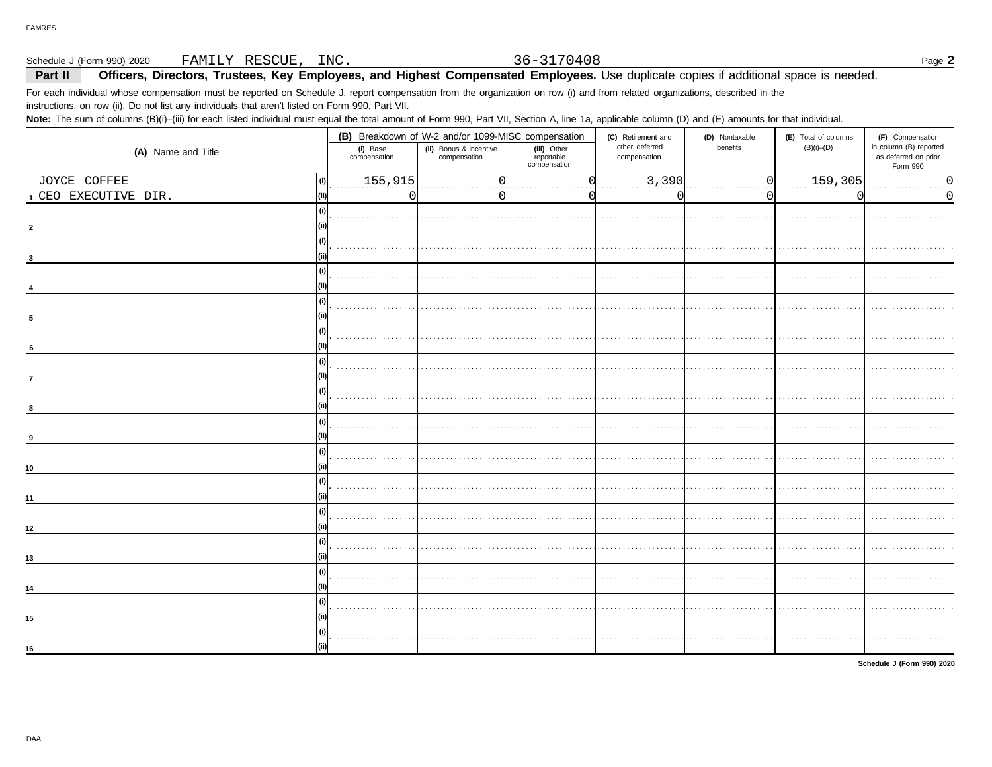Schedule J (Form 990) 2020 FAMILY RESCUE, INC.

### Part II Officers, Directors, Trustees, Key Employees, and Highest Compensated Employees. Use duplicate copies if additional space is needed.

36-3170408

For each individual whose compensation must be reported on Schedule J, report compensation from the organization on row (i) and from related organizations, described in the instructions, on row (ii). Do not list any individuals that aren't listed on Form 990, Part VII.

Note: The sum of columns (B)(i)-(iii) for each listed individual must equal the total amount of Form 990, Part VII, Section A, line 1a, applicable column (D) and (E) amounts for that individual.

|                      |                          | (B) Breakdown of W-2 and/or 1099-MISC compensation |                                           | (C) Retirement and<br>(D) Nontaxable |          | (E) Total of columns | (F) Compensation                                           |  |
|----------------------|--------------------------|----------------------------------------------------|-------------------------------------------|--------------------------------------|----------|----------------------|------------------------------------------------------------|--|
| (A) Name and Title   | (i) Base<br>compensation | (ii) Bonus & incentive<br>compensation             | (iii) Other<br>reportable<br>compensation | other deferred<br>compensation       | benefits | $(B)(i)$ - $(D)$     | in column (B) reported<br>as deferred on prior<br>Form 990 |  |
| JOYCE COFFEE<br>(i)  | 155,915                  | C                                                  |                                           | 3,390                                | $\Omega$ | 159,305              | $\mathsf{O}\xspace$<br>$\ddotsc$                           |  |
| 1 CEO EXECUTIVE DIR. | $\Omega$                 |                                                    |                                           |                                      | O        | ∩                    | 0                                                          |  |
| -li                  |                          |                                                    |                                           |                                      |          |                      |                                                            |  |
|                      |                          |                                                    |                                           |                                      |          |                      |                                                            |  |
| l.                   |                          |                                                    |                                           |                                      |          |                      |                                                            |  |
| -0                   |                          |                                                    |                                           |                                      |          |                      |                                                            |  |
|                      |                          |                                                    |                                           |                                      |          |                      |                                                            |  |
| (i)                  |                          |                                                    |                                           |                                      |          |                      |                                                            |  |
| 5                    | $\sim$                   |                                                    |                                           |                                      |          |                      |                                                            |  |
| -li                  |                          |                                                    |                                           |                                      |          |                      |                                                            |  |
| 6                    |                          |                                                    |                                           |                                      |          |                      |                                                            |  |
| l (i                 |                          |                                                    |                                           |                                      |          |                      |                                                            |  |
| $\overline{7}$       |                          |                                                    |                                           |                                      |          |                      |                                                            |  |
|                      |                          |                                                    |                                           |                                      |          |                      |                                                            |  |
|                      | 1.1.1.1                  |                                                    |                                           |                                      |          |                      |                                                            |  |
|                      |                          |                                                    |                                           |                                      |          |                      |                                                            |  |
|                      |                          |                                                    |                                           |                                      |          |                      |                                                            |  |
|                      |                          |                                                    |                                           |                                      |          |                      |                                                            |  |
| 10                   |                          |                                                    |                                           |                                      |          |                      |                                                            |  |
| (i)                  |                          |                                                    |                                           |                                      |          |                      |                                                            |  |
| 11                   |                          |                                                    |                                           |                                      |          |                      |                                                            |  |
| -G                   |                          |                                                    |                                           |                                      |          |                      |                                                            |  |
| 12                   |                          |                                                    |                                           |                                      |          |                      |                                                            |  |
| -Ci                  |                          |                                                    |                                           |                                      |          |                      |                                                            |  |
| 13                   |                          |                                                    |                                           |                                      |          |                      |                                                            |  |
| l.                   |                          |                                                    |                                           |                                      |          |                      |                                                            |  |
| 14                   |                          |                                                    |                                           |                                      |          |                      |                                                            |  |
| -G                   |                          |                                                    |                                           |                                      |          |                      |                                                            |  |
| 15                   |                          |                                                    |                                           |                                      |          |                      |                                                            |  |
| -li                  |                          |                                                    |                                           |                                      |          |                      |                                                            |  |
| 16                   |                          |                                                    |                                           |                                      |          |                      |                                                            |  |
|                      |                          |                                                    |                                           |                                      |          |                      |                                                            |  |

Schedule J (Form 990) 2020

Page 2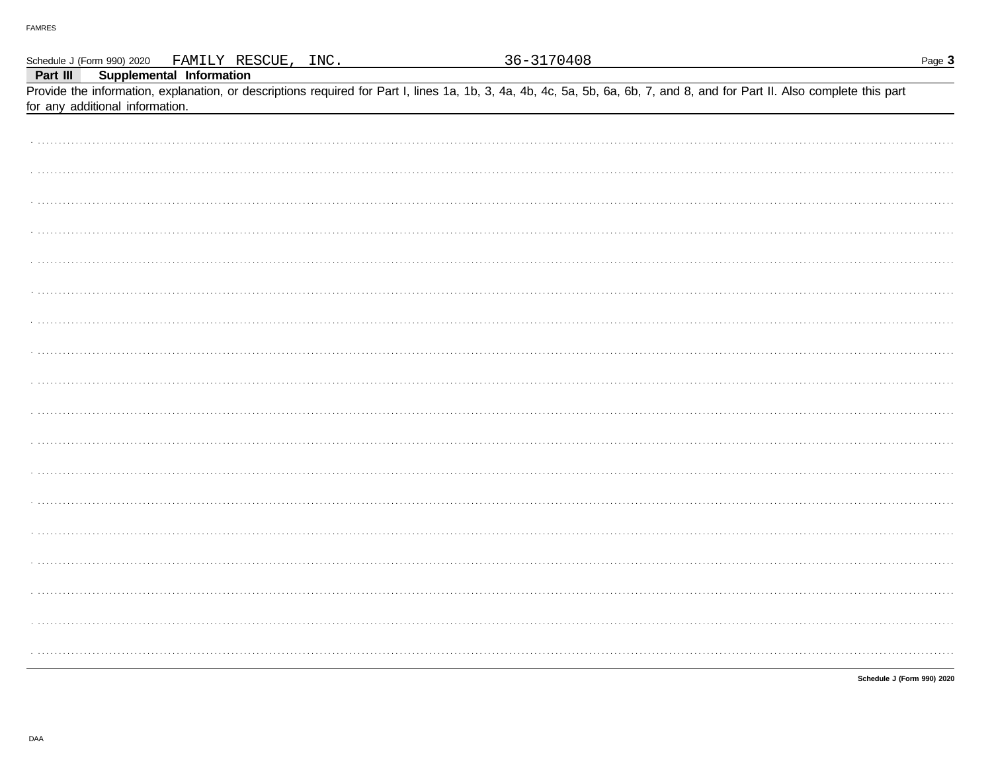|          |                                 |                          | Schedule J (Form 990) 2020 FAMILY RESCUE, INC. |  | 36-3170408                                                                                                                                                                 |  | Page 3                     |
|----------|---------------------------------|--------------------------|------------------------------------------------|--|----------------------------------------------------------------------------------------------------------------------------------------------------------------------------|--|----------------------------|
| Part III |                                 | Supplemental Information |                                                |  |                                                                                                                                                                            |  |                            |
|          |                                 |                          |                                                |  | Provide the information, explanation, or descriptions required for Part I, lines 1a, 1b, 3, 4a, 4b, 4c, 5a, 5b, 6a, 6b, 7, and 8, and for Part II. Also complete this part |  |                            |
|          | for any additional information. |                          |                                                |  |                                                                                                                                                                            |  |                            |
|          |                                 |                          |                                                |  |                                                                                                                                                                            |  |                            |
|          |                                 |                          |                                                |  |                                                                                                                                                                            |  |                            |
|          |                                 |                          |                                                |  |                                                                                                                                                                            |  |                            |
|          |                                 |                          |                                                |  |                                                                                                                                                                            |  |                            |
|          |                                 |                          |                                                |  |                                                                                                                                                                            |  |                            |
|          |                                 |                          |                                                |  |                                                                                                                                                                            |  |                            |
|          |                                 |                          |                                                |  |                                                                                                                                                                            |  |                            |
|          |                                 |                          |                                                |  |                                                                                                                                                                            |  |                            |
|          |                                 |                          |                                                |  |                                                                                                                                                                            |  |                            |
|          |                                 |                          |                                                |  |                                                                                                                                                                            |  |                            |
|          |                                 |                          |                                                |  |                                                                                                                                                                            |  |                            |
|          |                                 |                          |                                                |  |                                                                                                                                                                            |  |                            |
|          |                                 |                          |                                                |  |                                                                                                                                                                            |  |                            |
|          |                                 |                          |                                                |  |                                                                                                                                                                            |  |                            |
|          |                                 |                          |                                                |  |                                                                                                                                                                            |  |                            |
|          |                                 |                          |                                                |  |                                                                                                                                                                            |  |                            |
|          |                                 |                          |                                                |  |                                                                                                                                                                            |  |                            |
|          |                                 |                          |                                                |  |                                                                                                                                                                            |  |                            |
|          |                                 |                          |                                                |  |                                                                                                                                                                            |  |                            |
|          |                                 |                          |                                                |  |                                                                                                                                                                            |  |                            |
|          |                                 |                          |                                                |  |                                                                                                                                                                            |  |                            |
|          |                                 |                          |                                                |  |                                                                                                                                                                            |  |                            |
|          |                                 |                          |                                                |  |                                                                                                                                                                            |  |                            |
|          |                                 |                          |                                                |  |                                                                                                                                                                            |  |                            |
|          |                                 |                          |                                                |  |                                                                                                                                                                            |  |                            |
|          |                                 |                          |                                                |  |                                                                                                                                                                            |  |                            |
|          |                                 |                          |                                                |  |                                                                                                                                                                            |  |                            |
|          |                                 |                          |                                                |  |                                                                                                                                                                            |  |                            |
|          |                                 |                          |                                                |  |                                                                                                                                                                            |  |                            |
|          |                                 |                          |                                                |  |                                                                                                                                                                            |  |                            |
|          |                                 |                          |                                                |  |                                                                                                                                                                            |  |                            |
|          |                                 |                          |                                                |  |                                                                                                                                                                            |  |                            |
|          |                                 |                          |                                                |  |                                                                                                                                                                            |  |                            |
|          |                                 |                          |                                                |  |                                                                                                                                                                            |  |                            |
|          |                                 |                          |                                                |  |                                                                                                                                                                            |  |                            |
|          |                                 |                          |                                                |  |                                                                                                                                                                            |  |                            |
|          |                                 |                          |                                                |  |                                                                                                                                                                            |  | Schedule J (Form 990) 2020 |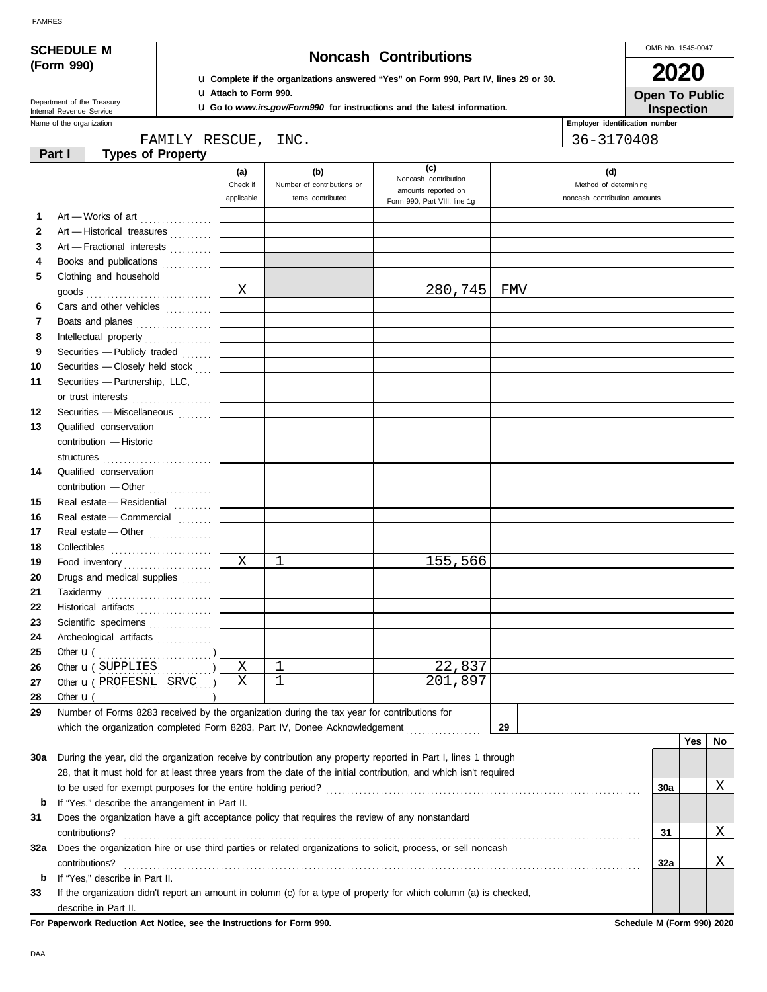|  | <b>FAMRES</b> |
|--|---------------|
|  |               |

| <b>SCHEDULE M</b>                                                                                           |                                                                                                                                                                                                                                                                                                                                                                                                                                                                                                                                                                                         |                                                                                                                       |                                                 |                                                                             |    | OMB No. 1545-0047                                     |            |          |  |
|-------------------------------------------------------------------------------------------------------------|-----------------------------------------------------------------------------------------------------------------------------------------------------------------------------------------------------------------------------------------------------------------------------------------------------------------------------------------------------------------------------------------------------------------------------------------------------------------------------------------------------------------------------------------------------------------------------------------|-----------------------------------------------------------------------------------------------------------------------|-------------------------------------------------|-----------------------------------------------------------------------------|----|-------------------------------------------------------|------------|----------|--|
|                                                                                                             | (Form 990)                                                                                                                                                                                                                                                                                                                                                                                                                                                                                                                                                                              | <b>Noncash Contributions</b><br>La Complete if the organizations answered "Yes" on Form 990, Part IV, lines 29 or 30. |                                                 |                                                                             |    |                                                       |            |          |  |
|                                                                                                             | Department of the Treasury                                                                                                                                                                                                                                                                                                                                                                                                                                                                                                                                                              | LI Attach to Form 990.                                                                                                |                                                 |                                                                             |    | <b>Open To Public</b>                                 |            |          |  |
| <b>u</b> Go to www.irs.gov/Form990 for instructions and the latest information.<br>Internal Revenue Service |                                                                                                                                                                                                                                                                                                                                                                                                                                                                                                                                                                                         |                                                                                                                       |                                                 |                                                                             |    | Inspection<br>Employer identification number          |            |          |  |
|                                                                                                             | Name of the organization<br>FAMILY RESCUE,                                                                                                                                                                                                                                                                                                                                                                                                                                                                                                                                              |                                                                                                                       |                                                 |                                                                             |    |                                                       |            |          |  |
|                                                                                                             | <b>Types of Property</b><br>Part I                                                                                                                                                                                                                                                                                                                                                                                                                                                                                                                                                      |                                                                                                                       | INC.                                            |                                                                             |    | 36-3170408                                            |            |          |  |
|                                                                                                             |                                                                                                                                                                                                                                                                                                                                                                                                                                                                                                                                                                                         | (a)                                                                                                                   | (b)                                             | (c)                                                                         |    | (d)                                                   |            |          |  |
|                                                                                                             |                                                                                                                                                                                                                                                                                                                                                                                                                                                                                                                                                                                         | Check if<br>applicable                                                                                                | Number of contributions or<br>items contributed | Noncash contribution<br>amounts reported on<br>Form 990, Part VIII, line 1g |    | Method of determining<br>noncash contribution amounts |            |          |  |
| 1                                                                                                           | Art - Works of art                                                                                                                                                                                                                                                                                                                                                                                                                                                                                                                                                                      |                                                                                                                       |                                                 |                                                                             |    |                                                       |            |          |  |
| 2                                                                                                           | Art - Historical treasures                                                                                                                                                                                                                                                                                                                                                                                                                                                                                                                                                              |                                                                                                                       |                                                 |                                                                             |    |                                                       |            |          |  |
| 3                                                                                                           | Art - Fractional interests                                                                                                                                                                                                                                                                                                                                                                                                                                                                                                                                                              |                                                                                                                       |                                                 |                                                                             |    |                                                       |            |          |  |
| 4                                                                                                           | Books and publications                                                                                                                                                                                                                                                                                                                                                                                                                                                                                                                                                                  |                                                                                                                       |                                                 |                                                                             |    |                                                       |            |          |  |
| 5                                                                                                           | Clothing and household                                                                                                                                                                                                                                                                                                                                                                                                                                                                                                                                                                  |                                                                                                                       |                                                 |                                                                             |    |                                                       |            |          |  |
|                                                                                                             |                                                                                                                                                                                                                                                                                                                                                                                                                                                                                                                                                                                         | X                                                                                                                     |                                                 | 280,745 FMV                                                                 |    |                                                       |            |          |  |
| 6                                                                                                           | Cars and other vehicles                                                                                                                                                                                                                                                                                                                                                                                                                                                                                                                                                                 |                                                                                                                       |                                                 |                                                                             |    |                                                       |            |          |  |
| 7                                                                                                           | Boats and planes                                                                                                                                                                                                                                                                                                                                                                                                                                                                                                                                                                        |                                                                                                                       |                                                 |                                                                             |    |                                                       |            |          |  |
| 8                                                                                                           | Intellectual property                                                                                                                                                                                                                                                                                                                                                                                                                                                                                                                                                                   |                                                                                                                       |                                                 |                                                                             |    |                                                       |            |          |  |
| 9                                                                                                           | Securities - Publicly traded                                                                                                                                                                                                                                                                                                                                                                                                                                                                                                                                                            |                                                                                                                       |                                                 |                                                                             |    |                                                       |            |          |  |
| 10                                                                                                          | Securities - Closely held stock                                                                                                                                                                                                                                                                                                                                                                                                                                                                                                                                                         |                                                                                                                       |                                                 |                                                                             |    |                                                       |            |          |  |
| 11                                                                                                          | Securities - Partnership, LLC,                                                                                                                                                                                                                                                                                                                                                                                                                                                                                                                                                          |                                                                                                                       |                                                 |                                                                             |    |                                                       |            |          |  |
|                                                                                                             | or trust interests                                                                                                                                                                                                                                                                                                                                                                                                                                                                                                                                                                      |                                                                                                                       |                                                 |                                                                             |    |                                                       |            |          |  |
| 12                                                                                                          | Securities - Miscellaneous                                                                                                                                                                                                                                                                                                                                                                                                                                                                                                                                                              |                                                                                                                       |                                                 |                                                                             |    |                                                       |            |          |  |
| 13                                                                                                          | Qualified conservation                                                                                                                                                                                                                                                                                                                                                                                                                                                                                                                                                                  |                                                                                                                       |                                                 |                                                                             |    |                                                       |            |          |  |
|                                                                                                             | contribution - Historic                                                                                                                                                                                                                                                                                                                                                                                                                                                                                                                                                                 |                                                                                                                       |                                                 |                                                                             |    |                                                       |            |          |  |
|                                                                                                             | structures                                                                                                                                                                                                                                                                                                                                                                                                                                                                                                                                                                              |                                                                                                                       |                                                 |                                                                             |    |                                                       |            |          |  |
| 14                                                                                                          | Qualified conservation                                                                                                                                                                                                                                                                                                                                                                                                                                                                                                                                                                  |                                                                                                                       |                                                 |                                                                             |    |                                                       |            |          |  |
| 15                                                                                                          | Real estate - Residential                                                                                                                                                                                                                                                                                                                                                                                                                                                                                                                                                               |                                                                                                                       |                                                 |                                                                             |    |                                                       |            |          |  |
| 16                                                                                                          | Real estate - Commercial                                                                                                                                                                                                                                                                                                                                                                                                                                                                                                                                                                |                                                                                                                       |                                                 |                                                                             |    |                                                       |            |          |  |
| 17                                                                                                          | Real estate - Other                                                                                                                                                                                                                                                                                                                                                                                                                                                                                                                                                                     |                                                                                                                       |                                                 |                                                                             |    |                                                       |            |          |  |
| 18                                                                                                          | Collectibles                                                                                                                                                                                                                                                                                                                                                                                                                                                                                                                                                                            |                                                                                                                       |                                                 |                                                                             |    |                                                       |            |          |  |
| 19                                                                                                          | Food inventory                                                                                                                                                                                                                                                                                                                                                                                                                                                                                                                                                                          | X                                                                                                                     | 1                                               | 155,566                                                                     |    |                                                       |            |          |  |
| 20                                                                                                          | Drugs and medical supplies                                                                                                                                                                                                                                                                                                                                                                                                                                                                                                                                                              |                                                                                                                       |                                                 |                                                                             |    |                                                       |            |          |  |
| 21                                                                                                          | Taxidermy                                                                                                                                                                                                                                                                                                                                                                                                                                                                                                                                                                               |                                                                                                                       |                                                 |                                                                             |    |                                                       |            |          |  |
| 22                                                                                                          | Historical artifacts                                                                                                                                                                                                                                                                                                                                                                                                                                                                                                                                                                    |                                                                                                                       |                                                 |                                                                             |    |                                                       |            |          |  |
| 23                                                                                                          | Scientific specimens <b>CONSTRANGERS</b>                                                                                                                                                                                                                                                                                                                                                                                                                                                                                                                                                |                                                                                                                       |                                                 |                                                                             |    |                                                       |            |          |  |
| 24                                                                                                          | Archeological artifacts                                                                                                                                                                                                                                                                                                                                                                                                                                                                                                                                                                 |                                                                                                                       |                                                 |                                                                             |    |                                                       |            |          |  |
| 25                                                                                                          | $\begin{minipage}{.4\linewidth} \begin{minipage}{.4\linewidth} \begin{minipage}{.4\linewidth} \begin{minipage}{.4\linewidth} \end{minipage} \end{minipage} \begin{minipage}{.4\linewidth} \begin{minipage}{.4\linewidth} \begin{minipage}{.4\linewidth} \begin{minipage}{.4\linewidth} \end{minipage} \end{minipage} \end{minipage} \begin{minipage}{.4\linewidth} \begin{minipage}{.4\linewidth} \begin{minipage}{.4\linewidth} \begin{minipage}{.4\linewidth} \end{minipage} \end{minipage} \end{minipage} \begin{minipage}{.4\linewidth} \begin{minipage}{.$<br>Other $\mathbf{u}$ ( |                                                                                                                       |                                                 |                                                                             |    |                                                       |            |          |  |
| 26                                                                                                          | Other $\mathbf{u}$ (SUPPLIES $\ldots$ )                                                                                                                                                                                                                                                                                                                                                                                                                                                                                                                                                 | Χ                                                                                                                     | $\mathbf 1$                                     | 22,837                                                                      |    |                                                       |            |          |  |
| 27                                                                                                          | Other <b>u</b> (PROFESNL SRVC )                                                                                                                                                                                                                                                                                                                                                                                                                                                                                                                                                         | Χ                                                                                                                     | $\mathbf{1}$                                    | 201,897                                                                     |    |                                                       |            |          |  |
| 28                                                                                                          | Other $\mathbf{u}$ (                                                                                                                                                                                                                                                                                                                                                                                                                                                                                                                                                                    |                                                                                                                       |                                                 |                                                                             |    |                                                       |            |          |  |
| 29                                                                                                          | Number of Forms 8283 received by the organization during the tax year for contributions for                                                                                                                                                                                                                                                                                                                                                                                                                                                                                             |                                                                                                                       |                                                 |                                                                             |    |                                                       |            |          |  |
|                                                                                                             | which the organization completed Form 8283, Part IV, Donee Acknowledgement [ [ [ [ [ ] ]                                                                                                                                                                                                                                                                                                                                                                                                                                                                                                |                                                                                                                       |                                                 |                                                                             | 29 |                                                       |            |          |  |
|                                                                                                             |                                                                                                                                                                                                                                                                                                                                                                                                                                                                                                                                                                                         |                                                                                                                       |                                                 |                                                                             |    |                                                       | <b>Yes</b> | No       |  |
| 30a                                                                                                         | During the year, did the organization receive by contribution any property reported in Part I, lines 1 through                                                                                                                                                                                                                                                                                                                                                                                                                                                                          |                                                                                                                       |                                                 |                                                                             |    |                                                       |            |          |  |
|                                                                                                             | 28, that it must hold for at least three years from the date of the initial contribution, and which isn't required                                                                                                                                                                                                                                                                                                                                                                                                                                                                      |                                                                                                                       |                                                 |                                                                             |    |                                                       |            |          |  |
|                                                                                                             |                                                                                                                                                                                                                                                                                                                                                                                                                                                                                                                                                                                         |                                                                                                                       |                                                 |                                                                             |    | 30a                                                   |            | Χ        |  |
| b                                                                                                           | If "Yes," describe the arrangement in Part II.                                                                                                                                                                                                                                                                                                                                                                                                                                                                                                                                          |                                                                                                                       |                                                 |                                                                             |    |                                                       |            |          |  |
| 31                                                                                                          | Does the organization have a gift acceptance policy that requires the review of any nonstandard                                                                                                                                                                                                                                                                                                                                                                                                                                                                                         |                                                                                                                       |                                                 |                                                                             |    | 31                                                    |            | Χ        |  |
|                                                                                                             | contributions?<br>Does the organization hire or use third parties or related organizations to solicit, process, or sell noncash                                                                                                                                                                                                                                                                                                                                                                                                                                                         |                                                                                                                       |                                                 |                                                                             |    |                                                       |            |          |  |
| 32a                                                                                                         | contributions?                                                                                                                                                                                                                                                                                                                                                                                                                                                                                                                                                                          |                                                                                                                       |                                                 |                                                                             |    | 32a                                                   |            | <u>X</u> |  |
|                                                                                                             | If "Yes," describe in Part II.                                                                                                                                                                                                                                                                                                                                                                                                                                                                                                                                                          |                                                                                                                       |                                                 |                                                                             |    |                                                       |            |          |  |

**33** If the organization didn't report an amount in column (c) for a type of property for which column (a) is checked, describe in Part II.

**For Paperwork Reduction Act Notice, see the Instructions for Form 990. Schedule M (Form 990) 2020**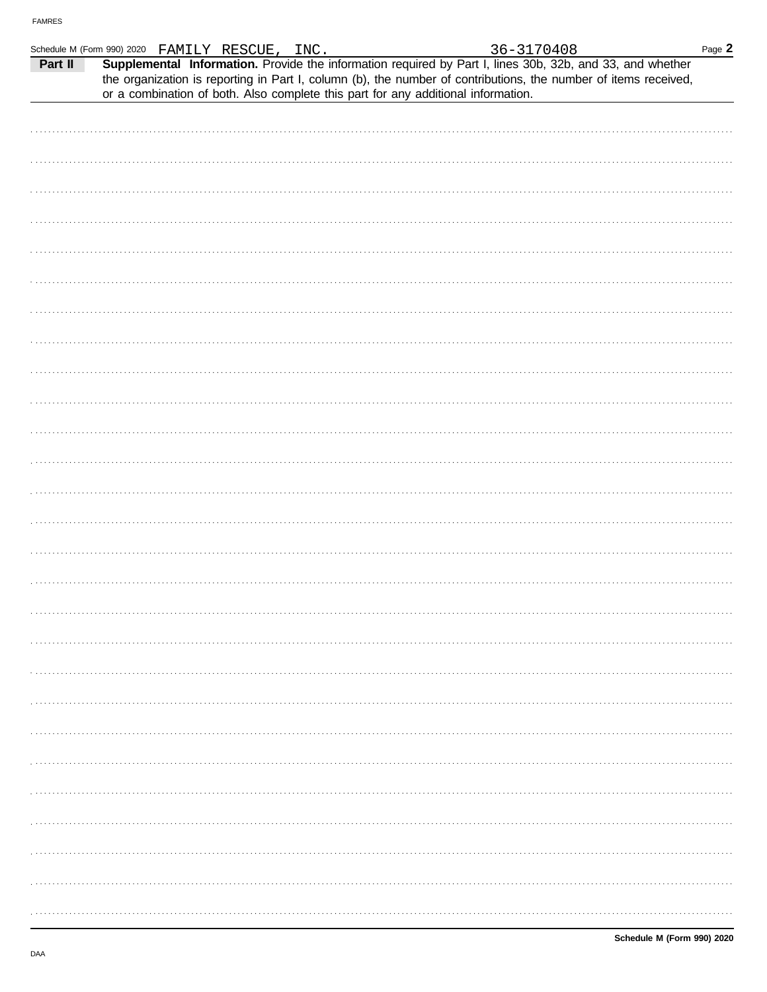|         | Schedule M (Form 990) 2020 FAMILY RESCUE, INC.                                    |  |  | 36-3170408                                                                                                                                                                                                                   | Page $2$ |
|---------|-----------------------------------------------------------------------------------|--|--|------------------------------------------------------------------------------------------------------------------------------------------------------------------------------------------------------------------------------|----------|
| Part II | or a combination of both. Also complete this part for any additional information. |  |  | Supplemental Information. Provide the information required by Part I, lines 30b, 32b, and 33, and whether<br>the organization is reporting in Part I, column (b), the number of contributions, the number of items received, |          |
|         |                                                                                   |  |  |                                                                                                                                                                                                                              |          |
|         |                                                                                   |  |  |                                                                                                                                                                                                                              |          |
|         |                                                                                   |  |  |                                                                                                                                                                                                                              |          |
|         |                                                                                   |  |  |                                                                                                                                                                                                                              |          |
|         |                                                                                   |  |  |                                                                                                                                                                                                                              |          |
|         |                                                                                   |  |  |                                                                                                                                                                                                                              |          |
|         |                                                                                   |  |  |                                                                                                                                                                                                                              |          |
|         |                                                                                   |  |  |                                                                                                                                                                                                                              |          |
|         |                                                                                   |  |  |                                                                                                                                                                                                                              |          |
|         |                                                                                   |  |  |                                                                                                                                                                                                                              |          |
|         |                                                                                   |  |  |                                                                                                                                                                                                                              |          |
|         |                                                                                   |  |  |                                                                                                                                                                                                                              |          |
|         |                                                                                   |  |  |                                                                                                                                                                                                                              |          |
|         |                                                                                   |  |  |                                                                                                                                                                                                                              |          |
|         |                                                                                   |  |  |                                                                                                                                                                                                                              |          |
|         |                                                                                   |  |  |                                                                                                                                                                                                                              |          |
|         |                                                                                   |  |  |                                                                                                                                                                                                                              |          |
|         |                                                                                   |  |  |                                                                                                                                                                                                                              |          |
|         |                                                                                   |  |  |                                                                                                                                                                                                                              |          |
|         |                                                                                   |  |  |                                                                                                                                                                                                                              |          |
|         |                                                                                   |  |  |                                                                                                                                                                                                                              |          |
|         |                                                                                   |  |  |                                                                                                                                                                                                                              |          |
|         |                                                                                   |  |  |                                                                                                                                                                                                                              |          |
|         |                                                                                   |  |  |                                                                                                                                                                                                                              |          |
|         |                                                                                   |  |  |                                                                                                                                                                                                                              |          |
|         |                                                                                   |  |  |                                                                                                                                                                                                                              |          |
|         |                                                                                   |  |  |                                                                                                                                                                                                                              |          |
|         |                                                                                   |  |  |                                                                                                                                                                                                                              |          |
|         |                                                                                   |  |  |                                                                                                                                                                                                                              |          |
|         |                                                                                   |  |  |                                                                                                                                                                                                                              |          |
|         |                                                                                   |  |  |                                                                                                                                                                                                                              |          |
|         |                                                                                   |  |  |                                                                                                                                                                                                                              |          |
|         |                                                                                   |  |  |                                                                                                                                                                                                                              |          |
|         |                                                                                   |  |  |                                                                                                                                                                                                                              |          |
|         |                                                                                   |  |  |                                                                                                                                                                                                                              |          |
|         |                                                                                   |  |  |                                                                                                                                                                                                                              |          |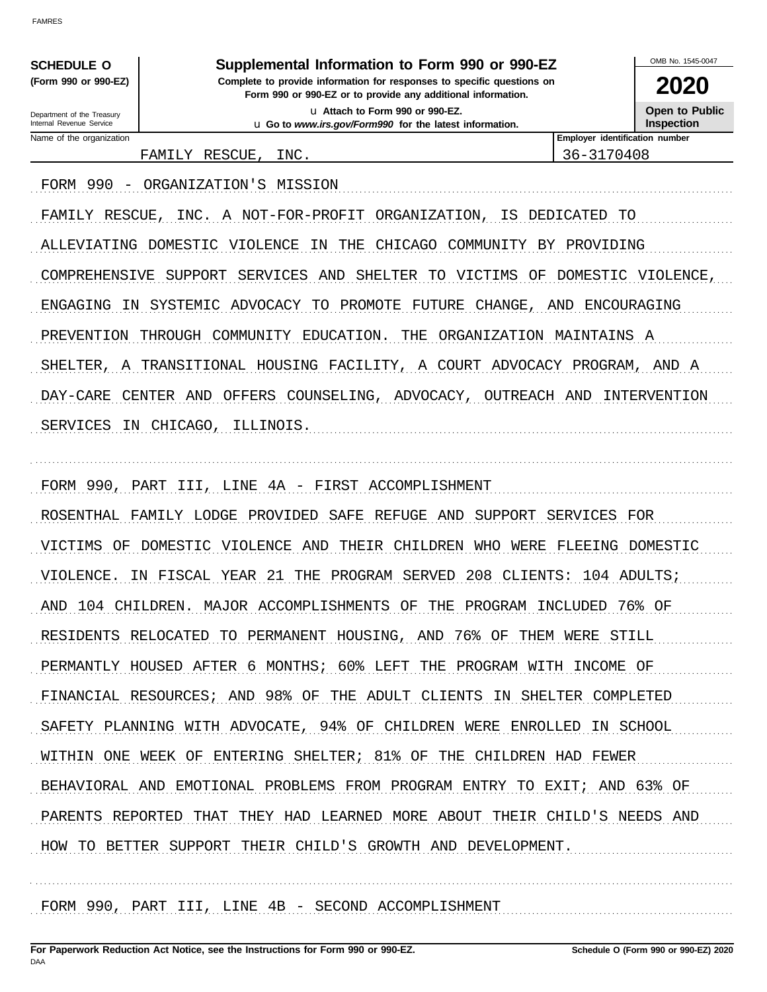| <b>SCHEDULE O</b> |  |                      |
|-------------------|--|----------------------|
|                   |  | (Form 990 or 990-EZ) |

Department of the Treasury Internal Revenue Service

### Supplemental Information to Form 990 or 990-EZ

Complete to provide information for responses to specific questions on Form 990 or 990-EZ or to provide any additional information. u Attach to Form 990 or 990-EZ. u Go to www.irs.gov/Form990 for the latest information.

OMB No 1545-0047 2020

**Open to Public** Inspection

Name of the organization

FAMILY RESCUE. INC. Employer identification number 36-3170408

FORM 990 - ORGANIZATION'S MISSION FAMILY RESCUE, INC. A NOT-FOR-PROFIT ORGANIZATION, IS DEDICATED TO ALLEVIATING DOMESTIC VIOLENCE IN THE CHICAGO COMMUNITY BY PROVIDING COMPREHENSIVE SUPPORT SERVICES AND SHELTER TO VICTIMS OF DOMESTIC VIOLENCE, ENGAGING IN SYSTEMIC ADVOCACY TO PROMOTE FUTURE CHANGE, AND ENCOURAGING PREVENTION THROUGH COMMUNITY EDUCATION. THE ORGANIZATION MAINTAINS A SHELTER, A TRANSITIONAL HOUSING FACILITY, A COURT ADVOCACY PROGRAM, AND A DAY-CARE CENTER AND OFFERS COUNSELING, ADVOCACY, OUTREACH AND INTERVENTION SERVICES IN CHICAGO, ILLINOIS. FORM 990, PART III, LINE 4A - FIRST ACCOMPLISHMENT ROSENTHAL FAMILY LODGE PROVIDED SAFE REFUGE AND SUPPORT SERVICES FOR VICTIMS OF DOMESTIC VIOLENCE AND THEIR CHILDREN WHO WERE FLEEING DOMESTIC VIOLENCE. IN FISCAL YEAR 21 THE PROGRAM SERVED 208 CLIENTS: 104 ADULTS; AND 104 CHILDREN. MAJOR ACCOMPLISHMENTS OF THE PROGRAM INCLUDED 76% OF RESIDENTS RELOCATED TO PERMANENT HOUSING, AND 76% OF THEM WERE STILL PERMANTLY HOUSED AFTER 6 MONTHS; 60% LEFT THE PROGRAM WITH INCOME OF FINANCIAL RESOURCES; AND 98% OF THE ADULT CLIENTS IN SHELTER COMPLETED SAFETY PLANNING WITH ADVOCATE, 94% OF CHILDREN WERE ENROLLED IN SCHOOL WITHIN ONE WEEK OF ENTERING SHELTER; 81% OF THE CHILDREN HAD FEWER BEHAVIORAL AND EMOTIONAL PROBLEMS FROM PROGRAM ENTRY TO EXIT; AND 63% OF PARENTS REPORTED THAT THEY HAD LEARNED MORE ABOUT THEIR CHILD'S NEEDS AND HOW TO BETTER SUPPORT THEIR CHILD'S GROWTH AND DEVELOPMENT.

FORM 990, PART III, LINE 4B - SECOND ACCOMPLISHMENT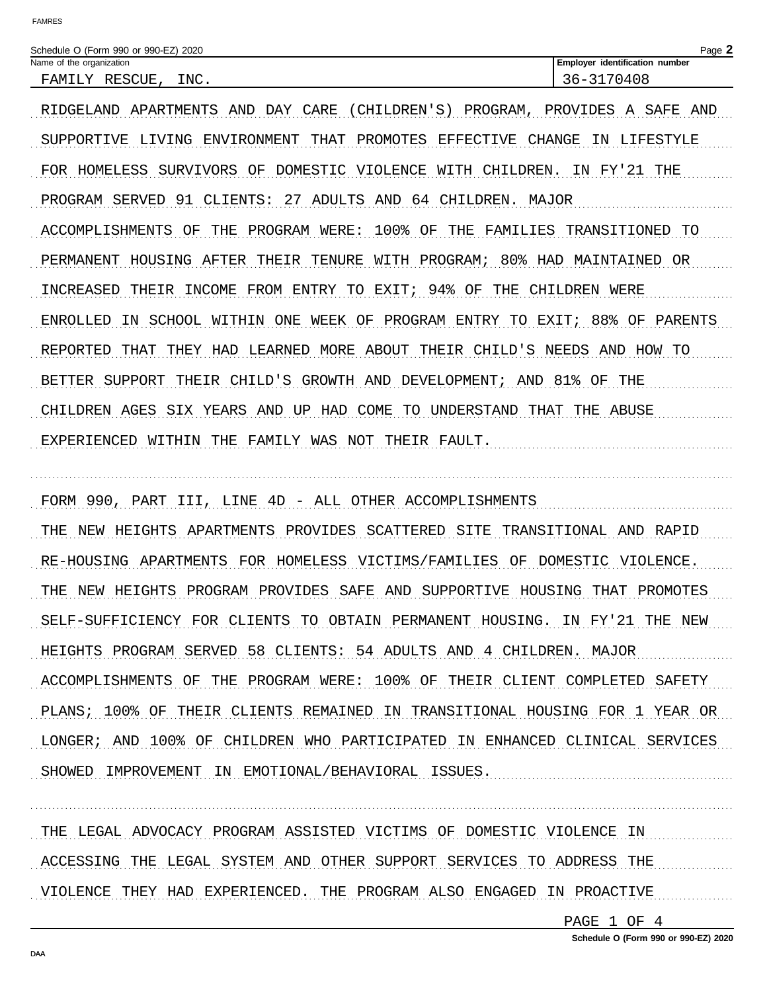Name of the organization

RIDGELAND APARTMENTS AND DAY CARE (CHILDREN'S) PROGRAM, PROVIDES A SAFE AND SUPPORTIVE LIVING ENVIRONMENT THAT PROMOTES EFFECTIVE CHANGE IN LIFESTYLE FOR HOMELESS SURVIVORS OF DOMESTIC VIOLENCE WITH CHILDREN. IN FY'21 THE PROGRAM SERVED 91 CLIENTS: 27 ADULTS AND 64 CHILDREN. MAJOR ACCOMPLISHMENTS OF THE PROGRAM WERE: 100% OF THE FAMILIES TRANSITIONED TO PERMANENT HOUSING AFTER THEIR TENURE WITH PROGRAM; 80% HAD MAINTAINED OR INCREASED THEIR INCOME FROM ENTRY TO EXIT; 94% OF THE CHILDREN WERE ENROLLED IN SCHOOL WITHIN ONE WEEK OF PROGRAM ENTRY TO EXIT; 88% OF PARENTS REPORTED THAT THEY HAD LEARNED MORE ABOUT THEIR CHILD'S NEEDS AND HOW TO BETTER SUPPORT THEIR CHILD'S GROWTH AND DEVELOPMENT; AND 81% OF THE CHILDREN AGES SIX YEARS AND UP HAD COME TO UNDERSTAND THAT THE ABUSE EXPERIENCED WITHIN THE FAMILY WAS NOT THEIR FAULT.

FORM 990, PART III, LINE 4D - ALL OTHER ACCOMPLISHMENTS THE NEW HEIGHTS APARTMENTS PROVIDES SCATTERED SITE TRANSITIONAL AND RAPID RE-HOUSING APARTMENTS FOR HOMELESS VICTIMS/FAMILIES OF DOMESTIC VIOLENCE. THE NEW HEIGHTS PROGRAM PROVIDES SAFE AND SUPPORTIVE HOUSING THAT PROMOTES SELF-SUFFICIENCY FOR CLIENTS TO OBTAIN PERMANENT HOUSING. IN FY'21 THE NEW HEIGHTS PROGRAM SERVED 58 CLIENTS: 54 ADULTS AND 4 CHILDREN. MAJOR ACCOMPLISHMENTS OF THE PROGRAM WERE: 100% OF THEIR CLIENT COMPLETED SAFETY PLANS; 100% OF THEIR CLIENTS REMAINED IN TRANSITIONAL HOUSING FOR 1 YEAR OR LONGER; AND 100% OF CHILDREN WHO PARTICIPATED IN ENHANCED CLINICAL SERVICES SHOWED IMPROVEMENT IN EMOTIONAL/BEHAVIORAL ISSUES.

THE LEGAL ADVOCACY PROGRAM ASSISTED VICTIMS OF DOMESTIC VIOLENCE IN ACCESSING THE LEGAL SYSTEM AND OTHER SUPPORT SERVICES TO ADDRESS THE VIOLENCE THEY HAD EXPERIENCED. THE PROGRAM ALSO ENGAGED IN PROACTIVE

PAGE 1 OF 4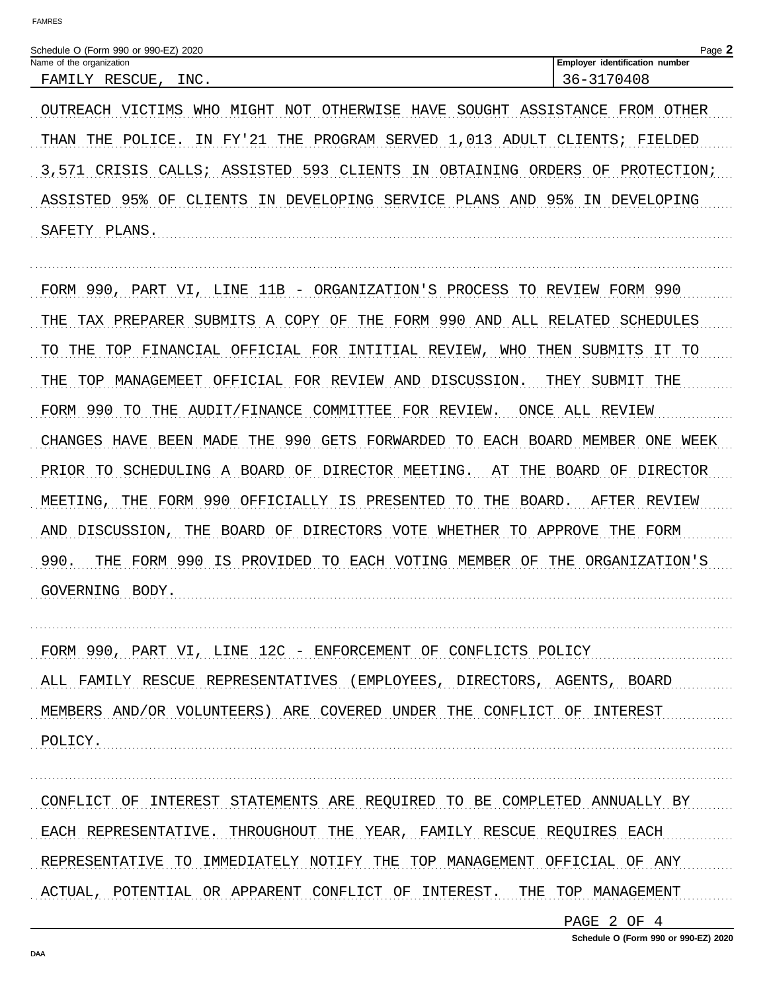| Schedule O (Form 990 or 990-EZ) 2020<br>$P$ age. |      |                                      |  |  |
|--------------------------------------------------|------|--------------------------------------|--|--|
| Name of the organization                         |      | identification<br>Employer<br>number |  |  |
| RESCUE<br>$\tau$<br>FAMTT                        | INC. | ∟40 ك≀<br>: $\sim$ $-$               |  |  |

OUTREACH VICTIMS WHO MIGHT NOT OTHERWISE HAVE SOUGHT ASSISTANCE FROM OTHER THAN THE POLICE. IN FY'21 THE PROGRAM SERVED 1,013 ADULT CLIENTS; FIELDED 3,571 CRISIS CALLS; ASSISTED 593 CLIENTS IN OBTAINING ORDERS OF PROTECTION; ASSISTED 95% OF CLIENTS IN DEVELOPING SERVICE PLANS AND 95% IN DEVELOPING SAFETY PLANS.

FORM 990, PART VI, LINE 11B - ORGANIZATION'S PROCESS TO REVIEW FORM 990 THE TAX PREPARER SUBMITS A COPY OF THE FORM 990 AND ALL RELATED SCHEDULES TO THE TOP FINANCIAL OFFICIAL FOR INTITIAL REVIEW, WHO THEN SUBMITS IT TO THE TOP MANAGEMEET OFFICIAL FOR REVIEW AND DISCUSSION. THEY SUBMIT THE FORM 990 TO THE AUDIT/FINANCE COMMITTEE FOR REVIEW. ONCE ALL REVIEW CHANGES HAVE BEEN MADE THE 990 GETS FORWARDED TO EACH BOARD MEMBER ONE WEEK PRIOR TO SCHEDULING A BOARD OF DIRECTOR MEETING. AT THE BOARD OF DIRECTOR MEETING, THE FORM 990 OFFICIALLY IS PRESENTED TO THE BOARD. AFTER REVIEW AND DISCUSSION, THE BOARD OF DIRECTORS VOTE WHETHER TO APPROVE THE FORM 990. THE FORM 990 IS PROVIDED TO EACH VOTING MEMBER OF THE ORGANIZATION'S GOVERNING BODY.

FORM 990, PART VI, LINE 12C - ENFORCEMENT OF CONFLICTS POLICY ALL FAMILY RESCUE REPRESENTATIVES (EMPLOYEES, DIRECTORS, AGENTS, BOARD MEMBERS AND/OR VOLUNTEERS) ARE COVERED UNDER THE CONFLICT OF INTEREST POLICY.

CONFLICT OF INTEREST STATEMENTS ARE REQUIRED TO BE COMPLETED ANNUALLY BY EACH REPRESENTATIVE. THROUGHOUT THE YEAR, FAMILY RESCUE REQUIRES EACH REPRESENTATIVE TO IMMEDIATELY NOTIFY THE TOP MANAGEMENT OFFICIAL OF ANY ACTUAL, POTENTIAL OR APPARENT CONFLICT OF INTEREST. THE TOP MANAGEMENT

PAGE 2 OF 4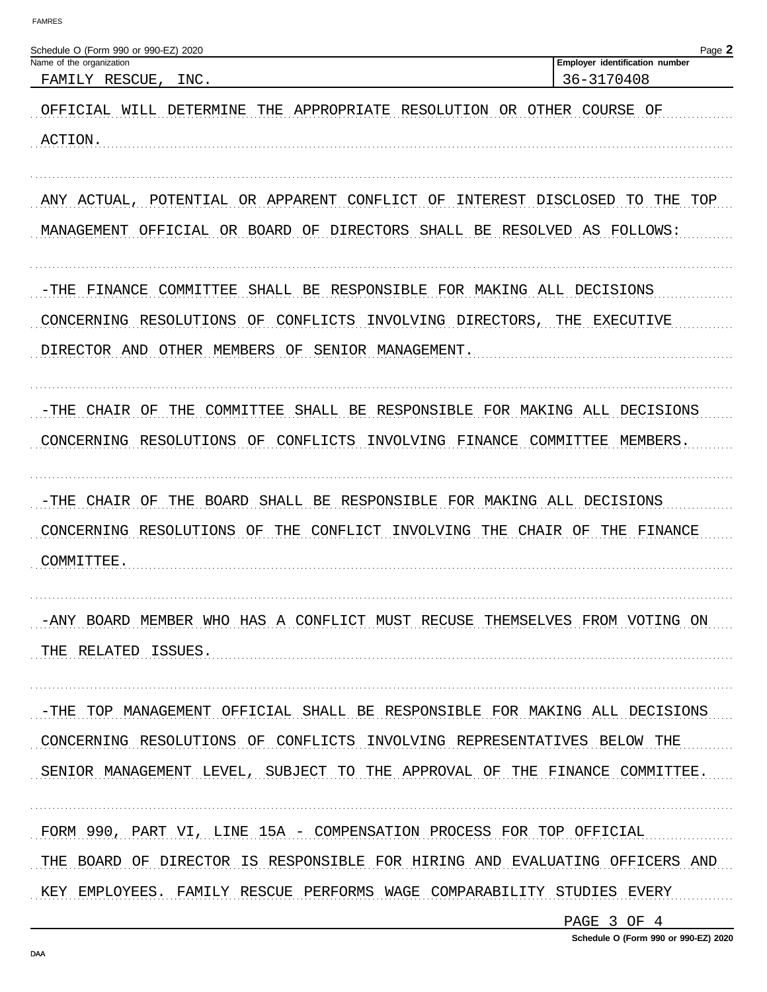| Schedule O (Form 990 or 990-EZ) 2020                                                                                                                                                                                                | Page 2                                       |
|-------------------------------------------------------------------------------------------------------------------------------------------------------------------------------------------------------------------------------------|----------------------------------------------|
| Name of the organization<br>FAMILY RESCUE,<br>INC.                                                                                                                                                                                  | Employer identification number<br>36-3170408 |
| OFFICIAL WILL DETERMINE<br>THE APPROPRIATE RESOLUTION OR OTHER COURSE OF<br>ACTION.                                                                                                                                                 |                                              |
| POTENTIAL OR APPARENT CONFLICT OF<br>ANY ACTUAL,<br>MANAGEMENT OFFICIAL OR BOARD OF DIRECTORS SHALL BE RESOLVED AS FOLLOWS:                                                                                                         | INTEREST DISCLOSED TO THE TOP                |
| SHALL BE RESPONSIBLE FOR MAKING ALL DECISIONS<br>-THE<br>FINANCE<br>COMMITTEE<br>CONCERNING RESOLUTIONS OF<br>CONFLICTS<br>INVOLVING DIRECTORS,<br>DIRECTOR AND OTHER MEMBERS OF SENIOR MANAGEMENT.                                 | THE<br>EXECUTIVE                             |
| -THE CHAIR OF THE COMMITTEE SHALL BE RESPONSIBLE FOR MAKING ALL DECISIONS<br>CONCERNING RESOLUTIONS OF CONFLICTS<br>INVOLVING FINANCE COMMITTEE                                                                                     | MEMBERS.                                     |
| -THE CHAIR OF THE BOARD SHALL BE RESPONSIBLE FOR MAKING ALL DECISIONS<br>CONCERNING RESOLUTIONS OF THE CONFLICT INVOLVING THE CHAIR OF<br>COMMITTEE.                                                                                | THE FINANCE                                  |
| -ANY BOARD MEMBER WHO HAS A CONFLICT MUST RECUSE THEMSELVES FROM VOTING ON<br>THE RELATED ISSUES.                                                                                                                                   |                                              |
| -THE TOP MANAGEMENT OFFICIAL SHALL BE RESPONSIBLE FOR MAKING ALL DECISIONS<br>CONCERNING RESOLUTIONS OF CONFLICTS INVOLVING REPRESENTATIVES BELOW THE<br>SENIOR MANAGEMENT LEVEL, SUBJECT TO THE APPROVAL OF THE FINANCE COMMITTEE. |                                              |
| FORM 990, PART VI, LINE 15A - COMPENSATION PROCESS FOR TOP OFFICIAL<br>THE BOARD OF DIRECTOR IS RESPONSIBLE FOR HIRING AND EVALUATING OFFICERS AND<br>KEY EMPLOYEES. FAMILY RESCUE PERFORMS WAGE COMPARABILITY STUDIES EVERY        |                                              |

PAGE 3 OF 4

Schedule O (Form 990 or 990-EZ) 2020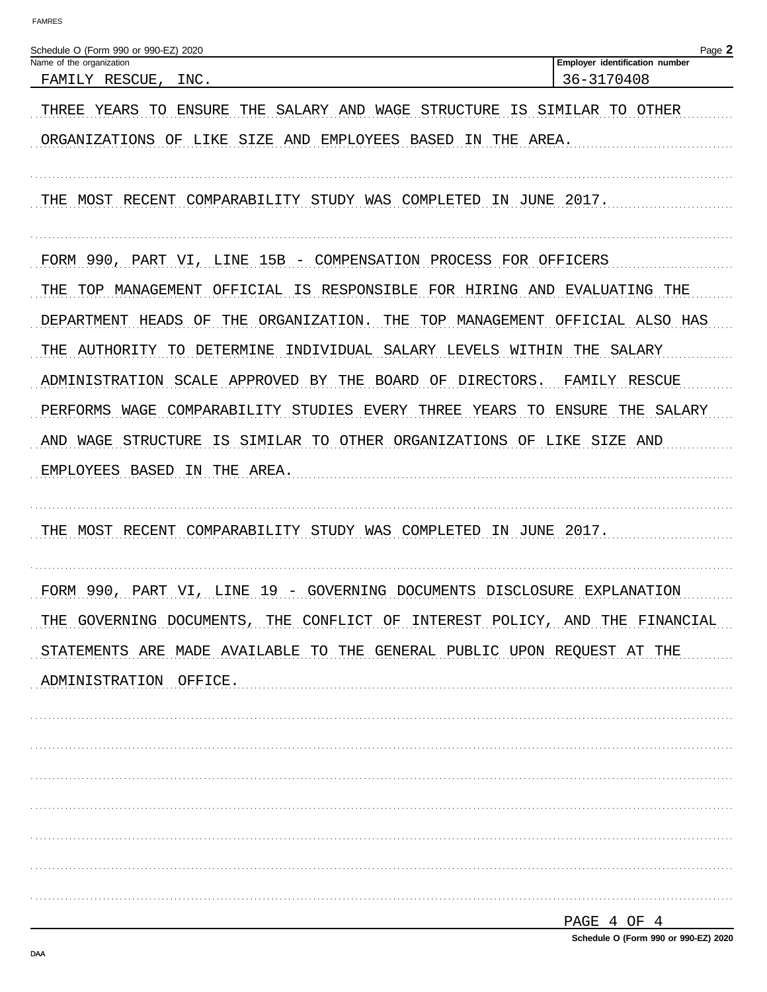| Schedule O (Form 990 or 990-EZ) 2020                                           | Page 2                         |
|--------------------------------------------------------------------------------|--------------------------------|
| Name of the organization                                                       | Employer identification number |
| FAMILY RESCUE,<br>INC.                                                         | 36-3170408                     |
| THREE YEARS TO<br>ENSURE<br>THE<br>SALARY AND WAGE<br>STRUCTURE<br>IS          | SIMILAR TO OTHER               |
| ORGANIZATIONS OF LIKE<br>SIZE AND EMPLOYEES BASED<br>THE<br>AREA.<br>IN        |                                |
|                                                                                |                                |
| MOST RECENT<br>COMPARABILITY STUDY WAS COMPLETED IN JUNE<br>THE                | 2017.                          |
|                                                                                |                                |
|                                                                                |                                |
| FORM 990, PART VI, LINE 15B - COMPENSATION PROCESS FOR OFFICERS                |                                |
| OFFICIAL IS RESPONSIBLE FOR HIRING AND EVALUATING THE<br>THE<br>TOP MANAGEMENT |                                |
| THE<br>ORGANIZATION.<br>THE<br>TOP MANAGEMENT<br>DEPARTMENT<br>HEADS OF        | OFFICIAL ALSO HAS              |
| AUTHORITY TO DETERMINE<br>INDIVIDUAL SALARY LEVELS WITHIN<br>THE               | SALARY<br>THE                  |
| SCALE APPROVED BY THE<br>BOARD OF DIRECTORS.<br>ADMINISTRATION                 | FAMILY<br>RESCUE               |
| PERFORMS<br>COMPARABILITY STUDIES<br>EVERY THREE YEARS<br>WAGE<br>TO.          | ENSURE<br>SALARY<br>THE        |
| IS SIMILAR TO OTHER ORGANIZATIONS OF LIKE<br>WAGE<br>STRUCTURE<br>AND          | SIZE AND                       |
| EMPLOYEES BASED<br>IN THE AREA.                                                |                                |
|                                                                                |                                |
|                                                                                |                                |
| MOST RECENT<br>COMPARABILITY STUDY WAS COMPLETED<br>IN JUNE 2017.<br>THE       |                                |
|                                                                                |                                |
| FORM 990, PART VI,<br>19 - GOVERNING DOCUMENTS DISCLOSURE EXPLANATION<br>LINE  |                                |
| THE GOVERNING DOCUMENTS, THE CONFLICT OF INTEREST POLICY, AND THE FINANCIAL    |                                |
| STATEMENTS ARE MADE AVAILABLE TO THE GENERAL PUBLIC UPON REQUEST AT THE        |                                |
| ADMINISTRATION OFFICE.                                                         |                                |
|                                                                                |                                |
|                                                                                |                                |
|                                                                                |                                |
|                                                                                |                                |
|                                                                                |                                |
|                                                                                |                                |
|                                                                                |                                |
|                                                                                |                                |
|                                                                                | PAGE 4 OF 4                    |
|                                                                                |                                |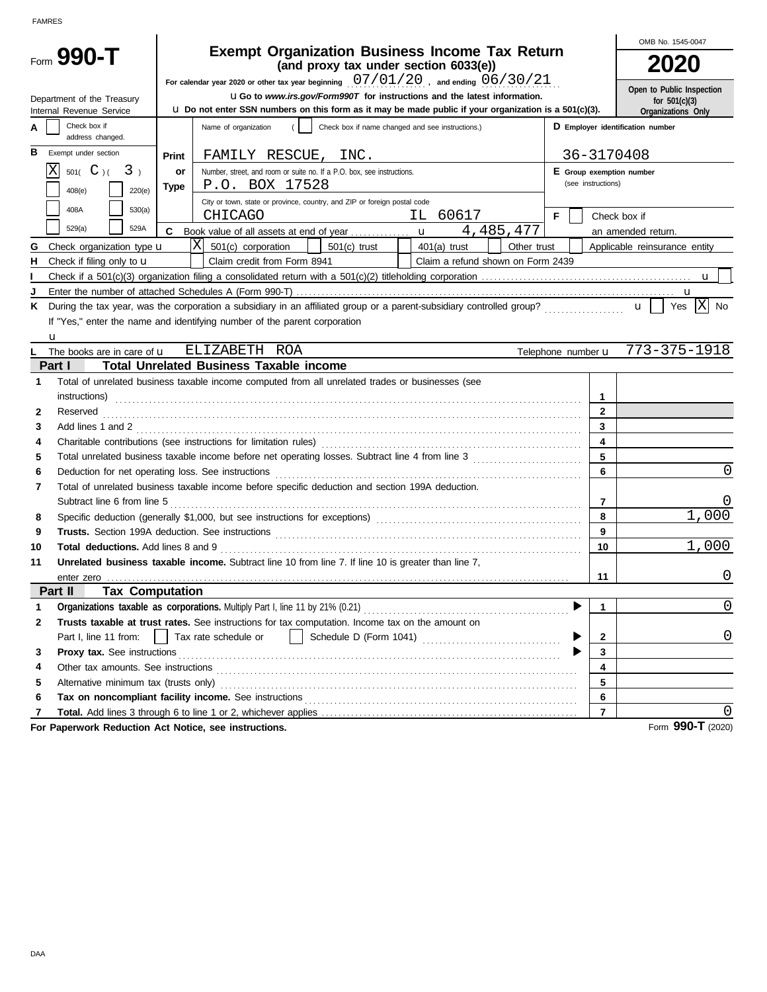|                                            |                                                                                                |                                                                                                                                                                                                                                     |                    | OMB No. 1545-0047                                           |  |  |  |  |
|--------------------------------------------|------------------------------------------------------------------------------------------------|-------------------------------------------------------------------------------------------------------------------------------------------------------------------------------------------------------------------------------------|--------------------|-------------------------------------------------------------|--|--|--|--|
| Form 990-T                                 | <b>Exempt Organization Business Income Tax Return</b><br>(and proxy tax under section 6033(e)) |                                                                                                                                                                                                                                     |                    |                                                             |  |  |  |  |
|                                            |                                                                                                | For calendar year 2020 or other tax year beginning $07/01/20$ , and ending $06/30/21$                                                                                                                                               |                    |                                                             |  |  |  |  |
| Department of the Treasury                 |                                                                                                | <b>uGo</b> to www.irs.gov/Form990T for instructions and the latest information.                                                                                                                                                     |                    | Open to Public Inspection<br>for $501(c)(3)$                |  |  |  |  |
| Internal Revenue Service                   |                                                                                                | $\mu$ Do not enter SSN numbers on this form as it may be made public if your organization is a 501(c)(3).                                                                                                                           |                    | Organizations Only                                          |  |  |  |  |
| Check box if<br>address changed.           |                                                                                                | D Employer identification number                                                                                                                                                                                                    |                    |                                                             |  |  |  |  |
| в<br>Exempt under section                  | Print                                                                                          | FAMILY RESCUE, INC.                                                                                                                                                                                                                 |                    | 36-3170408                                                  |  |  |  |  |
| IX.<br>501( $C$ )(<br>3 <sub>1</sub>       | or                                                                                             | Number, street, and room or suite no. If a P.O. box, see instructions.                                                                                                                                                              |                    | E Group exemption number                                    |  |  |  |  |
| 408(e)<br>220(e)                           | Type                                                                                           | P.O. BOX 17528                                                                                                                                                                                                                      | (see instructions) |                                                             |  |  |  |  |
|                                            |                                                                                                | City or town, state or province, country, and ZIP or foreign postal code                                                                                                                                                            |                    |                                                             |  |  |  |  |
| 408A<br>530(a)                             |                                                                                                | IL 60617<br><b>CHICAGO</b>                                                                                                                                                                                                          | F.                 | Check box if                                                |  |  |  |  |
| 529(a)<br>529A                             |                                                                                                | 4,485,477                                                                                                                                                                                                                           |                    | an amended return.                                          |  |  |  |  |
| Check organization type <b>u</b><br>G.     |                                                                                                | $ {\rm X} $<br>501(c) corporation<br>$401(a)$ trust<br>Other trust<br>$501(c)$ trust                                                                                                                                                |                    | Applicable reinsurance entity                               |  |  |  |  |
| Check if filing only to $\mathbf u$<br>н.  |                                                                                                | Claim a refund shown on Form 2439<br>Claim credit from Form 8941                                                                                                                                                                    |                    |                                                             |  |  |  |  |
|                                            |                                                                                                |                                                                                                                                                                                                                                     |                    |                                                             |  |  |  |  |
|                                            |                                                                                                |                                                                                                                                                                                                                                     |                    |                                                             |  |  |  |  |
| Κ                                          |                                                                                                | During the tax year, was the corporation a subsidiary in an affiliated group or a parent-subsidiary controlled group?                                                                                                               |                    | $\overline{\mathbf{x}}$<br>Yes<br><b>No</b><br>$\mathbf{u}$ |  |  |  |  |
|                                            |                                                                                                | If "Yes," enter the name and identifying number of the parent corporation                                                                                                                                                           |                    |                                                             |  |  |  |  |
| u                                          |                                                                                                |                                                                                                                                                                                                                                     |                    |                                                             |  |  |  |  |
| The books are in care of <b>u</b>          |                                                                                                | ELIZABETH ROA                                                                                                                                                                                                                       |                    | Telephone number $\mathbf{u}$ 773-375-1918                  |  |  |  |  |
| Part I                                     |                                                                                                | <b>Total Unrelated Business Taxable income</b>                                                                                                                                                                                      |                    |                                                             |  |  |  |  |
| 1                                          |                                                                                                | Total of unrelated business taxable income computed from all unrelated trades or businesses (see                                                                                                                                    |                    |                                                             |  |  |  |  |
|                                            |                                                                                                | instructions)                                                                                                                                                                                                                       |                    | 1<br>$\overline{2}$                                         |  |  |  |  |
| 2                                          |                                                                                                | Reserved <b>Markoving and Construction Construction</b> and the construction of the construction of the construction of the construction of the construction of the construction of the construction of the construction of the con |                    | $\mathbf{3}$                                                |  |  |  |  |
| 3<br>4                                     |                                                                                                |                                                                                                                                                                                                                                     |                    | 4                                                           |  |  |  |  |
| 5                                          |                                                                                                |                                                                                                                                                                                                                                     |                    | 5                                                           |  |  |  |  |
| 6                                          |                                                                                                |                                                                                                                                                                                                                                     |                    | 0<br>6                                                      |  |  |  |  |
| 7                                          |                                                                                                | Total of unrelated business taxable income before specific deduction and section 199A deduction.                                                                                                                                    |                    |                                                             |  |  |  |  |
| Subtract line 6 from line 5                |                                                                                                |                                                                                                                                                                                                                                     |                    | 7                                                           |  |  |  |  |
| 8                                          |                                                                                                |                                                                                                                                                                                                                                     |                    | 1,000<br>8                                                  |  |  |  |  |
| 9                                          |                                                                                                |                                                                                                                                                                                                                                     |                    | 9                                                           |  |  |  |  |
| 10                                         |                                                                                                |                                                                                                                                                                                                                                     |                    | 1,000<br>10 <sup>1</sup>                                    |  |  |  |  |
| 11                                         |                                                                                                | Unrelated business taxable income. Subtract line 10 from line 7. If line 10 is greater than line 7,                                                                                                                                 |                    |                                                             |  |  |  |  |
|                                            |                                                                                                |                                                                                                                                                                                                                                     |                    | $\Omega$<br>11                                              |  |  |  |  |
| <b>Tax Computation</b><br>Part II          |                                                                                                |                                                                                                                                                                                                                                     |                    |                                                             |  |  |  |  |
| 1                                          |                                                                                                |                                                                                                                                                                                                                                     |                    | $\left( \right)$<br>1                                       |  |  |  |  |
| 2                                          |                                                                                                | Trusts taxable at trust rates. See instructions for tax computation. Income tax on the amount on                                                                                                                                    |                    |                                                             |  |  |  |  |
| Part I, line 11 from:                      | Tax rate schedule or<br>$\mathbf{2}$                                                           |                                                                                                                                                                                                                                     |                    |                                                             |  |  |  |  |
| 3                                          | Proxy tax. See instructions<br>3                                                               |                                                                                                                                                                                                                                     |                    |                                                             |  |  |  |  |
| 4                                          |                                                                                                | Other tax amounts. See instructions contains and according to the state of the state of the state of the state of the state of the state of the state of the state of the state of the state of the state of the state of the       |                    | 4                                                           |  |  |  |  |
| Alternative minimum tax (trusts only)<br>5 |                                                                                                |                                                                                                                                                                                                                                     |                    | 5                                                           |  |  |  |  |
| 6                                          |                                                                                                |                                                                                                                                                                                                                                     |                    | 6                                                           |  |  |  |  |
| 7                                          |                                                                                                |                                                                                                                                                                                                                                     |                    | $\overline{7}$                                              |  |  |  |  |

**For Paperwork Reduction Act Notice, see instructions.**

Form **990-T** (2020)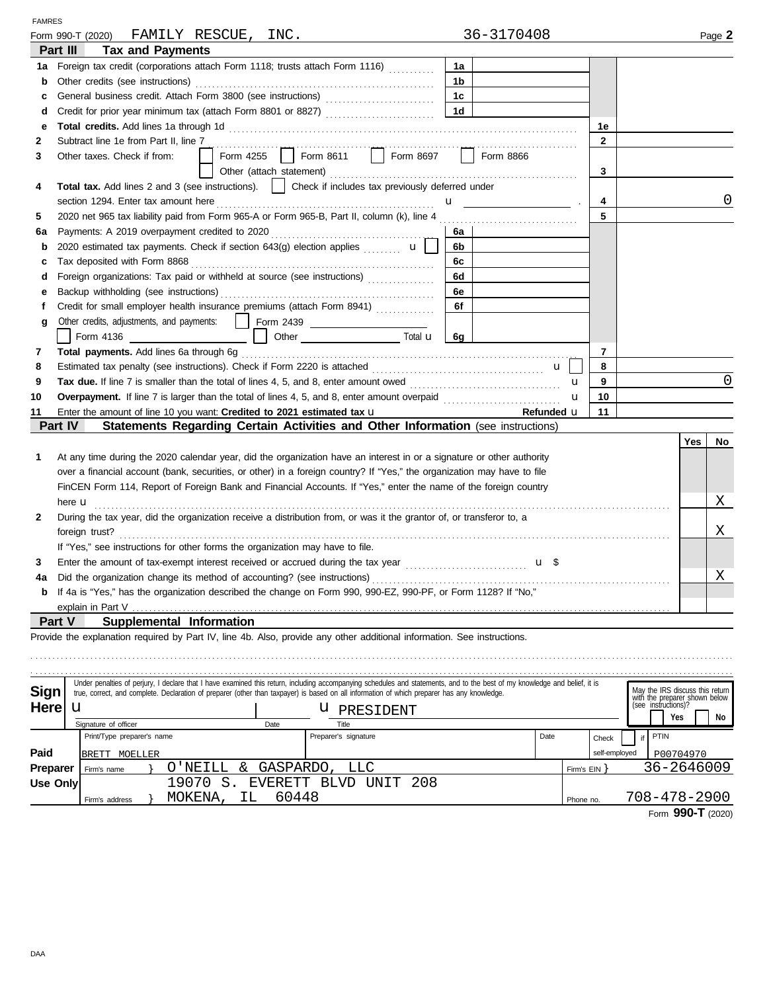| <b>FAMRES</b>   |                                                                                                                                                                            |                                                |                |                                                                                         |            |   |
|-----------------|----------------------------------------------------------------------------------------------------------------------------------------------------------------------------|------------------------------------------------|----------------|-----------------------------------------------------------------------------------------|------------|---|
|                 | FAMILY RESCUE, INC.<br>Form 990-T (2020)                                                                                                                                   | 36-3170408                                     |                |                                                                                         | Page 2     |   |
|                 | <b>Tax and Payments</b><br>Part III                                                                                                                                        |                                                |                |                                                                                         |            |   |
| 1a              | Foreign tax credit (corporations attach Form 1118; trusts attach Form 1116)                                                                                                | 1a                                             |                |                                                                                         |            |   |
| b               | Other credits (see instructions)                                                                                                                                           | 1 <sub>b</sub>                                 |                |                                                                                         |            |   |
| c               |                                                                                                                                                                            | 1 <sub>c</sub>                                 |                |                                                                                         |            |   |
| d               |                                                                                                                                                                            | 1 <sub>d</sub>                                 |                |                                                                                         |            |   |
| е               |                                                                                                                                                                            |                                                | 1e             |                                                                                         |            |   |
| 2               | Subtract line 1e from Part II, line 7                                                                                                                                      |                                                | $\mathbf{2}$   |                                                                                         |            |   |
| 3               | Form 4255   Form 8611   Form 8697  <br>Other taxes. Check if from:                                                                                                         | Form 8866                                      |                |                                                                                         |            |   |
|                 |                                                                                                                                                                            |                                                | 3              |                                                                                         |            |   |
| 4               | Total tax. Add lines 2 and 3 (see instructions).     Check if includes tax previously deferred under                                                                       |                                                |                |                                                                                         |            |   |
|                 |                                                                                                                                                                            | $\mathbf{u}$ and $\mathbf{u}$ and $\mathbf{u}$ | 4              |                                                                                         |            | 0 |
| 5               |                                                                                                                                                                            |                                                | 5              |                                                                                         |            |   |
| 6а              |                                                                                                                                                                            | 6а                                             |                |                                                                                         |            |   |
| b               | 2020 estimated tax payments. Check if section 643(g) election applies $\mathbf{u}$                                                                                         | 6b l                                           |                |                                                                                         |            |   |
| c               | Tax deposited with Form 8868                                                                                                                                               | 6с                                             |                |                                                                                         |            |   |
| d               | Foreign organizations: Tax paid or withheld at source (see instructions)                                                                                                   | 6d                                             |                |                                                                                         |            |   |
| е               |                                                                                                                                                                            | 6e                                             |                |                                                                                         |            |   |
| f               | Credit for small employer health insurance premiums (attach Form 8941)                                                                                                     | 6f                                             |                |                                                                                         |            |   |
| g               | Other credits, adjustments, and payments:  <br>Form 2439 ________________________                                                                                          |                                                |                |                                                                                         |            |   |
|                 | Form 4136                                                                                                                                                                  | 6g                                             |                |                                                                                         |            |   |
| 7               |                                                                                                                                                                            |                                                | $\overline{7}$ |                                                                                         |            |   |
| 8               |                                                                                                                                                                            | $\mathbf{u}$                                   | 8              |                                                                                         |            |   |
| 9               |                                                                                                                                                                            |                                                | 9<br>u         |                                                                                         |            | 0 |
| 10              |                                                                                                                                                                            |                                                | 10<br>u        |                                                                                         |            |   |
| 11              | Enter the amount of line 10 you want: Credited to 2021 estimated tax u                                                                                                     | Refunded u                                     | 11             |                                                                                         |            |   |
|                 | Part IV<br>Statements Regarding Certain Activities and Other Information (see instructions)                                                                                |                                                |                |                                                                                         |            |   |
|                 |                                                                                                                                                                            |                                                |                |                                                                                         | Yes<br>No  |   |
| 1               | At any time during the 2020 calendar year, did the organization have an interest in or a signature or other authority                                                      |                                                |                |                                                                                         |            |   |
|                 | over a financial account (bank, securities, or other) in a foreign country? If "Yes," the organization may have to file                                                    |                                                |                |                                                                                         |            |   |
|                 | FinCEN Form 114, Report of Foreign Bank and Financial Accounts. If "Yes," enter the name of the foreign country                                                            |                                                |                |                                                                                         |            |   |
|                 | here $\mathbf u$<br>During the tax vear, did the organization receive a distribution from, or was it the grantor of, or transferor to, a                                   |                                                |                |                                                                                         | Χ          |   |
| 2               |                                                                                                                                                                            |                                                |                |                                                                                         | Χ          |   |
|                 | foreign trust?<br>If "Yes," see instructions for other forms the organization may have to file.                                                                            |                                                |                |                                                                                         |            |   |
| 3               |                                                                                                                                                                            | u \$                                           |                |                                                                                         |            |   |
| 4a              | Did the organization change its method of accounting? (see instructions)                                                                                                   |                                                |                |                                                                                         | Χ          |   |
|                 | "If 4a is "Yes," has the organization described the change on Form 990, 990-EZ, 990-PF, or Form 1128? If "No,"                                                             |                                                |                |                                                                                         |            |   |
|                 | explain in Part V                                                                                                                                                          |                                                |                |                                                                                         |            |   |
|                 | Part V<br>Supplemental Information                                                                                                                                         |                                                |                |                                                                                         |            |   |
|                 | Provide the explanation required by Part IV, line 4b. Also, provide any other additional information. See instructions.                                                    |                                                |                |                                                                                         |            |   |
|                 |                                                                                                                                                                            |                                                |                |                                                                                         |            |   |
|                 |                                                                                                                                                                            |                                                |                |                                                                                         |            |   |
|                 | Under penalties of perjury, I declare that I have examined this return, including accompanying schedules and statements, and to the best of my knowledge and belief, it is |                                                |                |                                                                                         |            |   |
| Sign            | true, correct, and complete. Declaration of preparer (other than taxpayer) is based on all information of which preparer has any knowledge.                                |                                                |                | May the IRS discuss this return<br>with the preparer shown below<br>(see instructions)? |            |   |
| Here            | u<br><b>U</b> PRESIDENT                                                                                                                                                    |                                                |                |                                                                                         |            |   |
|                 | Signature of officer<br>Date<br>Title                                                                                                                                      |                                                |                | Yes                                                                                     | No         |   |
|                 | Preparer's signature<br>Print/Type preparer's name                                                                                                                         | Date                                           | Check          | PTIN<br>if                                                                              |            |   |
| Paid            | BRETT MOELLER                                                                                                                                                              |                                                | self-employed  | P00704970                                                                               |            |   |
| Preparer        | GASPARDO<br>&<br>LLC<br>O'NEILL<br>Firm's name                                                                                                                             |                                                | Firm's EIN     |                                                                                         | 36-2646009 |   |
| <b>Use Only</b> | S<br>EVERETT BLVD UNIT<br>208<br>19070                                                                                                                                     |                                                |                |                                                                                         |            |   |
|                 | 60448<br>MOKENA,<br>ΙL<br>Firm's address                                                                                                                                   |                                                | Phone no.      | 708-478-2900                                                                            |            |   |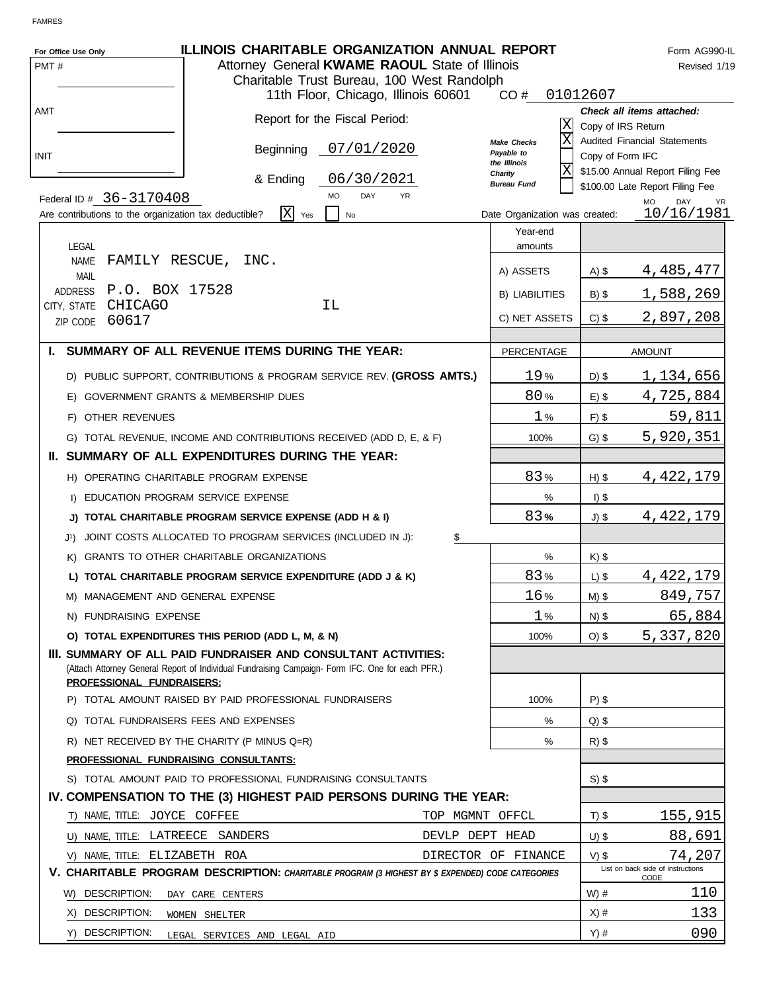| For Office Use Only<br>PMT# | <b>ILLINOIS CHARITABLE ORGANIZATION ANNUAL REPORT</b><br>Attorney General KWAME RAOUL State of Illinois<br>Charitable Trust Bureau, 100 West Randolph                                           |                 |                                                 |                    | Form AG990-IL<br>Revised 1/19                             |
|-----------------------------|-------------------------------------------------------------------------------------------------------------------------------------------------------------------------------------------------|-----------------|-------------------------------------------------|--------------------|-----------------------------------------------------------|
|                             | 11th Floor, Chicago, Illinois 60601                                                                                                                                                             |                 | CO#                                             | 01012607           |                                                           |
| <b>AMT</b>                  | Report for the Fiscal Period:                                                                                                                                                                   |                 | lΧ                                              | Copy of IRS Return | Check all items attached:                                 |
| <b>INIT</b>                 | 07/01/2020<br>Beginning                                                                                                                                                                         |                 | lx<br>Make Checks<br>Payable to<br>the Illinois | Copy of Form IFC   | <b>Audited Financial Statements</b>                       |
|                             | 06/30/2021<br>& Ending                                                                                                                                                                          |                 | X <br>Charity<br><b>Bureau Fund</b>             |                    | \$15.00 Annual Report Filing Fee                          |
|                             | DAY<br><b>MO</b><br>Federal ID # 36-3170408                                                                                                                                                     | <b>YR</b>       |                                                 |                    | \$100.00 Late Report Filing Fee<br>DAY<br><b>MO</b><br>YR |
|                             | ΙX<br>Are contributions to the organization tax deductible?<br>Yes<br>No                                                                                                                        |                 | Date Organization was created:                  |                    | 10/16/1981                                                |
| <b>LEGAL</b>                |                                                                                                                                                                                                 |                 | Year-end<br>amounts                             |                    |                                                           |
| <b>NAME</b><br><b>MAIL</b>  | FAMILY RESCUE,<br>INC.                                                                                                                                                                          |                 | A) ASSETS                                       | $A)$ \$            | 4,485,477                                                 |
| ADDRESS                     | P.O. BOX 17528                                                                                                                                                                                  |                 | <b>B) LIABILITIES</b>                           | $B)$ \$            | 1,588,269                                                 |
| CITY, STATE                 | CHICAGO<br>ΙL                                                                                                                                                                                   |                 |                                                 |                    |                                                           |
| ZIP CODE                    | 60617                                                                                                                                                                                           |                 | C) NET ASSETS                                   | $C)$ \$            | 2,897,208                                                 |
|                             | I. SUMMARY OF ALL REVENUE ITEMS DURING THE YEAR:                                                                                                                                                |                 | <b>PERCENTAGE</b>                               |                    | <b>AMOUNT</b>                                             |
|                             | D) PUBLIC SUPPORT, CONTRIBUTIONS & PROGRAM SERVICE REV. (GROSS AMTS.)                                                                                                                           |                 | 19%                                             | $D)$ \$            | 1,134,656                                                 |
|                             | E) GOVERNMENT GRANTS & MEMBERSHIP DUES                                                                                                                                                          |                 | 80%                                             | $E)$ \$            | 4,725,884                                                 |
|                             | F) OTHER REVENUES                                                                                                                                                                               |                 | 1%                                              | $F)$ \$            | 59,811                                                    |
|                             | G) TOTAL REVENUE, INCOME AND CONTRIBUTIONS RECEIVED (ADD D, E, & F)                                                                                                                             |                 | 100%                                            | $G)$ \$            | 5,920,351                                                 |
|                             | II. SUMMARY OF ALL EXPENDITURES DURING THE YEAR:                                                                                                                                                |                 |                                                 |                    |                                                           |
|                             | H) OPERATING CHARITABLE PROGRAM EXPENSE                                                                                                                                                         |                 | 83%                                             | $H)$ \$            | 4,422,179                                                 |
|                             | I) EDUCATION PROGRAM SERVICE EXPENSE                                                                                                                                                            |                 | %                                               | $I)$ \$            |                                                           |
|                             | J) TOTAL CHARITABLE PROGRAM SERVICE EXPENSE (ADD H & I)                                                                                                                                         |                 | 83%                                             | $J)$ \$            | 4,422,179                                                 |
| J1).                        | JOINT COSTS ALLOCATED TO PROGRAM SERVICES (INCLUDED IN J):                                                                                                                                      | \$              |                                                 |                    |                                                           |
| K)                          | <b>GRANTS TO OTHER CHARITABLE ORGANIZATIONS</b>                                                                                                                                                 |                 | %                                               | $K)$ \$            |                                                           |
|                             | L) TOTAL CHARITABLE PROGRAM SERVICE EXPENDITURE (ADD J & K)                                                                                                                                     |                 | 83%                                             | $L)$ \$            | 4, 422, 179                                               |
|                             | M) MANAGEMENT AND GENERAL EXPENSE                                                                                                                                                               |                 | 16%                                             | $M)$ \$            | 849,757                                                   |
|                             | N) FUNDRAISING EXPENSE                                                                                                                                                                          |                 | 1%                                              | N) \$              | 65,884                                                    |
|                             | O) TOTAL EXPENDITURES THIS PERIOD (ADD L, M, & N)                                                                                                                                               |                 | 100%                                            | $O)$ \$            | 5,337,820                                                 |
|                             | III. SUMMARY OF ALL PAID FUNDRAISER AND CONSULTANT ACTIVITIES:<br>(Attach Attorney General Report of Individual Fundraising Campaign- Form IFC. One for each PFR.)<br>PROFESSIONAL FUNDRAISERS: |                 |                                                 |                    |                                                           |
|                             | P) TOTAL AMOUNT RAISED BY PAID PROFESSIONAL FUNDRAISERS                                                                                                                                         |                 | 100%                                            | $P)$ \$            |                                                           |
|                             | Q) TOTAL FUNDRAISERS FEES AND EXPENSES                                                                                                                                                          |                 | %                                               | $Q$ ) \$           |                                                           |
|                             | R) NET RECEIVED BY THE CHARITY (P MINUS Q=R)                                                                                                                                                    |                 | %                                               | $R)$ \$            |                                                           |
|                             | PROFESSIONAL FUNDRAISING CONSULTANTS:                                                                                                                                                           |                 |                                                 |                    |                                                           |
|                             | S) TOTAL AMOUNT PAID TO PROFESSIONAL FUNDRAISING CONSULTANTS                                                                                                                                    |                 |                                                 | $S)$ \$            |                                                           |
|                             | IV. COMPENSATION TO THE (3) HIGHEST PAID PERSONS DURING THE YEAR:                                                                                                                               |                 |                                                 |                    |                                                           |
|                             | T) NAME, TITLE: JOYCE COFFEE                                                                                                                                                                    | TOP MGMNT OFFCL |                                                 | $T)$ \$            | 155,915                                                   |
|                             | U) NAME, TITLE: LATREECE SANDERS                                                                                                                                                                | DEVLP DEPT HEAD |                                                 | $U)$ \$            | 88,691                                                    |
|                             | V) NAME, TITLE: ELIZABETH ROA                                                                                                                                                                   |                 | DIRECTOR OF FINANCE                             | $V)$ \$            | 74,207<br>List on back side of instructions               |
|                             | <b>V. CHARITABLE PROGRAM DESCRIPTION:</b> CHARITABLE PROGRAM (3 HIGHEST BY \$ EXPENDED) CODE CATEGORIES                                                                                         |                 |                                                 |                    | CODE                                                      |
|                             | W) DESCRIPTION:<br>DAY CARE CENTERS                                                                                                                                                             |                 |                                                 | $W)$ #             | 110                                                       |
|                             | X) DESCRIPTION:<br>WOMEN SHELTER                                                                                                                                                                |                 |                                                 | $X)$ #             | 133                                                       |
|                             | Y) DESCRIPTION:<br>LEGAL SERVICES AND LEGAL AID                                                                                                                                                 |                 |                                                 | $Y)$ #             | 090                                                       |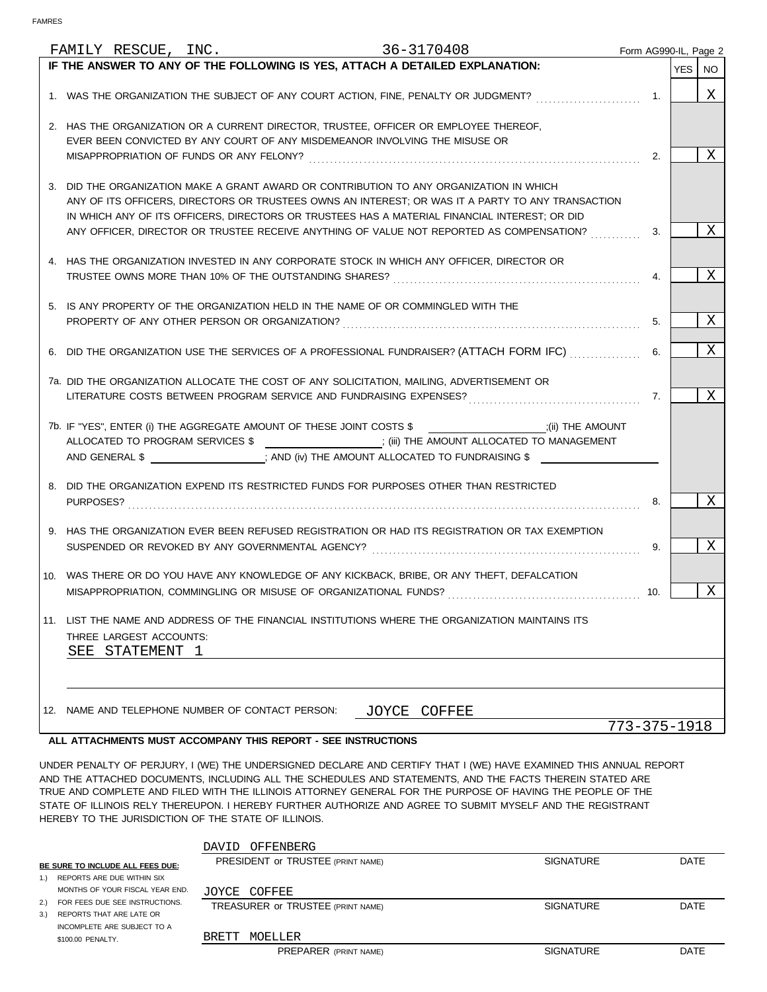|  |                                            |  | FAMILY RESCUE, INC. 36-3170408                                              |              |                                                                                                                                                                                          |                                                                                                                                                                                                                                                                                                                                                                                                                                           |              |     | Form AG990-IL, Page 2 |   |
|--|--------------------------------------------|--|-----------------------------------------------------------------------------|--------------|------------------------------------------------------------------------------------------------------------------------------------------------------------------------------------------|-------------------------------------------------------------------------------------------------------------------------------------------------------------------------------------------------------------------------------------------------------------------------------------------------------------------------------------------------------------------------------------------------------------------------------------------|--------------|-----|-----------------------|---|
|  |                                            |  |                                                                             |              | IF THE ANSWER TO ANY OF THE FOLLOWING IS YES, ATTACH A DETAILED EXPLANATION:                                                                                                             |                                                                                                                                                                                                                                                                                                                                                                                                                                           |              |     | YES   NO              |   |
|  |                                            |  |                                                                             |              |                                                                                                                                                                                          | 1. WAS THE ORGANIZATION THE SUBJECT OF ANY COURT ACTION, FINE, PENALTY OR JUDGMENT?                                                                                                                                                                                                                                                                                                                                                       |              | 1.  |                       | X |
|  |                                            |  | EVER BEEN CONVICTED BY ANY COURT OF ANY MISDEMEANOR INVOLVING THE MISUSE OR |              | 2. HAS THE ORGANIZATION OR A CURRENT DIRECTOR, TRUSTEE, OFFICER OR EMPLOYEE THEREOF,                                                                                                     |                                                                                                                                                                                                                                                                                                                                                                                                                                           |              |     |                       | X |
|  |                                            |  |                                                                             |              |                                                                                                                                                                                          |                                                                                                                                                                                                                                                                                                                                                                                                                                           |              | 2.  |                       |   |
|  |                                            |  |                                                                             |              | 3. DID THE ORGANIZATION MAKE A GRANT AWARD OR CONTRIBUTION TO ANY ORGANIZATION IN WHICH<br>IN WHICH ANY OF ITS OFFICERS, DIRECTORS OR TRUSTEES HAS A MATERIAL FINANCIAL INTEREST; OR DID | ANY OF ITS OFFICERS, DIRECTORS OR TRUSTEES OWNS AN INTEREST; OR WAS IT A PARTY TO ANY TRANSACTION                                                                                                                                                                                                                                                                                                                                         |              |     |                       |   |
|  |                                            |  |                                                                             |              |                                                                                                                                                                                          | ANY OFFICER, DIRECTOR OR TRUSTEE RECEIVE ANYTHING OF VALUE NOT REPORTED AS COMPENSATION?                                                                                                                                                                                                                                                                                                                                                  |              | 3.  |                       | Χ |
|  |                                            |  |                                                                             |              | 4. HAS THE ORGANIZATION INVESTED IN ANY CORPORATE STOCK IN WHICH ANY OFFICER, DIRECTOR OR                                                                                                |                                                                                                                                                                                                                                                                                                                                                                                                                                           |              | 4.  |                       | Χ |
|  |                                            |  |                                                                             |              | 5. IS ANY PROPERTY OF THE ORGANIZATION HELD IN THE NAME OF OR COMMINGLED WITH THE                                                                                                        |                                                                                                                                                                                                                                                                                                                                                                                                                                           |              |     |                       |   |
|  |                                            |  |                                                                             |              |                                                                                                                                                                                          | PROPERTY OF ANY OTHER PERSON OR ORGANIZATION? Material and according the contract of any other person or organization?                                                                                                                                                                                                                                                                                                                    |              | 5.  |                       | Χ |
|  |                                            |  |                                                                             |              |                                                                                                                                                                                          | 6. DID THE ORGANIZATION USE THE SERVICES OF A PROFESSIONAL FUNDRAISER? (ATTACH FORM IFC)                                                                                                                                                                                                                                                                                                                                                  |              | 6.  |                       | X |
|  |                                            |  |                                                                             |              | 7a. DID THE ORGANIZATION ALLOCATE THE COST OF ANY SOLICITATION, MAILING, ADVERTISEMENT OR                                                                                                |                                                                                                                                                                                                                                                                                                                                                                                                                                           |              | 7.  |                       | X |
|  |                                            |  |                                                                             |              |                                                                                                                                                                                          | 7b. IF "YES", ENTER (i) THE AGGREGATE AMOUNT OF THESE JOINT COSTS \$ [Noting the solution of the state of the state of the state of the state of the state of the state of the state of the state of the state of the state of<br>ALLOCATED TO PROGRAM SERVICES \$ __________________; (iii) THE AMOUNT ALLOCATED TO MANAGEMENT<br>AND GENERAL \$ ____________________; AND (iv) THE AMOUNT ALLOCATED TO FUNDRAISING \$ _________________ |              |     |                       |   |
|  |                                            |  |                                                                             |              | 8. DID THE ORGANIZATION EXPEND ITS RESTRICTED FUNDS FOR PURPOSES OTHER THAN RESTRICTED                                                                                                   |                                                                                                                                                                                                                                                                                                                                                                                                                                           |              | 8.  |                       | X |
|  |                                            |  |                                                                             |              |                                                                                                                                                                                          | 9. HAS THE ORGANIZATION EVER BEEN REFUSED REGISTRATION OR HAD ITS REGISTRATION OR TAX EXEMPTION<br>SUSPENDED OR REVOKED BY ANY GOVERNMENTAL AGENCY? Material and according to the subsequent of the SUSPENDED OR REVOKED BY ANY GOVERNMENTAL AGENCY?                                                                                                                                                                                      |              | 9.  |                       | Χ |
|  |                                            |  | MISAPPROPRIATION, COMMINGLING OR MISUSE OF ORGANIZATIONAL FUNDS?            |              | 10. WAS THERE OR DO YOU HAVE ANY KNOWLEDGE OF ANY KICKBACK, BRIBE, OR ANY THEFT, DEFALCATION                                                                                             |                                                                                                                                                                                                                                                                                                                                                                                                                                           |              | 10. |                       | X |
|  |                                            |  |                                                                             |              |                                                                                                                                                                                          | 11. LIST THE NAME AND ADDRESS OF THE FINANCIAL INSTITUTIONS WHERE THE ORGANIZATION MAINTAINS ITS                                                                                                                                                                                                                                                                                                                                          |              |     |                       |   |
|  | THREE LARGEST ACCOUNTS:<br>SEE STATEMENT 1 |  |                                                                             |              |                                                                                                                                                                                          |                                                                                                                                                                                                                                                                                                                                                                                                                                           |              |     |                       |   |
|  |                                            |  |                                                                             |              |                                                                                                                                                                                          |                                                                                                                                                                                                                                                                                                                                                                                                                                           |              |     |                       |   |
|  |                                            |  |                                                                             |              |                                                                                                                                                                                          |                                                                                                                                                                                                                                                                                                                                                                                                                                           |              |     |                       |   |
|  |                                            |  | 12. NAME AND TELEPHONE NUMBER OF CONTACT PERSON:                            | JOYCE COFFEE |                                                                                                                                                                                          |                                                                                                                                                                                                                                                                                                                                                                                                                                           |              |     |                       |   |
|  |                                            |  |                                                                             |              |                                                                                                                                                                                          |                                                                                                                                                                                                                                                                                                                                                                                                                                           | 773-375-1918 |     |                       |   |

### **ALL ATTACHMENTS MUST ACCOMPANY THIS REPORT - SEE INSTRUCTIONS**

UNDER PENALTY OF PERJURY, I (WE) THE UNDERSIGNED DECLARE AND CERTIFY THAT I (WE) HAVE EXAMINED THIS ANNUAL REPORT AND THE ATTACHED DOCUMENTS, INCLUDING ALL THE SCHEDULES AND STATEMENTS, AND THE FACTS THEREIN STATED ARE TRUE AND COMPLETE AND FILED WITH THE ILLINOIS ATTORNEY GENERAL FOR THE PURPOSE OF HAVING THE PEOPLE OF THE STATE OF ILLINOIS RELY THEREUPON. I HEREBY FURTHER AUTHORIZE AND AGREE TO SUBMIT MYSELF AND THE REGISTRANT HEREBY TO THE JURISDICTION OF THE STATE OF ILLINOIS.

|                                  |                                 | DAVID | OFFENBERG                         |                  |             |
|----------------------------------|---------------------------------|-------|-----------------------------------|------------------|-------------|
| BE SURE TO INCLUDE ALL FEES DUE: |                                 |       | PRESIDENT OF TRUSTEE (PRINT NAME) | <b>SIGNATURE</b> | DATE        |
|                                  | 1.) REPORTS ARE DUE WITHIN SIX  |       |                                   |                  |             |
|                                  | MONTHS OF YOUR FISCAL YEAR END. |       | JOYCE COFFEE                      |                  |             |
| 2.1                              | FOR FEES DUE SEE INSTRUCTIONS.  |       | TREASURER OF TRUSTEE (PRINT NAME) | <b>SIGNATURE</b> | <b>DATE</b> |
| 3.                               | REPORTS THAT ARE LATE OR        |       |                                   |                  |             |
|                                  | INCOMPLETE ARE SUBJECT TO A     |       |                                   |                  |             |
|                                  | \$100.00 PENALTY.               | BRETT | MOELLER                           |                  |             |
|                                  |                                 |       | <b>PREPARER (PRINT NAME)</b>      | <b>SIGNATURE</b> | DATE        |